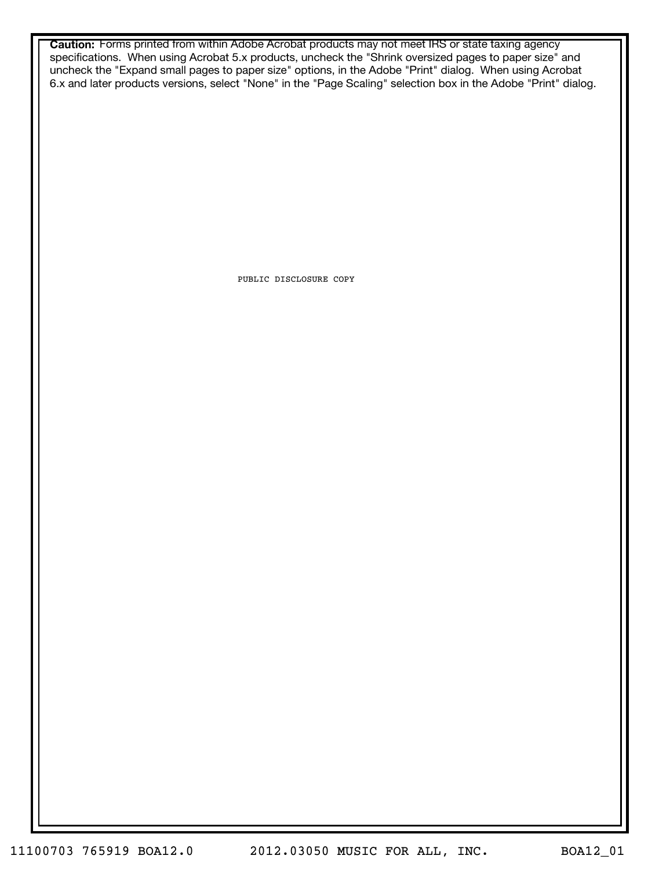**Caution:** Forms printed from within Adobe Acrobat products may not meet IRS or state taxing agency specifications. When using Acrobat 5.x products, uncheck the "Shrink oversized pages to paper size" and uncheck the "Expand small pages to paper size" options, in the Adobe "Print" dialog. When using Acrobat 6.x and later products versions, select "None" in the "Page Scaling" selection box in the Adobe "Print" dialog.

PUBLIC DISCLOSURE COPY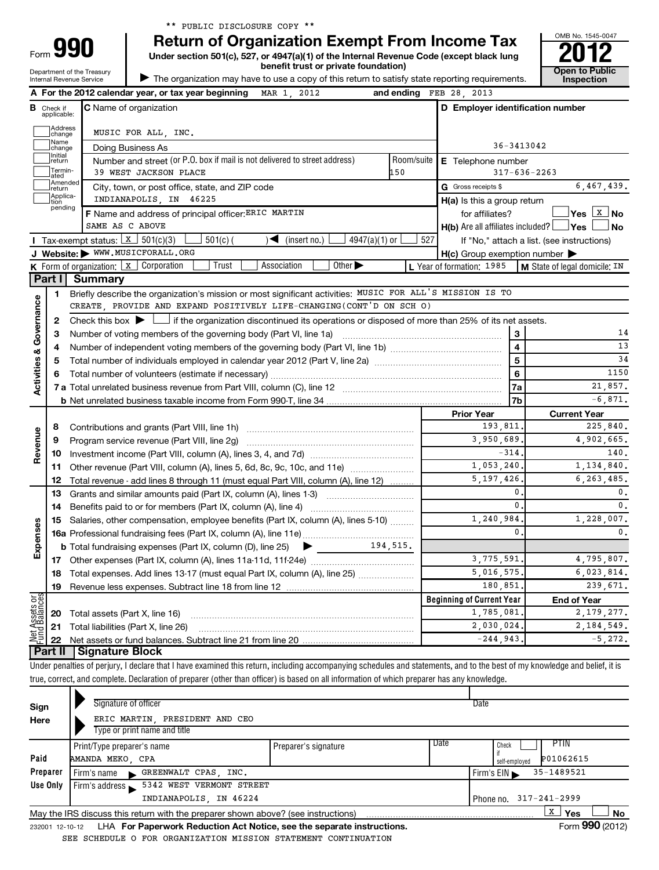Department of the Treasury Form

**I**

# **Return of Organization Exempt From Income Tax**

**Under section 501(c), 527, or 4947(a)(1) of the Internal Revenue Code (except black lung**



true, correct, and complete. Declaration of preparer (other than officer) is based on all information of which preparer has any knowledge.

| Sign<br>Here    | Signature of officer<br>ERIC MARTIN, PRESIDENT AND CEO<br>Type or print name and title |                      |                        | Date                                        |  |  |
|-----------------|----------------------------------------------------------------------------------------|----------------------|------------------------|---------------------------------------------|--|--|
| Paid            | Print/Type preparer's name<br>AMANDA MEKO, CPA                                         | Preparer's signature | l Date                 | PTIN<br>Check<br>P01062615<br>self-emploved |  |  |
| Preparer        | Firm's name GREENWALT CPAS, INC.                                                       |                      |                        | 35-1489521<br>Firm's $EIN$                  |  |  |
| Use Only        | Firm's address 5342 WEST VERMONT STREET                                                |                      |                        |                                             |  |  |
|                 | INDIANAPOLIS, IN 46224                                                                 |                      | Phone no. 317-241-2999 |                                             |  |  |
|                 | May the IRS discuss this return with the preparer shown above? (see instructions)      |                      |                        | х<br><b>No</b><br>Yes                       |  |  |
| 232001 12-10-12 | LHA For Paperwork Reduction Act Notice, see the separate instructions.                 |                      |                        | Form 990 (2012)                             |  |  |

SEE SCHEDULE O FOR ORGANIZATION MISSION STATEMENT CONTINUATION

OMB No. 1545-0047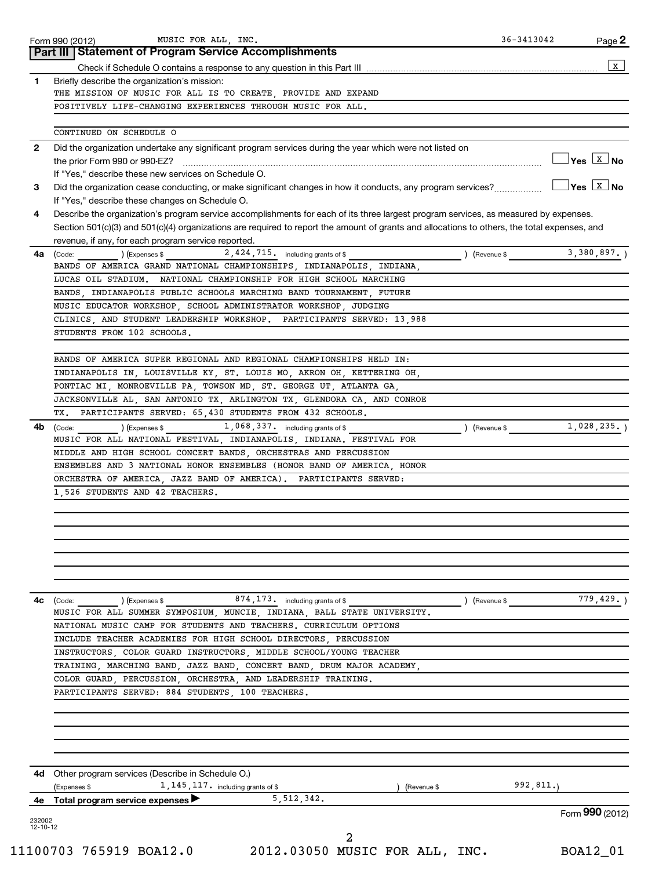|    | MUSIC FOR ALL, INC.<br>Form 990 (2012)<br>Part III   Statement of Program Service Accomplishments                                            | 36-3413042  | Page 2                              |
|----|----------------------------------------------------------------------------------------------------------------------------------------------|-------------|-------------------------------------|
|    |                                                                                                                                              |             |                                     |
| 1. | Briefly describe the organization's mission:                                                                                                 |             |                                     |
|    | THE MISSION OF MUSIC FOR ALL IS TO CREATE, PROVIDE AND EXPAND                                                                                |             |                                     |
|    | POSITIVELY LIFE-CHANGING EXPERIENCES THROUGH MUSIC FOR ALL.                                                                                  |             |                                     |
|    |                                                                                                                                              |             |                                     |
|    | CONTINUED ON SCHEDULE O                                                                                                                      |             |                                     |
| 2  | Did the organization undertake any significant program services during the year which were not listed on                                     |             |                                     |
|    | the prior Form 990 or 990-EZ?                                                                                                                |             | $\exists$ Yes $\boxed{\text{x}}$ No |
|    | If "Yes," describe these new services on Schedule O.                                                                                         |             |                                     |
| 3  | Did the organization cease conducting, or make significant changes in how it conducts, any program services?                                 |             | $Yes$ $X$ No                        |
|    | If "Yes," describe these changes on Schedule O.                                                                                              |             |                                     |
| 4  | Describe the organization's program service accomplishments for each of its three largest program services, as measured by expenses.         |             |                                     |
|    | Section 501(c)(3) and 501(c)(4) organizations are required to report the amount of grants and allocations to others, the total expenses, and |             |                                     |
|    | revenue, if any, for each program service reported.                                                                                          |             |                                     |
| 4a | 2,424,715. including grants of \$<br>(Code:<br>(Expenses \$<br>) (Revenue \$                                                                 |             | 3,380,897.                          |
|    | BANDS OF AMERICA GRAND NATIONAL CHAMPIONSHIPS, INDIANAPOLIS, INDIANA,                                                                        |             |                                     |
|    | LUCAS OIL STADIUM. NATIONAL CHAMPIONSHIP FOR HIGH SCHOOL MARCHING                                                                            |             |                                     |
|    | BANDS, INDIANAPOLIS PUBLIC SCHOOLS MARCHING BAND TOURNAMENT, FUTURE                                                                          |             |                                     |
|    | MUSIC EDUCATOR WORKSHOP, SCHOOL ADMINISTRATOR WORKSHOP, JUDGING                                                                              |             |                                     |
|    | CLINICS, AND STUDENT LEADERSHIP WORKSHOP. PARTICIPANTS SERVED: 13,988                                                                        |             |                                     |
|    | STUDENTS FROM 102 SCHOOLS.                                                                                                                   |             |                                     |
|    |                                                                                                                                              |             |                                     |
|    | BANDS OF AMERICA SUPER REGIONAL AND REGIONAL CHAMPIONSHIPS HELD IN:                                                                          |             |                                     |
|    | INDIANAPOLIS IN, LOUISVILLE KY, ST. LOUIS MO, AKRON OH, KETTERING OH,                                                                        |             |                                     |
|    | PONTIAC MI, MONROEVILLE PA, TOWSON MD, ST. GEORGE UT, ATLANTA GA,                                                                            |             |                                     |
|    | JACKSONVILLE AL, SAN ANTONIO TX, ARLINGTON TX, GLENDORA CA, AND CONROE                                                                       |             |                                     |
|    | TX. PARTICIPANTS SERVED: 65,430 STUDENTS FROM 432 SCHOOLS.                                                                                   |             |                                     |
| 4b | 1,068,337. including grants of \$<br>(Code:<br>(Expenses \$                                                                                  | (Revenue \$ | 1,028,235.                          |
|    | MUSIC FOR ALL NATIONAL FESTIVAL, INDIANAPOLIS, INDIANA. FESTIVAL FOR                                                                         |             |                                     |
|    | MIDDLE AND HIGH SCHOOL CONCERT BANDS, ORCHESTRAS AND PERCUSSION                                                                              |             |                                     |
|    | ENSEMBLES AND 3 NATIONAL HONOR ENSEMBLES (HONOR BAND OF AMERICA, HONOR<br>ORCHESTRA OF AMERICA, JAZZ BAND OF AMERICA). PARTICIPANTS SERVED:  |             |                                     |
|    | 1,526 STUDENTS AND 42 TEACHERS.                                                                                                              |             |                                     |
|    |                                                                                                                                              |             |                                     |
|    |                                                                                                                                              |             |                                     |
|    |                                                                                                                                              |             |                                     |
|    |                                                                                                                                              |             |                                     |
|    |                                                                                                                                              |             |                                     |
|    |                                                                                                                                              |             |                                     |
|    |                                                                                                                                              |             |                                     |
|    |                                                                                                                                              |             |                                     |
|    |                                                                                                                                              |             |                                     |
|    | $874, 173$ including grants of \$<br>$\frac{1}{2}$ (Expenses \$<br>(Code:<br>) (Revenue \$                                                   |             |                                     |
|    | MUSIC FOR ALL SUMMER SYMPOSIUM, MUNCIE, INDIANA, BALL STATE UNIVERSITY.                                                                      |             |                                     |
|    | NATIONAL MUSIC CAMP FOR STUDENTS AND TEACHERS. CURRICULUM OPTIONS                                                                            |             |                                     |
|    | INCLUDE TEACHER ACADEMIES FOR HIGH SCHOOL DIRECTORS, PERCUSSION                                                                              |             |                                     |
|    | INSTRUCTORS, COLOR GUARD INSTRUCTORS, MIDDLE SCHOOL/YOUNG TEACHER                                                                            |             |                                     |
|    | TRAINING, MARCHING BAND, JAZZ BAND, CONCERT BAND, DRUM MAJOR ACADEMY,                                                                        |             |                                     |
|    | COLOR GUARD, PERCUSSION, ORCHESTRA, AND LEADERSHIP TRAINING.                                                                                 |             |                                     |
|    | PARTICIPANTS SERVED: 884 STUDENTS, 100 TEACHERS.                                                                                             |             |                                     |
|    |                                                                                                                                              |             |                                     |
|    |                                                                                                                                              |             |                                     |
|    |                                                                                                                                              |             |                                     |
| 4с |                                                                                                                                              |             |                                     |
|    |                                                                                                                                              |             |                                     |
|    | 4d Other program services (Describe in Schedule O.)                                                                                          |             |                                     |
|    | $1, 145, 117$ including grants of \$<br>(Expenses \$<br>(Revenue \$                                                                          | 992, 811.   |                                     |
| 4е | 5, 512, 342.<br>Total program service expenses                                                                                               |             | 779,429.)<br>Form 990 (2012)        |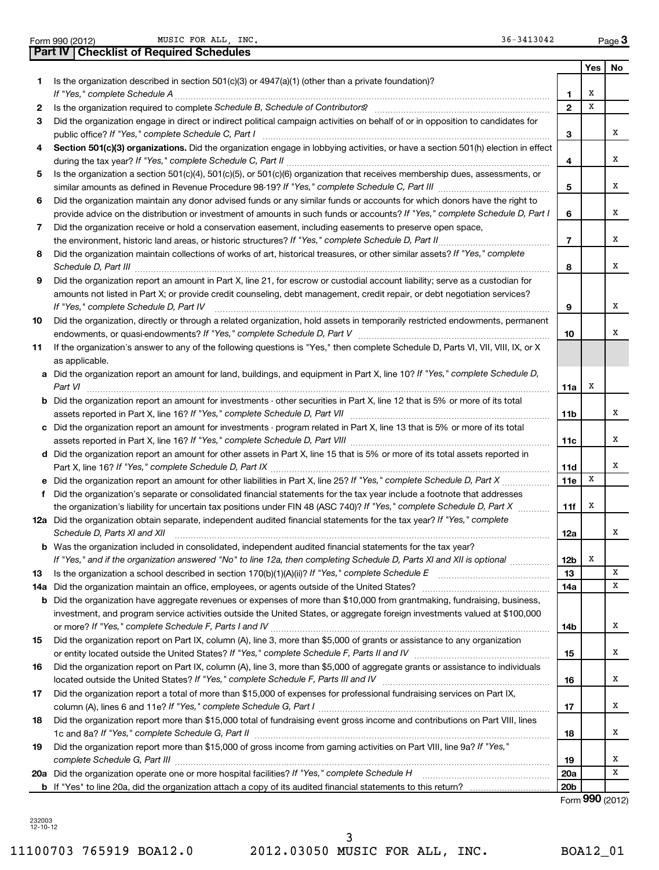| Form 990 (2012) |                                                  | MUSIC FOR ALL, INC |  |  |
|-----------------|--------------------------------------------------|--------------------|--|--|
|                 | <b>Part IV   Checklist of Required Schedules</b> |                    |  |  |

Form 990 (2012) **MUSIC FOR ALL, INC.** The contract of the contract of the contract of the contract of the contract of the contract of the contract of the contract of the contract of the contract of the contract of the cont

|    |                                                                                                                                                                                                                                                           |                 | Yes | No |
|----|-----------------------------------------------------------------------------------------------------------------------------------------------------------------------------------------------------------------------------------------------------------|-----------------|-----|----|
| 1. | Is the organization described in section $501(c)(3)$ or $4947(a)(1)$ (other than a private foundation)?                                                                                                                                                   |                 |     |    |
|    | If "Yes," complete Schedule A                                                                                                                                                                                                                             | 1               | х   |    |
| 2  |                                                                                                                                                                                                                                                           | $\mathbf{2}$    | х   |    |
| 3  | Did the organization engage in direct or indirect political campaign activities on behalf of or in opposition to candidates for                                                                                                                           | 3               |     | х  |
| 4  | Section 501(c)(3) organizations. Did the organization engage in lobbying activities, or have a section 501(h) election in effect                                                                                                                          |                 |     |    |
|    |                                                                                                                                                                                                                                                           | 4               |     | х  |
| 5  | Is the organization a section 501(c)(4), 501(c)(5), or 501(c)(6) organization that receives membership dues, assessments, or                                                                                                                              |                 |     |    |
|    |                                                                                                                                                                                                                                                           | 5               |     | х  |
| 6  | Did the organization maintain any donor advised funds or any similar funds or accounts for which donors have the right to<br>provide advice on the distribution or investment of amounts in such funds or accounts? If "Yes," complete Schedule D, Part I | 6               |     | х  |
| 7  | Did the organization receive or hold a conservation easement, including easements to preserve open space,                                                                                                                                                 |                 |     |    |
|    | the environment, historic land areas, or historic structures? If "Yes," complete Schedule D, Part II                                                                                                                                                      | $\overline{7}$  |     | х  |
| 8  | Did the organization maintain collections of works of art, historical treasures, or other similar assets? If "Yes," complete                                                                                                                              |                 |     |    |
|    |                                                                                                                                                                                                                                                           | 8               |     | x  |
| 9  | Did the organization report an amount in Part X, line 21, for escrow or custodial account liability; serve as a custodian for                                                                                                                             |                 |     |    |
|    | amounts not listed in Part X; or provide credit counseling, debt management, credit repair, or debt negotiation services?                                                                                                                                 |                 |     |    |
|    | If "Yes," complete Schedule D, Part IV                                                                                                                                                                                                                    | 9               |     | х  |
| 10 | Did the organization, directly or through a related organization, hold assets in temporarily restricted endowments, permanent                                                                                                                             |                 |     | х  |
| 11 | If the organization's answer to any of the following questions is "Yes," then complete Schedule D, Parts VI, VII, VIII, IX, or X                                                                                                                          | 10              |     |    |
|    | as applicable.                                                                                                                                                                                                                                            |                 |     |    |
|    | a Did the organization report an amount for land, buildings, and equipment in Part X, line 10? If "Yes," complete Schedule D,                                                                                                                             |                 |     |    |
|    | Part VI                                                                                                                                                                                                                                                   | 11a             | х   |    |
|    | <b>b</b> Did the organization report an amount for investments - other securities in Part X, line 12 that is 5% or more of its total                                                                                                                      |                 |     |    |
|    | assets reported in Part X, line 16? If "Yes," complete Schedule D, Part VII [[[[[[[[[[[[[[[[[[[[[[[[[[[[[[[[[                                                                                                                                             | 11 <sub>b</sub> |     | х  |
|    | c Did the organization report an amount for investments - program related in Part X, line 13 that is 5% or more of its total                                                                                                                              |                 |     |    |
|    |                                                                                                                                                                                                                                                           | 11c             |     | х  |
|    | d Did the organization report an amount for other assets in Part X, line 15 that is 5% or more of its total assets reported in                                                                                                                            |                 |     | х  |
|    | e Did the organization report an amount for other liabilities in Part X, line 25? If "Yes," complete Schedule D, Part X                                                                                                                                   | 11d<br>11e      | X   |    |
|    | f Did the organization's separate or consolidated financial statements for the tax year include a footnote that addresses                                                                                                                                 |                 |     |    |
|    | the organization's liability for uncertain tax positions under FIN 48 (ASC 740)? If "Yes," complete Schedule D, Part X                                                                                                                                    | 11f             | х   |    |
|    | 12a Did the organization obtain separate, independent audited financial statements for the tax year? If "Yes," complete                                                                                                                                   |                 |     |    |
|    | Schedule D, Parts XI and XII                                                                                                                                                                                                                              | 12a             |     | х  |
|    | <b>b</b> Was the organization included in consolidated, independent audited financial statements for the tax year?                                                                                                                                        |                 |     |    |
|    | If "Yes," and if the organization answered "No" to line 12a, then completing Schedule D, Parts XI and XII is optional                                                                                                                                     | 12b             | x   |    |
| 13 | Is the organization a school described in section $170(b)(1)(A)(ii)?$ If "Yes," complete Schedule E                                                                                                                                                       | 13              |     | х  |
|    | 14a Did the organization maintain an office, employees, or agents outside of the United States?<br><b>b</b> Did the organization have aggregate revenues or expenses of more than \$10,000 from grantmaking, fundraising, business,                       | 14a             |     | х  |
|    | investment, and program service activities outside the United States, or aggregate foreign investments valued at \$100,000                                                                                                                                |                 |     |    |
|    | or more? If "Yes," complete Schedule F, Parts I and IV                                                                                                                                                                                                    | 14b             |     | х  |
| 15 | Did the organization report on Part IX, column (A), line 3, more than \$5,000 of grants or assistance to any organization                                                                                                                                 |                 |     |    |
|    |                                                                                                                                                                                                                                                           | 15              |     | х  |
| 16 | Did the organization report on Part IX, column (A), line 3, more than \$5,000 of aggregate grants or assistance to individuals                                                                                                                            |                 |     |    |
|    |                                                                                                                                                                                                                                                           | 16              |     | х  |
| 17 | Did the organization report a total of more than \$15,000 of expenses for professional fundraising services on Part IX,                                                                                                                                   |                 |     |    |
|    |                                                                                                                                                                                                                                                           | 17              |     | х  |
| 18 | Did the organization report more than \$15,000 total of fundraising event gross income and contributions on Part VIII, lines                                                                                                                              | 18              |     | х  |
| 19 | Did the organization report more than \$15,000 of gross income from gaming activities on Part VIII, line 9a? If "Yes,"                                                                                                                                    |                 |     |    |
|    | complete Schedule G, Part III                                                                                                                                                                                                                             | 19              |     | х  |
|    |                                                                                                                                                                                                                                                           | 20a             |     | х  |
|    |                                                                                                                                                                                                                                                           | 20 <sub>b</sub> |     |    |

Form (2012) **990**

232003 12-10-12

11100703 765919 BOA12.0 2012.03050 MUSIC FOR ALL, INC. BOA12\_01 3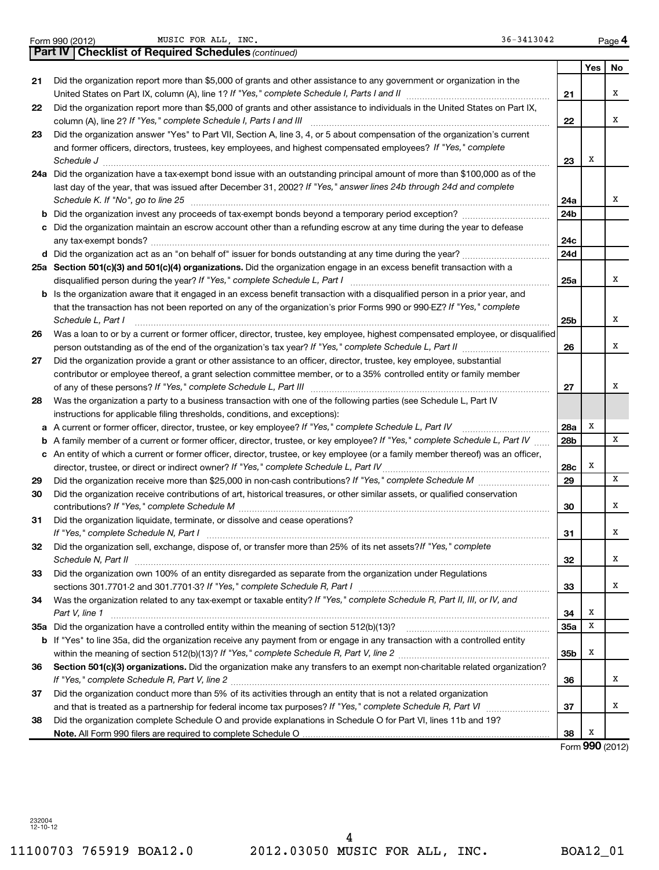|  | Form 990 (2012) |
|--|-----------------|
|  |                 |

Form 990 (2012) MUSIC FOR ALL, INC. The contract of the contract of the contract of the Page

|    | <b>Part IV   Checklist of Required Schedules (continued)</b>                                                                    |            |     |    |
|----|---------------------------------------------------------------------------------------------------------------------------------|------------|-----|----|
|    |                                                                                                                                 |            | Yes | No |
| 21 | Did the organization report more than \$5,000 of grants and other assistance to any government or organization in the           |            |     |    |
|    |                                                                                                                                 | 21         |     | х  |
| 22 | Did the organization report more than \$5,000 of grants and other assistance to individuals in the United States on Part IX,    |            |     |    |
|    | column (A), line 2? If "Yes," complete Schedule I, Parts I and III                                                              | 22         |     | х  |
| 23 | Did the organization answer "Yes" to Part VII, Section A, line 3, 4, or 5 about compensation of the organization's current      |            |     |    |
|    | and former officers, directors, trustees, key employees, and highest compensated employees? If "Yes," complete                  |            |     |    |
|    | Schedule J                                                                                                                      | 23         | X   |    |
|    | 24a Did the organization have a tax-exempt bond issue with an outstanding principal amount of more than \$100,000 as of the     |            |     |    |
|    | last day of the year, that was issued after December 31, 2002? If "Yes," answer lines 24b through 24d and complete              |            |     |    |
|    | Schedule K. If "No", go to line 25                                                                                              | 24a        |     | х  |
| b  |                                                                                                                                 | 24b        |     |    |
|    | Did the organization maintain an escrow account other than a refunding escrow at any time during the year to defease            |            |     |    |
|    |                                                                                                                                 | 24c        |     |    |
|    |                                                                                                                                 | 24d        |     |    |
|    | 25a Section 501(c)(3) and 501(c)(4) organizations. Did the organization engage in an excess benefit transaction with a          |            |     |    |
|    | disqualified person during the year? If "Yes," complete Schedule L, Part I                                                      | 25a        |     | x  |
| b  | Is the organization aware that it engaged in an excess benefit transaction with a disqualified person in a prior year, and      |            |     |    |
|    | that the transaction has not been reported on any of the organization's prior Forms 990 or 990-EZ? If "Yes," complete           |            |     |    |
|    | Schedule L, Part I                                                                                                              | 25b        |     | х  |
| 26 | Was a loan to or by a current or former officer, director, trustee, key employee, highest compensated employee, or disqualified |            |     |    |
|    |                                                                                                                                 | 26         |     | x  |
| 27 | Did the organization provide a grant or other assistance to an officer, director, trustee, key employee, substantial            |            |     |    |
|    | contributor or employee thereof, a grant selection committee member, or to a 35% controlled entity or family member             |            |     |    |
|    |                                                                                                                                 | 27         |     | x  |
| 28 | Was the organization a party to a business transaction with one of the following parties (see Schedule L, Part IV               |            |     |    |
|    | instructions for applicable filing thresholds, conditions, and exceptions):                                                     |            |     |    |
| а  | A current or former officer, director, trustee, or key employee? If "Yes," complete Schedule L, Part IV                         | 28a        | Χ   |    |
| b  | A family member of a current or former officer, director, trustee, or key employee? If "Yes," complete Schedule L, Part IV      | 28b        |     | x  |
| с  | An entity of which a current or former officer, director, trustee, or key employee (or a family member thereof) was an officer, |            |     |    |
|    | director, trustee, or direct or indirect owner? If "Yes," complete Schedule L, Part IV                                          | 28c        | Χ   |    |
| 29 |                                                                                                                                 | 29         |     | x  |
| 30 | Did the organization receive contributions of art, historical treasures, or other similar assets, or qualified conservation     |            |     |    |
|    |                                                                                                                                 | 30         |     | х  |
| 31 | Did the organization liquidate, terminate, or dissolve and cease operations?                                                    |            |     |    |
|    |                                                                                                                                 | 31         |     | х  |
| 32 | Did the organization sell, exchange, dispose of, or transfer more than 25% of its net assets? If "Yes," complete                |            |     |    |
|    | Schedule N, Part II                                                                                                             | 32         |     | X  |
| 33 | Did the organization own 100% of an entity disregarded as separate from the organization under Regulations                      |            |     |    |
|    |                                                                                                                                 | 33         |     | х  |
| 34 | Was the organization related to any tax-exempt or taxable entity? If "Yes," complete Schedule R, Part II, III, or IV, and       |            |     |    |
|    | Part V, line 1                                                                                                                  | 34         | Χ   |    |
|    |                                                                                                                                 | <b>35a</b> | X   |    |
|    | b If "Yes" to line 35a, did the organization receive any payment from or engage in any transaction with a controlled entity     |            |     |    |
|    |                                                                                                                                 | 35b        | X   |    |
| 36 | Section 501(c)(3) organizations. Did the organization make any transfers to an exempt non-charitable related organization?      |            |     |    |
|    |                                                                                                                                 | 36         |     | x  |
| 37 | Did the organization conduct more than 5% of its activities through an entity that is not a related organization                |            |     |    |
|    |                                                                                                                                 | 37         |     | х  |
| 38 | Did the organization complete Schedule O and provide explanations in Schedule O for Part VI, lines 11b and 19?                  |            |     |    |
|    |                                                                                                                                 | 38         | X   |    |

Form (2012) **990**

232004 12-10-12

11100703 765919 BOA12.0 2012.03050 MUSIC FOR ALL, INC. BOA12\_01 4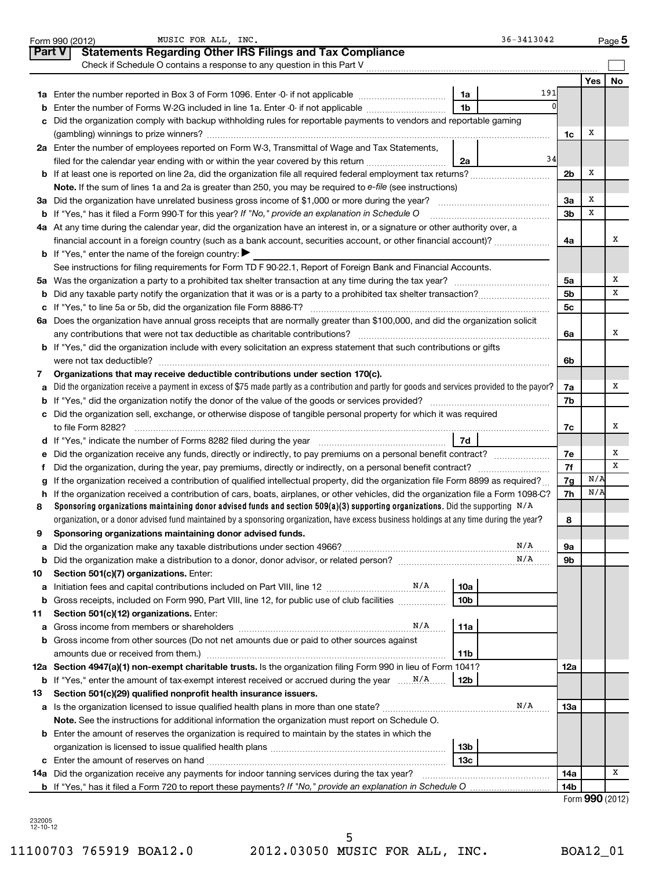|        | 36-3413042<br>MUSIC FOR ALL, INC.<br>Form 990 (2012)                                                                                            |                |                 | $Page$ 5  |
|--------|-------------------------------------------------------------------------------------------------------------------------------------------------|----------------|-----------------|-----------|
| Part V | <b>Statements Regarding Other IRS Filings and Tax Compliance</b>                                                                                |                |                 |           |
|        | Check if Schedule O contains a response to any question in this Part V                                                                          |                |                 |           |
|        |                                                                                                                                                 |                | Yes             | <b>No</b> |
|        | 191<br>1a                                                                                                                                       |                |                 |           |
| b      | 1 <sub>b</sub><br>Enter the number of Forms W-2G included in line 1a. Enter -0- if not applicable                                               |                |                 |           |
| c      | Did the organization comply with backup withholding rules for reportable payments to vendors and reportable gaming                              |                |                 |           |
|        |                                                                                                                                                 | 1c             | х               |           |
|        | 2a Enter the number of employees reported on Form W-3, Transmittal of Wage and Tax Statements,                                                  |                |                 |           |
|        | 34<br>filed for the calendar year ending with or within the year covered by this return<br>2a                                                   |                |                 |           |
|        |                                                                                                                                                 | 2 <sub>b</sub> | х               |           |
|        | Note. If the sum of lines 1a and 2a is greater than 250, you may be required to e-file (see instructions)                                       |                |                 |           |
|        |                                                                                                                                                 | Зa             | х               |           |
|        | <b>b</b> If "Yes," has it filed a Form 990-T for this year? If "No," provide an explanation in Schedule O                                       | 3b             | х               |           |
|        | 4a At any time during the calendar year, did the organization have an interest in, or a signature or other authority over, a                    |                |                 |           |
|        | financial account in a foreign country (such as a bank account, securities account, or other financial account)?                                | 4a             |                 | х         |
|        | <b>b</b> If "Yes," enter the name of the foreign country:                                                                                       |                |                 |           |
|        | See instructions for filing requirements for Form TD F 90-22.1, Report of Foreign Bank and Financial Accounts.                                  |                |                 |           |
|        |                                                                                                                                                 | 5a             |                 | х         |
|        |                                                                                                                                                 | 5b             |                 | х         |
|        |                                                                                                                                                 | 5c             |                 |           |
|        | 6a Does the organization have annual gross receipts that are normally greater than \$100,000, and did the organization solicit                  |                |                 |           |
|        |                                                                                                                                                 | 6a             |                 | х         |
|        | b If "Yes," did the organization include with every solicitation an express statement that such contributions or gifts                          |                |                 |           |
|        | were not tax deductible?                                                                                                                        | 6b             |                 |           |
| 7      | Organizations that may receive deductible contributions under section 170(c).                                                                   |                |                 |           |
| a      | Did the organization receive a payment in excess of \$75 made partly as a contribution and partly for goods and services provided to the payor? | 7a             |                 | х         |
|        |                                                                                                                                                 | 7b             |                 |           |
|        | c Did the organization sell, exchange, or otherwise dispose of tangible personal property for which it was required<br>to file Form 8282?       | 7c             |                 | х         |
|        | 7d<br>d If "Yes," indicate the number of Forms 8282 filed during the year manufactured intervent manufactured in the                            |                |                 |           |
|        |                                                                                                                                                 | 7е             |                 | х         |
| t      |                                                                                                                                                 | 7f             |                 | х         |
| g      | If the organization received a contribution of qualified intellectual property, did the organization file Form 8899 as required?                | 7g             | N/A             |           |
|        | h If the organization received a contribution of cars, boats, airplanes, or other vehicles, did the organization file a Form 1098-C?            | 7h             | N/A             |           |
| 8      | Sponsoring organizations maintaining donor advised funds and section 509(a)(3) supporting organizations. Did the supporting $N/A$               |                |                 |           |
|        | organization, or a donor advised fund maintained by a sponsoring organization, have excess business holdings at any time during the year?       | 8              |                 |           |
| 9      | Sponsoring organizations maintaining donor advised funds.                                                                                       |                |                 |           |
| a      | N/A                                                                                                                                             | 9а             |                 |           |
| b      | N/A                                                                                                                                             | 9b             |                 |           |
| 10     | Section 501(c)(7) organizations. Enter:                                                                                                         |                |                 |           |
| а      | 10a                                                                                                                                             |                |                 |           |
| b      | Gross receipts, included on Form 990, Part VIII, line 12, for public use of club facilities<br>10b                                              |                |                 |           |
| 11     | Section 501(c)(12) organizations. Enter:                                                                                                        |                |                 |           |
|        | N/A<br>11a                                                                                                                                      |                |                 |           |
|        | b Gross income from other sources (Do not net amounts due or paid to other sources against                                                      |                |                 |           |
|        | amounts due or received from them.)<br>11b                                                                                                      |                |                 |           |
|        | 12a Section 4947(a)(1) non-exempt charitable trusts. Is the organization filing Form 990 in lieu of Form 1041?                                  | 12a            |                 |           |
|        | 12b                                                                                                                                             |                |                 |           |
| 13     | Section 501(c)(29) qualified nonprofit health insurance issuers.                                                                                |                |                 |           |
|        | N/A                                                                                                                                             | 1За            |                 |           |
|        | Note. See the instructions for additional information the organization must report on Schedule O.                                               |                |                 |           |
|        | <b>b</b> Enter the amount of reserves the organization is required to maintain by the states in which the                                       |                |                 |           |
|        | 13b                                                                                                                                             |                |                 |           |
|        | 13c                                                                                                                                             |                |                 | х         |
|        | 14a Did the organization receive any payments for indoor tanning services during the tax year?                                                  | 14a            |                 |           |
|        | <b>b</b> If "Yes," has it filed a Form 720 to report these payments? If "No," provide an explanation in Schedule O                              | 14b            | Form 990 (2012) |           |
|        |                                                                                                                                                 |                |                 |           |

232005 12-10-12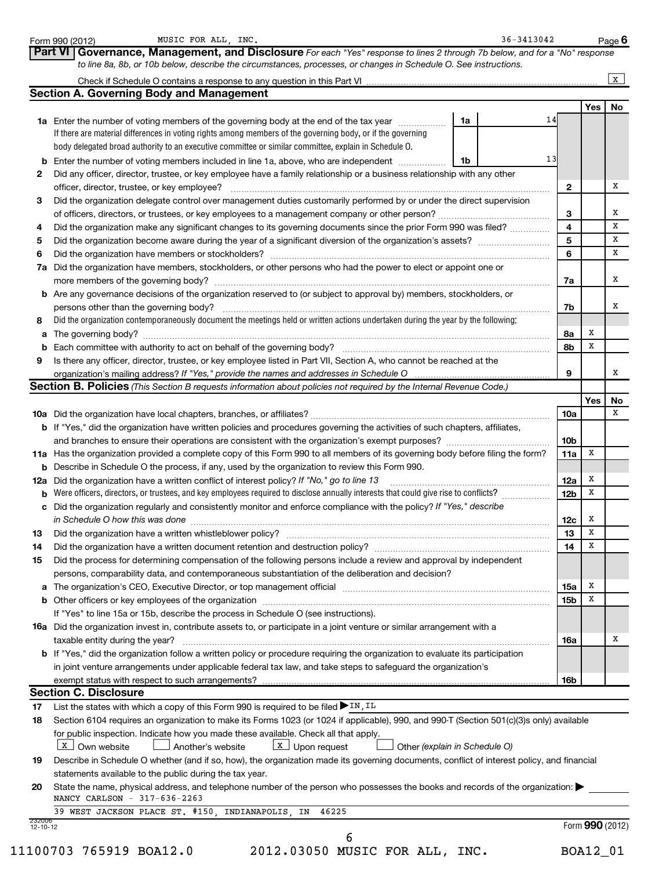| Part VI   Governance, Management, and Disclosure For each "Yes" response to lines 2 through 7b below, and for a "No" response<br>to line 8a, 8b, or 10b below, describe the circumstances, processes, or changes in Schedule O. See instructions.<br><b>Section A. Governing Body and Management</b><br>1a<br>14<br>1a Enter the number of voting members of the governing body at the end of the tax year <i>manumum</i><br>If there are material differences in voting rights among members of the governing body, or if the governing<br>body delegated broad authority to an executive committee or similar committee, explain in Schedule O.<br>13<br><b>b</b> Enter the number of voting members included in line 1a, above, who are independent <i>manumum</i><br>1b<br>Did any officer, director, trustee, or key employee have a family relationship or a business relationship with any other<br>officer, director, trustee, or key employee?<br>$\mathbf{2}$<br>Did the organization delegate control over management duties customarily performed by or under the direct supervision<br>3<br>4<br>Did the organization make any significant changes to its governing documents since the prior Form 990 was filed?<br>$\overline{\mathbf{5}}$<br>6<br>Did the organization have members, stockholders, or other persons who had the power to elect or appoint one or<br>7a<br>b Are any governance decisions of the organization reserved to (or subject to approval by) members, stockholders, or<br>persons other than the governing body?<br>7b<br>Did the organization contemporaneously document the meetings held or written actions undertaken during the year by the following:<br>х<br>8а<br>а<br>х<br>8b<br>b<br>Is there any officer, director, trustee, or key employee listed in Part VII, Section A, who cannot be reached at the<br>organization's mailing address? If "Yes," provide the names and addresses in Schedule O<br>9<br>Section B. Policies (This Section B requests information about policies not required by the Internal Revenue Code.)<br>10a<br>b If "Yes," did the organization have written policies and procedures governing the activities of such chapters, affiliates,<br>10 <sub>b</sub><br>Х<br>11a Has the organization provided a complete copy of this Form 990 to all members of its governing body before filing the form?<br>11a<br><b>b</b> Describe in Schedule O the process, if any, used by the organization to review this Form 990.<br>х<br>Did the organization have a written conflict of interest policy? If "No," go to line 13<br>12a<br>х<br>Were officers, directors, or trustees, and key employees required to disclose annually interests that could give rise to conflicts?<br><b>12b</b><br>b<br>Did the organization regularly and consistently monitor and enforce compliance with the policy? If "Yes," describe<br>с<br>in Schedule O how this was done<br>х<br>12c<br>X<br>Did the organization have a written whistleblower policy?<br>13<br>х<br>14<br>Did the process for determining compensation of the following persons include a review and approval by independent<br>persons, comparability data, and contemporaneous substantiation of the deliberation and decision?<br>Х<br>a The organization's CEO, Executive Director, or top management official manufactured content of the organization's CEO, Executive Director, or top management official manufactured content of the state of the state of the<br><b>15a</b><br>X<br>15b<br>If "Yes" to line 15a or 15b, describe the process in Schedule O (see instructions).<br>16a Did the organization invest in, contribute assets to, or participate in a joint venture or similar arrangement with a<br>taxable entity during the year?<br>16a<br>b If "Yes," did the organization follow a written policy or procedure requiring the organization to evaluate its participation<br>in joint venture arrangements under applicable federal tax law, and take steps to safeguard the organization's<br>exempt status with respect to such arrangements?<br>16b<br><b>Section C. Disclosure</b><br>List the states with which a copy of this Form 990 is required to be filed In, IL<br>17<br>Section 6104 requires an organization to make its Forms 1023 (or 1024 if applicable), 990, and 990-T (Section 501(c)(3)s only) available<br>18<br>for public inspection. Indicate how you made these available. Check all that apply.<br>$\lfloor x \rfloor$ Own website<br>$\boxed{\text{X}}$ Upon request<br>Another's website<br>Other (explain in Schedule O)<br>Describe in Schedule O whether (and if so, how), the organization made its governing documents, conflict of interest policy, and financial<br>statements available to the public during the tax year.<br>State the name, physical address, and telephone number of the person who possesses the books and records of the organization:<br>NANCY CARLSON - 317-636-2263<br>39 WEST JACKSON PLACE ST. #150, INDIANAPOLIS, IN<br>46225<br>Form 990 (2012)<br>$12 - 10 - 12$<br>6 |        | MUSIC FOR ALL, INC.<br>Form 990 (2012)                    |  | $36 - 3413042$ |  |            | Page 6       |  |  |  |  |
|---------------------------------------------------------------------------------------------------------------------------------------------------------------------------------------------------------------------------------------------------------------------------------------------------------------------------------------------------------------------------------------------------------------------------------------------------------------------------------------------------------------------------------------------------------------------------------------------------------------------------------------------------------------------------------------------------------------------------------------------------------------------------------------------------------------------------------------------------------------------------------------------------------------------------------------------------------------------------------------------------------------------------------------------------------------------------------------------------------------------------------------------------------------------------------------------------------------------------------------------------------------------------------------------------------------------------------------------------------------------------------------------------------------------------------------------------------------------------------------------------------------------------------------------------------------------------------------------------------------------------------------------------------------------------------------------------------------------------------------------------------------------------------------------------------------------------------------------------------------------------------------------------------------------------------------------------------------------------------------------------------------------------------------------------------------------------------------------------------------------------------------------------------------------------------------------------------------------------------------------------------------------------------------------------------------------------------------------------------------------------------------------------------------------------------------------------------------------------------------------------------------------------------------------------------------------------------------------------------------------------------------------------------------------------------------------------------------------------------------------------------------------------------------------------------------------------------------------------------------------------------------------------------------------------------------------------------------------------------------------------------------------------------------------------------------------------------------------------------------------------------------------------------------------------------------------------------------------------------------------------------------------------------------------------------------------------------------------------------------------------------------------------------------------------------------------------------------------------------------------------------------------------------------------------------------------------------------------------------------------------------------------------------------------------------------------------------------------------------------------------------------------------------------------------------------------------------------------------------------------------------------------------------------------------------------------------------------------------------------------------------------------------------------------------------------------------------------------------------------------------------------------------------------------------------------------------------------------------------------------------------------------------------------------------------------------------------------------------------------------------------------------------------------------------------------------------------------------------------------------------------------------------------------------------------------------------------------------------------------------------------------------------------------------------------------------------------------------------------------------------------------------------------------------------------------------------------------------------------------------------------------------------------------------------------------------------------------------------------------------------------------------------------------------------------------------------------------------------|--------|-----------------------------------------------------------|--|----------------|--|------------|--------------|--|--|--|--|
|                                                                                                                                                                                                                                                                                                                                                                                                                                                                                                                                                                                                                                                                                                                                                                                                                                                                                                                                                                                                                                                                                                                                                                                                                                                                                                                                                                                                                                                                                                                                                                                                                                                                                                                                                                                                                                                                                                                                                                                                                                                                                                                                                                                                                                                                                                                                                                                                                                                                                                                                                                                                                                                                                                                                                                                                                                                                                                                                                                                                                                                                                                                                                                                                                                                                                                                                                                                                                                                                                                                                                                                                                                                                                                                                                                                                                                                                                                                                                                                                                                                                                                                                                                                                                                                                                                                                                                                                                                                                                                                                                                                                                                                                                                                                                                                                                                                                                                                                                                                                                                                                                                   |        |                                                           |  |                |  |            |              |  |  |  |  |
|                                                                                                                                                                                                                                                                                                                                                                                                                                                                                                                                                                                                                                                                                                                                                                                                                                                                                                                                                                                                                                                                                                                                                                                                                                                                                                                                                                                                                                                                                                                                                                                                                                                                                                                                                                                                                                                                                                                                                                                                                                                                                                                                                                                                                                                                                                                                                                                                                                                                                                                                                                                                                                                                                                                                                                                                                                                                                                                                                                                                                                                                                                                                                                                                                                                                                                                                                                                                                                                                                                                                                                                                                                                                                                                                                                                                                                                                                                                                                                                                                                                                                                                                                                                                                                                                                                                                                                                                                                                                                                                                                                                                                                                                                                                                                                                                                                                                                                                                                                                                                                                                                                   |        |                                                           |  |                |  |            | $\mathbf{x}$ |  |  |  |  |
|                                                                                                                                                                                                                                                                                                                                                                                                                                                                                                                                                                                                                                                                                                                                                                                                                                                                                                                                                                                                                                                                                                                                                                                                                                                                                                                                                                                                                                                                                                                                                                                                                                                                                                                                                                                                                                                                                                                                                                                                                                                                                                                                                                                                                                                                                                                                                                                                                                                                                                                                                                                                                                                                                                                                                                                                                                                                                                                                                                                                                                                                                                                                                                                                                                                                                                                                                                                                                                                                                                                                                                                                                                                                                                                                                                                                                                                                                                                                                                                                                                                                                                                                                                                                                                                                                                                                                                                                                                                                                                                                                                                                                                                                                                                                                                                                                                                                                                                                                                                                                                                                                                   |        |                                                           |  |                |  |            |              |  |  |  |  |
|                                                                                                                                                                                                                                                                                                                                                                                                                                                                                                                                                                                                                                                                                                                                                                                                                                                                                                                                                                                                                                                                                                                                                                                                                                                                                                                                                                                                                                                                                                                                                                                                                                                                                                                                                                                                                                                                                                                                                                                                                                                                                                                                                                                                                                                                                                                                                                                                                                                                                                                                                                                                                                                                                                                                                                                                                                                                                                                                                                                                                                                                                                                                                                                                                                                                                                                                                                                                                                                                                                                                                                                                                                                                                                                                                                                                                                                                                                                                                                                                                                                                                                                                                                                                                                                                                                                                                                                                                                                                                                                                                                                                                                                                                                                                                                                                                                                                                                                                                                                                                                                                                                   |        |                                                           |  |                |  | <b>Yes</b> | No           |  |  |  |  |
|                                                                                                                                                                                                                                                                                                                                                                                                                                                                                                                                                                                                                                                                                                                                                                                                                                                                                                                                                                                                                                                                                                                                                                                                                                                                                                                                                                                                                                                                                                                                                                                                                                                                                                                                                                                                                                                                                                                                                                                                                                                                                                                                                                                                                                                                                                                                                                                                                                                                                                                                                                                                                                                                                                                                                                                                                                                                                                                                                                                                                                                                                                                                                                                                                                                                                                                                                                                                                                                                                                                                                                                                                                                                                                                                                                                                                                                                                                                                                                                                                                                                                                                                                                                                                                                                                                                                                                                                                                                                                                                                                                                                                                                                                                                                                                                                                                                                                                                                                                                                                                                                                                   |        |                                                           |  |                |  |            |              |  |  |  |  |
|                                                                                                                                                                                                                                                                                                                                                                                                                                                                                                                                                                                                                                                                                                                                                                                                                                                                                                                                                                                                                                                                                                                                                                                                                                                                                                                                                                                                                                                                                                                                                                                                                                                                                                                                                                                                                                                                                                                                                                                                                                                                                                                                                                                                                                                                                                                                                                                                                                                                                                                                                                                                                                                                                                                                                                                                                                                                                                                                                                                                                                                                                                                                                                                                                                                                                                                                                                                                                                                                                                                                                                                                                                                                                                                                                                                                                                                                                                                                                                                                                                                                                                                                                                                                                                                                                                                                                                                                                                                                                                                                                                                                                                                                                                                                                                                                                                                                                                                                                                                                                                                                                                   |        |                                                           |  |                |  |            |              |  |  |  |  |
|                                                                                                                                                                                                                                                                                                                                                                                                                                                                                                                                                                                                                                                                                                                                                                                                                                                                                                                                                                                                                                                                                                                                                                                                                                                                                                                                                                                                                                                                                                                                                                                                                                                                                                                                                                                                                                                                                                                                                                                                                                                                                                                                                                                                                                                                                                                                                                                                                                                                                                                                                                                                                                                                                                                                                                                                                                                                                                                                                                                                                                                                                                                                                                                                                                                                                                                                                                                                                                                                                                                                                                                                                                                                                                                                                                                                                                                                                                                                                                                                                                                                                                                                                                                                                                                                                                                                                                                                                                                                                                                                                                                                                                                                                                                                                                                                                                                                                                                                                                                                                                                                                                   |        |                                                           |  |                |  |            |              |  |  |  |  |
|                                                                                                                                                                                                                                                                                                                                                                                                                                                                                                                                                                                                                                                                                                                                                                                                                                                                                                                                                                                                                                                                                                                                                                                                                                                                                                                                                                                                                                                                                                                                                                                                                                                                                                                                                                                                                                                                                                                                                                                                                                                                                                                                                                                                                                                                                                                                                                                                                                                                                                                                                                                                                                                                                                                                                                                                                                                                                                                                                                                                                                                                                                                                                                                                                                                                                                                                                                                                                                                                                                                                                                                                                                                                                                                                                                                                                                                                                                                                                                                                                                                                                                                                                                                                                                                                                                                                                                                                                                                                                                                                                                                                                                                                                                                                                                                                                                                                                                                                                                                                                                                                                                   |        |                                                           |  |                |  |            |              |  |  |  |  |
|                                                                                                                                                                                                                                                                                                                                                                                                                                                                                                                                                                                                                                                                                                                                                                                                                                                                                                                                                                                                                                                                                                                                                                                                                                                                                                                                                                                                                                                                                                                                                                                                                                                                                                                                                                                                                                                                                                                                                                                                                                                                                                                                                                                                                                                                                                                                                                                                                                                                                                                                                                                                                                                                                                                                                                                                                                                                                                                                                                                                                                                                                                                                                                                                                                                                                                                                                                                                                                                                                                                                                                                                                                                                                                                                                                                                                                                                                                                                                                                                                                                                                                                                                                                                                                                                                                                                                                                                                                                                                                                                                                                                                                                                                                                                                                                                                                                                                                                                                                                                                                                                                                   | 2      |                                                           |  |                |  |            |              |  |  |  |  |
|                                                                                                                                                                                                                                                                                                                                                                                                                                                                                                                                                                                                                                                                                                                                                                                                                                                                                                                                                                                                                                                                                                                                                                                                                                                                                                                                                                                                                                                                                                                                                                                                                                                                                                                                                                                                                                                                                                                                                                                                                                                                                                                                                                                                                                                                                                                                                                                                                                                                                                                                                                                                                                                                                                                                                                                                                                                                                                                                                                                                                                                                                                                                                                                                                                                                                                                                                                                                                                                                                                                                                                                                                                                                                                                                                                                                                                                                                                                                                                                                                                                                                                                                                                                                                                                                                                                                                                                                                                                                                                                                                                                                                                                                                                                                                                                                                                                                                                                                                                                                                                                                                                   |        |                                                           |  |                |  |            | х            |  |  |  |  |
|                                                                                                                                                                                                                                                                                                                                                                                                                                                                                                                                                                                                                                                                                                                                                                                                                                                                                                                                                                                                                                                                                                                                                                                                                                                                                                                                                                                                                                                                                                                                                                                                                                                                                                                                                                                                                                                                                                                                                                                                                                                                                                                                                                                                                                                                                                                                                                                                                                                                                                                                                                                                                                                                                                                                                                                                                                                                                                                                                                                                                                                                                                                                                                                                                                                                                                                                                                                                                                                                                                                                                                                                                                                                                                                                                                                                                                                                                                                                                                                                                                                                                                                                                                                                                                                                                                                                                                                                                                                                                                                                                                                                                                                                                                                                                                                                                                                                                                                                                                                                                                                                                                   | 3      |                                                           |  |                |  |            |              |  |  |  |  |
|                                                                                                                                                                                                                                                                                                                                                                                                                                                                                                                                                                                                                                                                                                                                                                                                                                                                                                                                                                                                                                                                                                                                                                                                                                                                                                                                                                                                                                                                                                                                                                                                                                                                                                                                                                                                                                                                                                                                                                                                                                                                                                                                                                                                                                                                                                                                                                                                                                                                                                                                                                                                                                                                                                                                                                                                                                                                                                                                                                                                                                                                                                                                                                                                                                                                                                                                                                                                                                                                                                                                                                                                                                                                                                                                                                                                                                                                                                                                                                                                                                                                                                                                                                                                                                                                                                                                                                                                                                                                                                                                                                                                                                                                                                                                                                                                                                                                                                                                                                                                                                                                                                   |        |                                                           |  |                |  |            | х            |  |  |  |  |
|                                                                                                                                                                                                                                                                                                                                                                                                                                                                                                                                                                                                                                                                                                                                                                                                                                                                                                                                                                                                                                                                                                                                                                                                                                                                                                                                                                                                                                                                                                                                                                                                                                                                                                                                                                                                                                                                                                                                                                                                                                                                                                                                                                                                                                                                                                                                                                                                                                                                                                                                                                                                                                                                                                                                                                                                                                                                                                                                                                                                                                                                                                                                                                                                                                                                                                                                                                                                                                                                                                                                                                                                                                                                                                                                                                                                                                                                                                                                                                                                                                                                                                                                                                                                                                                                                                                                                                                                                                                                                                                                                                                                                                                                                                                                                                                                                                                                                                                                                                                                                                                                                                   | 4      |                                                           |  |                |  |            | X            |  |  |  |  |
|                                                                                                                                                                                                                                                                                                                                                                                                                                                                                                                                                                                                                                                                                                                                                                                                                                                                                                                                                                                                                                                                                                                                                                                                                                                                                                                                                                                                                                                                                                                                                                                                                                                                                                                                                                                                                                                                                                                                                                                                                                                                                                                                                                                                                                                                                                                                                                                                                                                                                                                                                                                                                                                                                                                                                                                                                                                                                                                                                                                                                                                                                                                                                                                                                                                                                                                                                                                                                                                                                                                                                                                                                                                                                                                                                                                                                                                                                                                                                                                                                                                                                                                                                                                                                                                                                                                                                                                                                                                                                                                                                                                                                                                                                                                                                                                                                                                                                                                                                                                                                                                                                                   | 5      |                                                           |  |                |  |            | x            |  |  |  |  |
|                                                                                                                                                                                                                                                                                                                                                                                                                                                                                                                                                                                                                                                                                                                                                                                                                                                                                                                                                                                                                                                                                                                                                                                                                                                                                                                                                                                                                                                                                                                                                                                                                                                                                                                                                                                                                                                                                                                                                                                                                                                                                                                                                                                                                                                                                                                                                                                                                                                                                                                                                                                                                                                                                                                                                                                                                                                                                                                                                                                                                                                                                                                                                                                                                                                                                                                                                                                                                                                                                                                                                                                                                                                                                                                                                                                                                                                                                                                                                                                                                                                                                                                                                                                                                                                                                                                                                                                                                                                                                                                                                                                                                                                                                                                                                                                                                                                                                                                                                                                                                                                                                                   | 6      |                                                           |  |                |  |            | x            |  |  |  |  |
|                                                                                                                                                                                                                                                                                                                                                                                                                                                                                                                                                                                                                                                                                                                                                                                                                                                                                                                                                                                                                                                                                                                                                                                                                                                                                                                                                                                                                                                                                                                                                                                                                                                                                                                                                                                                                                                                                                                                                                                                                                                                                                                                                                                                                                                                                                                                                                                                                                                                                                                                                                                                                                                                                                                                                                                                                                                                                                                                                                                                                                                                                                                                                                                                                                                                                                                                                                                                                                                                                                                                                                                                                                                                                                                                                                                                                                                                                                                                                                                                                                                                                                                                                                                                                                                                                                                                                                                                                                                                                                                                                                                                                                                                                                                                                                                                                                                                                                                                                                                                                                                                                                   | 7а     |                                                           |  |                |  |            |              |  |  |  |  |
|                                                                                                                                                                                                                                                                                                                                                                                                                                                                                                                                                                                                                                                                                                                                                                                                                                                                                                                                                                                                                                                                                                                                                                                                                                                                                                                                                                                                                                                                                                                                                                                                                                                                                                                                                                                                                                                                                                                                                                                                                                                                                                                                                                                                                                                                                                                                                                                                                                                                                                                                                                                                                                                                                                                                                                                                                                                                                                                                                                                                                                                                                                                                                                                                                                                                                                                                                                                                                                                                                                                                                                                                                                                                                                                                                                                                                                                                                                                                                                                                                                                                                                                                                                                                                                                                                                                                                                                                                                                                                                                                                                                                                                                                                                                                                                                                                                                                                                                                                                                                                                                                                                   |        |                                                           |  |                |  |            | x            |  |  |  |  |
|                                                                                                                                                                                                                                                                                                                                                                                                                                                                                                                                                                                                                                                                                                                                                                                                                                                                                                                                                                                                                                                                                                                                                                                                                                                                                                                                                                                                                                                                                                                                                                                                                                                                                                                                                                                                                                                                                                                                                                                                                                                                                                                                                                                                                                                                                                                                                                                                                                                                                                                                                                                                                                                                                                                                                                                                                                                                                                                                                                                                                                                                                                                                                                                                                                                                                                                                                                                                                                                                                                                                                                                                                                                                                                                                                                                                                                                                                                                                                                                                                                                                                                                                                                                                                                                                                                                                                                                                                                                                                                                                                                                                                                                                                                                                                                                                                                                                                                                                                                                                                                                                                                   |        |                                                           |  |                |  |            |              |  |  |  |  |
|                                                                                                                                                                                                                                                                                                                                                                                                                                                                                                                                                                                                                                                                                                                                                                                                                                                                                                                                                                                                                                                                                                                                                                                                                                                                                                                                                                                                                                                                                                                                                                                                                                                                                                                                                                                                                                                                                                                                                                                                                                                                                                                                                                                                                                                                                                                                                                                                                                                                                                                                                                                                                                                                                                                                                                                                                                                                                                                                                                                                                                                                                                                                                                                                                                                                                                                                                                                                                                                                                                                                                                                                                                                                                                                                                                                                                                                                                                                                                                                                                                                                                                                                                                                                                                                                                                                                                                                                                                                                                                                                                                                                                                                                                                                                                                                                                                                                                                                                                                                                                                                                                                   |        |                                                           |  |                |  |            | х            |  |  |  |  |
|                                                                                                                                                                                                                                                                                                                                                                                                                                                                                                                                                                                                                                                                                                                                                                                                                                                                                                                                                                                                                                                                                                                                                                                                                                                                                                                                                                                                                                                                                                                                                                                                                                                                                                                                                                                                                                                                                                                                                                                                                                                                                                                                                                                                                                                                                                                                                                                                                                                                                                                                                                                                                                                                                                                                                                                                                                                                                                                                                                                                                                                                                                                                                                                                                                                                                                                                                                                                                                                                                                                                                                                                                                                                                                                                                                                                                                                                                                                                                                                                                                                                                                                                                                                                                                                                                                                                                                                                                                                                                                                                                                                                                                                                                                                                                                                                                                                                                                                                                                                                                                                                                                   |        |                                                           |  |                |  |            |              |  |  |  |  |
|                                                                                                                                                                                                                                                                                                                                                                                                                                                                                                                                                                                                                                                                                                                                                                                                                                                                                                                                                                                                                                                                                                                                                                                                                                                                                                                                                                                                                                                                                                                                                                                                                                                                                                                                                                                                                                                                                                                                                                                                                                                                                                                                                                                                                                                                                                                                                                                                                                                                                                                                                                                                                                                                                                                                                                                                                                                                                                                                                                                                                                                                                                                                                                                                                                                                                                                                                                                                                                                                                                                                                                                                                                                                                                                                                                                                                                                                                                                                                                                                                                                                                                                                                                                                                                                                                                                                                                                                                                                                                                                                                                                                                                                                                                                                                                                                                                                                                                                                                                                                                                                                                                   |        |                                                           |  |                |  |            |              |  |  |  |  |
|                                                                                                                                                                                                                                                                                                                                                                                                                                                                                                                                                                                                                                                                                                                                                                                                                                                                                                                                                                                                                                                                                                                                                                                                                                                                                                                                                                                                                                                                                                                                                                                                                                                                                                                                                                                                                                                                                                                                                                                                                                                                                                                                                                                                                                                                                                                                                                                                                                                                                                                                                                                                                                                                                                                                                                                                                                                                                                                                                                                                                                                                                                                                                                                                                                                                                                                                                                                                                                                                                                                                                                                                                                                                                                                                                                                                                                                                                                                                                                                                                                                                                                                                                                                                                                                                                                                                                                                                                                                                                                                                                                                                                                                                                                                                                                                                                                                                                                                                                                                                                                                                                                   |        |                                                           |  |                |  |            |              |  |  |  |  |
|                                                                                                                                                                                                                                                                                                                                                                                                                                                                                                                                                                                                                                                                                                                                                                                                                                                                                                                                                                                                                                                                                                                                                                                                                                                                                                                                                                                                                                                                                                                                                                                                                                                                                                                                                                                                                                                                                                                                                                                                                                                                                                                                                                                                                                                                                                                                                                                                                                                                                                                                                                                                                                                                                                                                                                                                                                                                                                                                                                                                                                                                                                                                                                                                                                                                                                                                                                                                                                                                                                                                                                                                                                                                                                                                                                                                                                                                                                                                                                                                                                                                                                                                                                                                                                                                                                                                                                                                                                                                                                                                                                                                                                                                                                                                                                                                                                                                                                                                                                                                                                                                                                   | 9      |                                                           |  |                |  |            |              |  |  |  |  |
|                                                                                                                                                                                                                                                                                                                                                                                                                                                                                                                                                                                                                                                                                                                                                                                                                                                                                                                                                                                                                                                                                                                                                                                                                                                                                                                                                                                                                                                                                                                                                                                                                                                                                                                                                                                                                                                                                                                                                                                                                                                                                                                                                                                                                                                                                                                                                                                                                                                                                                                                                                                                                                                                                                                                                                                                                                                                                                                                                                                                                                                                                                                                                                                                                                                                                                                                                                                                                                                                                                                                                                                                                                                                                                                                                                                                                                                                                                                                                                                                                                                                                                                                                                                                                                                                                                                                                                                                                                                                                                                                                                                                                                                                                                                                                                                                                                                                                                                                                                                                                                                                                                   |        |                                                           |  |                |  |            | x            |  |  |  |  |
|                                                                                                                                                                                                                                                                                                                                                                                                                                                                                                                                                                                                                                                                                                                                                                                                                                                                                                                                                                                                                                                                                                                                                                                                                                                                                                                                                                                                                                                                                                                                                                                                                                                                                                                                                                                                                                                                                                                                                                                                                                                                                                                                                                                                                                                                                                                                                                                                                                                                                                                                                                                                                                                                                                                                                                                                                                                                                                                                                                                                                                                                                                                                                                                                                                                                                                                                                                                                                                                                                                                                                                                                                                                                                                                                                                                                                                                                                                                                                                                                                                                                                                                                                                                                                                                                                                                                                                                                                                                                                                                                                                                                                                                                                                                                                                                                                                                                                                                                                                                                                                                                                                   |        |                                                           |  |                |  |            |              |  |  |  |  |
|                                                                                                                                                                                                                                                                                                                                                                                                                                                                                                                                                                                                                                                                                                                                                                                                                                                                                                                                                                                                                                                                                                                                                                                                                                                                                                                                                                                                                                                                                                                                                                                                                                                                                                                                                                                                                                                                                                                                                                                                                                                                                                                                                                                                                                                                                                                                                                                                                                                                                                                                                                                                                                                                                                                                                                                                                                                                                                                                                                                                                                                                                                                                                                                                                                                                                                                                                                                                                                                                                                                                                                                                                                                                                                                                                                                                                                                                                                                                                                                                                                                                                                                                                                                                                                                                                                                                                                                                                                                                                                                                                                                                                                                                                                                                                                                                                                                                                                                                                                                                                                                                                                   |        |                                                           |  |                |  | Yes        | No           |  |  |  |  |
|                                                                                                                                                                                                                                                                                                                                                                                                                                                                                                                                                                                                                                                                                                                                                                                                                                                                                                                                                                                                                                                                                                                                                                                                                                                                                                                                                                                                                                                                                                                                                                                                                                                                                                                                                                                                                                                                                                                                                                                                                                                                                                                                                                                                                                                                                                                                                                                                                                                                                                                                                                                                                                                                                                                                                                                                                                                                                                                                                                                                                                                                                                                                                                                                                                                                                                                                                                                                                                                                                                                                                                                                                                                                                                                                                                                                                                                                                                                                                                                                                                                                                                                                                                                                                                                                                                                                                                                                                                                                                                                                                                                                                                                                                                                                                                                                                                                                                                                                                                                                                                                                                                   |        |                                                           |  |                |  |            |              |  |  |  |  |
|                                                                                                                                                                                                                                                                                                                                                                                                                                                                                                                                                                                                                                                                                                                                                                                                                                                                                                                                                                                                                                                                                                                                                                                                                                                                                                                                                                                                                                                                                                                                                                                                                                                                                                                                                                                                                                                                                                                                                                                                                                                                                                                                                                                                                                                                                                                                                                                                                                                                                                                                                                                                                                                                                                                                                                                                                                                                                                                                                                                                                                                                                                                                                                                                                                                                                                                                                                                                                                                                                                                                                                                                                                                                                                                                                                                                                                                                                                                                                                                                                                                                                                                                                                                                                                                                                                                                                                                                                                                                                                                                                                                                                                                                                                                                                                                                                                                                                                                                                                                                                                                                                                   |        |                                                           |  |                |  |            |              |  |  |  |  |
|                                                                                                                                                                                                                                                                                                                                                                                                                                                                                                                                                                                                                                                                                                                                                                                                                                                                                                                                                                                                                                                                                                                                                                                                                                                                                                                                                                                                                                                                                                                                                                                                                                                                                                                                                                                                                                                                                                                                                                                                                                                                                                                                                                                                                                                                                                                                                                                                                                                                                                                                                                                                                                                                                                                                                                                                                                                                                                                                                                                                                                                                                                                                                                                                                                                                                                                                                                                                                                                                                                                                                                                                                                                                                                                                                                                                                                                                                                                                                                                                                                                                                                                                                                                                                                                                                                                                                                                                                                                                                                                                                                                                                                                                                                                                                                                                                                                                                                                                                                                                                                                                                                   |        |                                                           |  |                |  |            |              |  |  |  |  |
|                                                                                                                                                                                                                                                                                                                                                                                                                                                                                                                                                                                                                                                                                                                                                                                                                                                                                                                                                                                                                                                                                                                                                                                                                                                                                                                                                                                                                                                                                                                                                                                                                                                                                                                                                                                                                                                                                                                                                                                                                                                                                                                                                                                                                                                                                                                                                                                                                                                                                                                                                                                                                                                                                                                                                                                                                                                                                                                                                                                                                                                                                                                                                                                                                                                                                                                                                                                                                                                                                                                                                                                                                                                                                                                                                                                                                                                                                                                                                                                                                                                                                                                                                                                                                                                                                                                                                                                                                                                                                                                                                                                                                                                                                                                                                                                                                                                                                                                                                                                                                                                                                                   |        |                                                           |  |                |  |            |              |  |  |  |  |
|                                                                                                                                                                                                                                                                                                                                                                                                                                                                                                                                                                                                                                                                                                                                                                                                                                                                                                                                                                                                                                                                                                                                                                                                                                                                                                                                                                                                                                                                                                                                                                                                                                                                                                                                                                                                                                                                                                                                                                                                                                                                                                                                                                                                                                                                                                                                                                                                                                                                                                                                                                                                                                                                                                                                                                                                                                                                                                                                                                                                                                                                                                                                                                                                                                                                                                                                                                                                                                                                                                                                                                                                                                                                                                                                                                                                                                                                                                                                                                                                                                                                                                                                                                                                                                                                                                                                                                                                                                                                                                                                                                                                                                                                                                                                                                                                                                                                                                                                                                                                                                                                                                   |        |                                                           |  |                |  |            |              |  |  |  |  |
|                                                                                                                                                                                                                                                                                                                                                                                                                                                                                                                                                                                                                                                                                                                                                                                                                                                                                                                                                                                                                                                                                                                                                                                                                                                                                                                                                                                                                                                                                                                                                                                                                                                                                                                                                                                                                                                                                                                                                                                                                                                                                                                                                                                                                                                                                                                                                                                                                                                                                                                                                                                                                                                                                                                                                                                                                                                                                                                                                                                                                                                                                                                                                                                                                                                                                                                                                                                                                                                                                                                                                                                                                                                                                                                                                                                                                                                                                                                                                                                                                                                                                                                                                                                                                                                                                                                                                                                                                                                                                                                                                                                                                                                                                                                                                                                                                                                                                                                                                                                                                                                                                                   | 12a    |                                                           |  |                |  |            |              |  |  |  |  |
|                                                                                                                                                                                                                                                                                                                                                                                                                                                                                                                                                                                                                                                                                                                                                                                                                                                                                                                                                                                                                                                                                                                                                                                                                                                                                                                                                                                                                                                                                                                                                                                                                                                                                                                                                                                                                                                                                                                                                                                                                                                                                                                                                                                                                                                                                                                                                                                                                                                                                                                                                                                                                                                                                                                                                                                                                                                                                                                                                                                                                                                                                                                                                                                                                                                                                                                                                                                                                                                                                                                                                                                                                                                                                                                                                                                                                                                                                                                                                                                                                                                                                                                                                                                                                                                                                                                                                                                                                                                                                                                                                                                                                                                                                                                                                                                                                                                                                                                                                                                                                                                                                                   |        |                                                           |  |                |  |            |              |  |  |  |  |
|                                                                                                                                                                                                                                                                                                                                                                                                                                                                                                                                                                                                                                                                                                                                                                                                                                                                                                                                                                                                                                                                                                                                                                                                                                                                                                                                                                                                                                                                                                                                                                                                                                                                                                                                                                                                                                                                                                                                                                                                                                                                                                                                                                                                                                                                                                                                                                                                                                                                                                                                                                                                                                                                                                                                                                                                                                                                                                                                                                                                                                                                                                                                                                                                                                                                                                                                                                                                                                                                                                                                                                                                                                                                                                                                                                                                                                                                                                                                                                                                                                                                                                                                                                                                                                                                                                                                                                                                                                                                                                                                                                                                                                                                                                                                                                                                                                                                                                                                                                                                                                                                                                   |        |                                                           |  |                |  |            |              |  |  |  |  |
|                                                                                                                                                                                                                                                                                                                                                                                                                                                                                                                                                                                                                                                                                                                                                                                                                                                                                                                                                                                                                                                                                                                                                                                                                                                                                                                                                                                                                                                                                                                                                                                                                                                                                                                                                                                                                                                                                                                                                                                                                                                                                                                                                                                                                                                                                                                                                                                                                                                                                                                                                                                                                                                                                                                                                                                                                                                                                                                                                                                                                                                                                                                                                                                                                                                                                                                                                                                                                                                                                                                                                                                                                                                                                                                                                                                                                                                                                                                                                                                                                                                                                                                                                                                                                                                                                                                                                                                                                                                                                                                                                                                                                                                                                                                                                                                                                                                                                                                                                                                                                                                                                                   |        |                                                           |  |                |  |            |              |  |  |  |  |
|                                                                                                                                                                                                                                                                                                                                                                                                                                                                                                                                                                                                                                                                                                                                                                                                                                                                                                                                                                                                                                                                                                                                                                                                                                                                                                                                                                                                                                                                                                                                                                                                                                                                                                                                                                                                                                                                                                                                                                                                                                                                                                                                                                                                                                                                                                                                                                                                                                                                                                                                                                                                                                                                                                                                                                                                                                                                                                                                                                                                                                                                                                                                                                                                                                                                                                                                                                                                                                                                                                                                                                                                                                                                                                                                                                                                                                                                                                                                                                                                                                                                                                                                                                                                                                                                                                                                                                                                                                                                                                                                                                                                                                                                                                                                                                                                                                                                                                                                                                                                                                                                                                   | 13     |                                                           |  |                |  |            |              |  |  |  |  |
|                                                                                                                                                                                                                                                                                                                                                                                                                                                                                                                                                                                                                                                                                                                                                                                                                                                                                                                                                                                                                                                                                                                                                                                                                                                                                                                                                                                                                                                                                                                                                                                                                                                                                                                                                                                                                                                                                                                                                                                                                                                                                                                                                                                                                                                                                                                                                                                                                                                                                                                                                                                                                                                                                                                                                                                                                                                                                                                                                                                                                                                                                                                                                                                                                                                                                                                                                                                                                                                                                                                                                                                                                                                                                                                                                                                                                                                                                                                                                                                                                                                                                                                                                                                                                                                                                                                                                                                                                                                                                                                                                                                                                                                                                                                                                                                                                                                                                                                                                                                                                                                                                                   | 14     |                                                           |  |                |  |            |              |  |  |  |  |
|                                                                                                                                                                                                                                                                                                                                                                                                                                                                                                                                                                                                                                                                                                                                                                                                                                                                                                                                                                                                                                                                                                                                                                                                                                                                                                                                                                                                                                                                                                                                                                                                                                                                                                                                                                                                                                                                                                                                                                                                                                                                                                                                                                                                                                                                                                                                                                                                                                                                                                                                                                                                                                                                                                                                                                                                                                                                                                                                                                                                                                                                                                                                                                                                                                                                                                                                                                                                                                                                                                                                                                                                                                                                                                                                                                                                                                                                                                                                                                                                                                                                                                                                                                                                                                                                                                                                                                                                                                                                                                                                                                                                                                                                                                                                                                                                                                                                                                                                                                                                                                                                                                   | 15     |                                                           |  |                |  |            |              |  |  |  |  |
|                                                                                                                                                                                                                                                                                                                                                                                                                                                                                                                                                                                                                                                                                                                                                                                                                                                                                                                                                                                                                                                                                                                                                                                                                                                                                                                                                                                                                                                                                                                                                                                                                                                                                                                                                                                                                                                                                                                                                                                                                                                                                                                                                                                                                                                                                                                                                                                                                                                                                                                                                                                                                                                                                                                                                                                                                                                                                                                                                                                                                                                                                                                                                                                                                                                                                                                                                                                                                                                                                                                                                                                                                                                                                                                                                                                                                                                                                                                                                                                                                                                                                                                                                                                                                                                                                                                                                                                                                                                                                                                                                                                                                                                                                                                                                                                                                                                                                                                                                                                                                                                                                                   |        |                                                           |  |                |  |            |              |  |  |  |  |
|                                                                                                                                                                                                                                                                                                                                                                                                                                                                                                                                                                                                                                                                                                                                                                                                                                                                                                                                                                                                                                                                                                                                                                                                                                                                                                                                                                                                                                                                                                                                                                                                                                                                                                                                                                                                                                                                                                                                                                                                                                                                                                                                                                                                                                                                                                                                                                                                                                                                                                                                                                                                                                                                                                                                                                                                                                                                                                                                                                                                                                                                                                                                                                                                                                                                                                                                                                                                                                                                                                                                                                                                                                                                                                                                                                                                                                                                                                                                                                                                                                                                                                                                                                                                                                                                                                                                                                                                                                                                                                                                                                                                                                                                                                                                                                                                                                                                                                                                                                                                                                                                                                   |        |                                                           |  |                |  |            |              |  |  |  |  |
|                                                                                                                                                                                                                                                                                                                                                                                                                                                                                                                                                                                                                                                                                                                                                                                                                                                                                                                                                                                                                                                                                                                                                                                                                                                                                                                                                                                                                                                                                                                                                                                                                                                                                                                                                                                                                                                                                                                                                                                                                                                                                                                                                                                                                                                                                                                                                                                                                                                                                                                                                                                                                                                                                                                                                                                                                                                                                                                                                                                                                                                                                                                                                                                                                                                                                                                                                                                                                                                                                                                                                                                                                                                                                                                                                                                                                                                                                                                                                                                                                                                                                                                                                                                                                                                                                                                                                                                                                                                                                                                                                                                                                                                                                                                                                                                                                                                                                                                                                                                                                                                                                                   |        |                                                           |  |                |  |            |              |  |  |  |  |
|                                                                                                                                                                                                                                                                                                                                                                                                                                                                                                                                                                                                                                                                                                                                                                                                                                                                                                                                                                                                                                                                                                                                                                                                                                                                                                                                                                                                                                                                                                                                                                                                                                                                                                                                                                                                                                                                                                                                                                                                                                                                                                                                                                                                                                                                                                                                                                                                                                                                                                                                                                                                                                                                                                                                                                                                                                                                                                                                                                                                                                                                                                                                                                                                                                                                                                                                                                                                                                                                                                                                                                                                                                                                                                                                                                                                                                                                                                                                                                                                                                                                                                                                                                                                                                                                                                                                                                                                                                                                                                                                                                                                                                                                                                                                                                                                                                                                                                                                                                                                                                                                                                   |        |                                                           |  |                |  |            |              |  |  |  |  |
|                                                                                                                                                                                                                                                                                                                                                                                                                                                                                                                                                                                                                                                                                                                                                                                                                                                                                                                                                                                                                                                                                                                                                                                                                                                                                                                                                                                                                                                                                                                                                                                                                                                                                                                                                                                                                                                                                                                                                                                                                                                                                                                                                                                                                                                                                                                                                                                                                                                                                                                                                                                                                                                                                                                                                                                                                                                                                                                                                                                                                                                                                                                                                                                                                                                                                                                                                                                                                                                                                                                                                                                                                                                                                                                                                                                                                                                                                                                                                                                                                                                                                                                                                                                                                                                                                                                                                                                                                                                                                                                                                                                                                                                                                                                                                                                                                                                                                                                                                                                                                                                                                                   |        |                                                           |  |                |  |            |              |  |  |  |  |
|                                                                                                                                                                                                                                                                                                                                                                                                                                                                                                                                                                                                                                                                                                                                                                                                                                                                                                                                                                                                                                                                                                                                                                                                                                                                                                                                                                                                                                                                                                                                                                                                                                                                                                                                                                                                                                                                                                                                                                                                                                                                                                                                                                                                                                                                                                                                                                                                                                                                                                                                                                                                                                                                                                                                                                                                                                                                                                                                                                                                                                                                                                                                                                                                                                                                                                                                                                                                                                                                                                                                                                                                                                                                                                                                                                                                                                                                                                                                                                                                                                                                                                                                                                                                                                                                                                                                                                                                                                                                                                                                                                                                                                                                                                                                                                                                                                                                                                                                                                                                                                                                                                   |        |                                                           |  |                |  |            | х            |  |  |  |  |
|                                                                                                                                                                                                                                                                                                                                                                                                                                                                                                                                                                                                                                                                                                                                                                                                                                                                                                                                                                                                                                                                                                                                                                                                                                                                                                                                                                                                                                                                                                                                                                                                                                                                                                                                                                                                                                                                                                                                                                                                                                                                                                                                                                                                                                                                                                                                                                                                                                                                                                                                                                                                                                                                                                                                                                                                                                                                                                                                                                                                                                                                                                                                                                                                                                                                                                                                                                                                                                                                                                                                                                                                                                                                                                                                                                                                                                                                                                                                                                                                                                                                                                                                                                                                                                                                                                                                                                                                                                                                                                                                                                                                                                                                                                                                                                                                                                                                                                                                                                                                                                                                                                   |        |                                                           |  |                |  |            |              |  |  |  |  |
|                                                                                                                                                                                                                                                                                                                                                                                                                                                                                                                                                                                                                                                                                                                                                                                                                                                                                                                                                                                                                                                                                                                                                                                                                                                                                                                                                                                                                                                                                                                                                                                                                                                                                                                                                                                                                                                                                                                                                                                                                                                                                                                                                                                                                                                                                                                                                                                                                                                                                                                                                                                                                                                                                                                                                                                                                                                                                                                                                                                                                                                                                                                                                                                                                                                                                                                                                                                                                                                                                                                                                                                                                                                                                                                                                                                                                                                                                                                                                                                                                                                                                                                                                                                                                                                                                                                                                                                                                                                                                                                                                                                                                                                                                                                                                                                                                                                                                                                                                                                                                                                                                                   |        |                                                           |  |                |  |            |              |  |  |  |  |
|                                                                                                                                                                                                                                                                                                                                                                                                                                                                                                                                                                                                                                                                                                                                                                                                                                                                                                                                                                                                                                                                                                                                                                                                                                                                                                                                                                                                                                                                                                                                                                                                                                                                                                                                                                                                                                                                                                                                                                                                                                                                                                                                                                                                                                                                                                                                                                                                                                                                                                                                                                                                                                                                                                                                                                                                                                                                                                                                                                                                                                                                                                                                                                                                                                                                                                                                                                                                                                                                                                                                                                                                                                                                                                                                                                                                                                                                                                                                                                                                                                                                                                                                                                                                                                                                                                                                                                                                                                                                                                                                                                                                                                                                                                                                                                                                                                                                                                                                                                                                                                                                                                   |        |                                                           |  |                |  |            |              |  |  |  |  |
|                                                                                                                                                                                                                                                                                                                                                                                                                                                                                                                                                                                                                                                                                                                                                                                                                                                                                                                                                                                                                                                                                                                                                                                                                                                                                                                                                                                                                                                                                                                                                                                                                                                                                                                                                                                                                                                                                                                                                                                                                                                                                                                                                                                                                                                                                                                                                                                                                                                                                                                                                                                                                                                                                                                                                                                                                                                                                                                                                                                                                                                                                                                                                                                                                                                                                                                                                                                                                                                                                                                                                                                                                                                                                                                                                                                                                                                                                                                                                                                                                                                                                                                                                                                                                                                                                                                                                                                                                                                                                                                                                                                                                                                                                                                                                                                                                                                                                                                                                                                                                                                                                                   |        |                                                           |  |                |  |            |              |  |  |  |  |
|                                                                                                                                                                                                                                                                                                                                                                                                                                                                                                                                                                                                                                                                                                                                                                                                                                                                                                                                                                                                                                                                                                                                                                                                                                                                                                                                                                                                                                                                                                                                                                                                                                                                                                                                                                                                                                                                                                                                                                                                                                                                                                                                                                                                                                                                                                                                                                                                                                                                                                                                                                                                                                                                                                                                                                                                                                                                                                                                                                                                                                                                                                                                                                                                                                                                                                                                                                                                                                                                                                                                                                                                                                                                                                                                                                                                                                                                                                                                                                                                                                                                                                                                                                                                                                                                                                                                                                                                                                                                                                                                                                                                                                                                                                                                                                                                                                                                                                                                                                                                                                                                                                   |        |                                                           |  |                |  |            |              |  |  |  |  |
|                                                                                                                                                                                                                                                                                                                                                                                                                                                                                                                                                                                                                                                                                                                                                                                                                                                                                                                                                                                                                                                                                                                                                                                                                                                                                                                                                                                                                                                                                                                                                                                                                                                                                                                                                                                                                                                                                                                                                                                                                                                                                                                                                                                                                                                                                                                                                                                                                                                                                                                                                                                                                                                                                                                                                                                                                                                                                                                                                                                                                                                                                                                                                                                                                                                                                                                                                                                                                                                                                                                                                                                                                                                                                                                                                                                                                                                                                                                                                                                                                                                                                                                                                                                                                                                                                                                                                                                                                                                                                                                                                                                                                                                                                                                                                                                                                                                                                                                                                                                                                                                                                                   |        |                                                           |  |                |  |            |              |  |  |  |  |
|                                                                                                                                                                                                                                                                                                                                                                                                                                                                                                                                                                                                                                                                                                                                                                                                                                                                                                                                                                                                                                                                                                                                                                                                                                                                                                                                                                                                                                                                                                                                                                                                                                                                                                                                                                                                                                                                                                                                                                                                                                                                                                                                                                                                                                                                                                                                                                                                                                                                                                                                                                                                                                                                                                                                                                                                                                                                                                                                                                                                                                                                                                                                                                                                                                                                                                                                                                                                                                                                                                                                                                                                                                                                                                                                                                                                                                                                                                                                                                                                                                                                                                                                                                                                                                                                                                                                                                                                                                                                                                                                                                                                                                                                                                                                                                                                                                                                                                                                                                                                                                                                                                   |        |                                                           |  |                |  |            |              |  |  |  |  |
|                                                                                                                                                                                                                                                                                                                                                                                                                                                                                                                                                                                                                                                                                                                                                                                                                                                                                                                                                                                                                                                                                                                                                                                                                                                                                                                                                                                                                                                                                                                                                                                                                                                                                                                                                                                                                                                                                                                                                                                                                                                                                                                                                                                                                                                                                                                                                                                                                                                                                                                                                                                                                                                                                                                                                                                                                                                                                                                                                                                                                                                                                                                                                                                                                                                                                                                                                                                                                                                                                                                                                                                                                                                                                                                                                                                                                                                                                                                                                                                                                                                                                                                                                                                                                                                                                                                                                                                                                                                                                                                                                                                                                                                                                                                                                                                                                                                                                                                                                                                                                                                                                                   |        |                                                           |  |                |  |            |              |  |  |  |  |
|                                                                                                                                                                                                                                                                                                                                                                                                                                                                                                                                                                                                                                                                                                                                                                                                                                                                                                                                                                                                                                                                                                                                                                                                                                                                                                                                                                                                                                                                                                                                                                                                                                                                                                                                                                                                                                                                                                                                                                                                                                                                                                                                                                                                                                                                                                                                                                                                                                                                                                                                                                                                                                                                                                                                                                                                                                                                                                                                                                                                                                                                                                                                                                                                                                                                                                                                                                                                                                                                                                                                                                                                                                                                                                                                                                                                                                                                                                                                                                                                                                                                                                                                                                                                                                                                                                                                                                                                                                                                                                                                                                                                                                                                                                                                                                                                                                                                                                                                                                                                                                                                                                   |        |                                                           |  |                |  |            |              |  |  |  |  |
|                                                                                                                                                                                                                                                                                                                                                                                                                                                                                                                                                                                                                                                                                                                                                                                                                                                                                                                                                                                                                                                                                                                                                                                                                                                                                                                                                                                                                                                                                                                                                                                                                                                                                                                                                                                                                                                                                                                                                                                                                                                                                                                                                                                                                                                                                                                                                                                                                                                                                                                                                                                                                                                                                                                                                                                                                                                                                                                                                                                                                                                                                                                                                                                                                                                                                                                                                                                                                                                                                                                                                                                                                                                                                                                                                                                                                                                                                                                                                                                                                                                                                                                                                                                                                                                                                                                                                                                                                                                                                                                                                                                                                                                                                                                                                                                                                                                                                                                                                                                                                                                                                                   | 19     |                                                           |  |                |  |            |              |  |  |  |  |
|                                                                                                                                                                                                                                                                                                                                                                                                                                                                                                                                                                                                                                                                                                                                                                                                                                                                                                                                                                                                                                                                                                                                                                                                                                                                                                                                                                                                                                                                                                                                                                                                                                                                                                                                                                                                                                                                                                                                                                                                                                                                                                                                                                                                                                                                                                                                                                                                                                                                                                                                                                                                                                                                                                                                                                                                                                                                                                                                                                                                                                                                                                                                                                                                                                                                                                                                                                                                                                                                                                                                                                                                                                                                                                                                                                                                                                                                                                                                                                                                                                                                                                                                                                                                                                                                                                                                                                                                                                                                                                                                                                                                                                                                                                                                                                                                                                                                                                                                                                                                                                                                                                   |        |                                                           |  |                |  |            |              |  |  |  |  |
|                                                                                                                                                                                                                                                                                                                                                                                                                                                                                                                                                                                                                                                                                                                                                                                                                                                                                                                                                                                                                                                                                                                                                                                                                                                                                                                                                                                                                                                                                                                                                                                                                                                                                                                                                                                                                                                                                                                                                                                                                                                                                                                                                                                                                                                                                                                                                                                                                                                                                                                                                                                                                                                                                                                                                                                                                                                                                                                                                                                                                                                                                                                                                                                                                                                                                                                                                                                                                                                                                                                                                                                                                                                                                                                                                                                                                                                                                                                                                                                                                                                                                                                                                                                                                                                                                                                                                                                                                                                                                                                                                                                                                                                                                                                                                                                                                                                                                                                                                                                                                                                                                                   | 20     |                                                           |  |                |  |            |              |  |  |  |  |
|                                                                                                                                                                                                                                                                                                                                                                                                                                                                                                                                                                                                                                                                                                                                                                                                                                                                                                                                                                                                                                                                                                                                                                                                                                                                                                                                                                                                                                                                                                                                                                                                                                                                                                                                                                                                                                                                                                                                                                                                                                                                                                                                                                                                                                                                                                                                                                                                                                                                                                                                                                                                                                                                                                                                                                                                                                                                                                                                                                                                                                                                                                                                                                                                                                                                                                                                                                                                                                                                                                                                                                                                                                                                                                                                                                                                                                                                                                                                                                                                                                                                                                                                                                                                                                                                                                                                                                                                                                                                                                                                                                                                                                                                                                                                                                                                                                                                                                                                                                                                                                                                                                   |        |                                                           |  |                |  |            |              |  |  |  |  |
|                                                                                                                                                                                                                                                                                                                                                                                                                                                                                                                                                                                                                                                                                                                                                                                                                                                                                                                                                                                                                                                                                                                                                                                                                                                                                                                                                                                                                                                                                                                                                                                                                                                                                                                                                                                                                                                                                                                                                                                                                                                                                                                                                                                                                                                                                                                                                                                                                                                                                                                                                                                                                                                                                                                                                                                                                                                                                                                                                                                                                                                                                                                                                                                                                                                                                                                                                                                                                                                                                                                                                                                                                                                                                                                                                                                                                                                                                                                                                                                                                                                                                                                                                                                                                                                                                                                                                                                                                                                                                                                                                                                                                                                                                                                                                                                                                                                                                                                                                                                                                                                                                                   | 232006 |                                                           |  |                |  |            |              |  |  |  |  |
|                                                                                                                                                                                                                                                                                                                                                                                                                                                                                                                                                                                                                                                                                                                                                                                                                                                                                                                                                                                                                                                                                                                                                                                                                                                                                                                                                                                                                                                                                                                                                                                                                                                                                                                                                                                                                                                                                                                                                                                                                                                                                                                                                                                                                                                                                                                                                                                                                                                                                                                                                                                                                                                                                                                                                                                                                                                                                                                                                                                                                                                                                                                                                                                                                                                                                                                                                                                                                                                                                                                                                                                                                                                                                                                                                                                                                                                                                                                                                                                                                                                                                                                                                                                                                                                                                                                                                                                                                                                                                                                                                                                                                                                                                                                                                                                                                                                                                                                                                                                                                                                                                                   |        |                                                           |  |                |  |            |              |  |  |  |  |
|                                                                                                                                                                                                                                                                                                                                                                                                                                                                                                                                                                                                                                                                                                                                                                                                                                                                                                                                                                                                                                                                                                                                                                                                                                                                                                                                                                                                                                                                                                                                                                                                                                                                                                                                                                                                                                                                                                                                                                                                                                                                                                                                                                                                                                                                                                                                                                                                                                                                                                                                                                                                                                                                                                                                                                                                                                                                                                                                                                                                                                                                                                                                                                                                                                                                                                                                                                                                                                                                                                                                                                                                                                                                                                                                                                                                                                                                                                                                                                                                                                                                                                                                                                                                                                                                                                                                                                                                                                                                                                                                                                                                                                                                                                                                                                                                                                                                                                                                                                                                                                                                                                   |        | 11100703 765919 BOA12.0<br>2012.03050 MUSIC FOR ALL, INC. |  |                |  | BOA12_01   |              |  |  |  |  |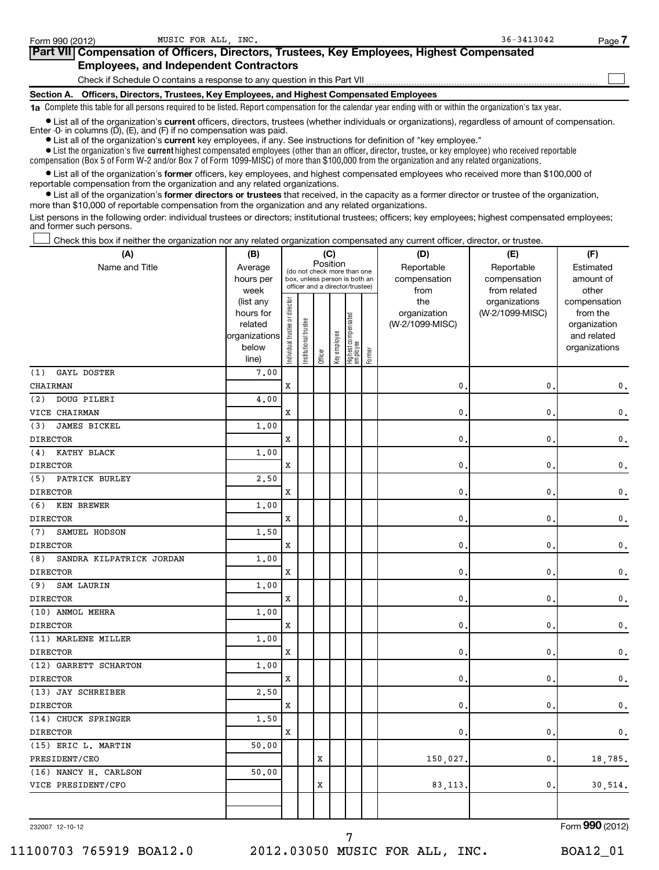| Form 990 (2012)                                                                            | MUSIC FOR ALL INC.                                                                                                                                                                                                          | $36 - 3413042$ | Page |  |  |  |  |  |  |
|--------------------------------------------------------------------------------------------|-----------------------------------------------------------------------------------------------------------------------------------------------------------------------------------------------------------------------------|----------------|------|--|--|--|--|--|--|
| Part VII Compensation of Officers, Directors, Trustees, Key Employees, Highest Compensated |                                                                                                                                                                                                                             |                |      |  |  |  |  |  |  |
|                                                                                            | <b>Employees, and Independent Contractors</b>                                                                                                                                                                               |                |      |  |  |  |  |  |  |
|                                                                                            | Check if Schedule O contains a response to any question in this Part VII                                                                                                                                                    |                |      |  |  |  |  |  |  |
|                                                                                            | Section A. Officers, Directors, Trustees, Key Employees, and Highest Compensated Employees                                                                                                                                  |                |      |  |  |  |  |  |  |
|                                                                                            | 1a Complete this table for all persons required to be listed. Report compensation for the calendar year ending with or within the organization's tax year.                                                                  |                |      |  |  |  |  |  |  |
|                                                                                            | • List all of the organization's current officers, directors, trustees (whether individuals or organizations), regardless of amount of compensation.<br>Enter -0- in columns (D), (E), and (F) if no compensation was paid. |                |      |  |  |  |  |  |  |

**•** List all of the organization's **current** key employees, if any. See instructions for definition of "key employee."

 $\bullet$  List the organization's five  $\tt current$  highest compensated employees (other than an officer, director, trustee, or key employee) who received reportable compensation (Box 5 of Form W-2 and/or Box 7 of Form 1099-MISC) of more than \$100,000 from the organization and any related organizations .

 $\bullet$  List all of the organization's former officers, key employees, and highest compensated employees who received more than \$100,000 of reportable compensation from the organization and any related organizations.

**•** List all of the organization's former directors or trustees that received, in the capacity as a former director or trustee of the organization, more than \$10,000 of reportable compensation from the organization and any related organizations.

List persons in the following order: individual trustees or directors; institutional trustees; officers; key employees; highest compensated employees; and former such persons.

Check this box if neither the organization nor any related organization compensated any current officer, director, or trustee.  $\left\vert \cdot\right\vert$ 

| Position<br>Reportable<br>Reportable<br>Name and Title<br>Average<br>Estimated<br>(do not check more than one<br>hours per<br>box, unless person is both an<br>compensation<br>compensation<br>amount of<br>officer and a director/trustee)<br>week<br>from<br>from related<br>other<br>Individual trustee or director<br>the<br>(list any<br>organizations<br>compensation<br>hours for<br>organization<br>(W-2/1099-MISC)<br>from the<br>Highest compensated<br>employee<br>Institutional trustee<br>related<br>(W-2/1099-MISC)<br>organization<br>Key employee<br>organizations<br>and related<br>below<br>organizations<br>Former<br>Officer<br>line)<br>7.00<br>(1)<br>GAYL DOSTER<br>$\mathbf x$<br>CHAIRMAN<br>0<br>0<br>(2)<br>DOUG PILERI<br>4,00<br>X<br>VICE CHAIRMAN<br>0<br>0<br>JAMES BICKEL<br>(3)<br>1,00<br><b>DIRECTOR</b><br>X<br>0<br>0<br>KATHY BLACK<br>1.00<br>(4)<br><b>DIRECTOR</b><br>X<br>0<br>0<br>PATRICK BURLEY<br>2.50<br>(5)<br>X<br>0<br>0<br><b>DIRECTOR</b><br>(6)<br>KEN BREWER<br>1.00<br>X<br>0<br>0<br><b>DIRECTOR</b><br>SAMUEL HODSON<br>1.50<br>(7)<br><b>DIRECTOR</b><br>X<br>0<br>0<br>1.00<br>(8)<br>SANDRA KILPATRICK JORDAN<br><b>DIRECTOR</b><br>X<br>0<br>0<br>SAM LAURIN<br>1.00<br>(9)<br><b>DIRECTOR</b><br>X<br>0<br>0<br>(10) ANMOL MEHRA<br>1.00<br><b>DIRECTOR</b><br>X<br>0<br>0<br>(11) MARLENE MILLER<br>1.00<br><b>DIRECTOR</b><br>X<br>0<br>0<br>(12) GARRETT SCHARTON<br>1.00<br>$\mathbf x$<br><b>DIRECTOR</b><br>0<br>0<br>2.50<br>(13) JAY SCHREIBER<br><b>DIRECTOR</b><br>X<br>$\mathbf{0}$ .<br>0<br>(14) CHUCK SPRINGER<br>1,50<br><b>DIRECTOR</b><br>X<br>$\mathbf{0}$ .<br>$\mathbf{0}$ .<br>(15) ERIC L. MARTIN<br>50.00<br>PRESIDENT/CEO<br>X<br>150,027.<br>$\mathbf{0}$ .<br>(16) NANCY H. CARLSON<br>50.00<br>VICE PRESIDENT/CFO<br>X<br>83, 113.<br>0. | (A) | (B) | (C) |  |  |  |  |  | (D) | (E) | (F)           |  |  |
|------------------------------------------------------------------------------------------------------------------------------------------------------------------------------------------------------------------------------------------------------------------------------------------------------------------------------------------------------------------------------------------------------------------------------------------------------------------------------------------------------------------------------------------------------------------------------------------------------------------------------------------------------------------------------------------------------------------------------------------------------------------------------------------------------------------------------------------------------------------------------------------------------------------------------------------------------------------------------------------------------------------------------------------------------------------------------------------------------------------------------------------------------------------------------------------------------------------------------------------------------------------------------------------------------------------------------------------------------------------------------------------------------------------------------------------------------------------------------------------------------------------------------------------------------------------------------------------------------------------------------------------------------------------------------------------------------------------------------------------------------------------------------------------------------------------------------------|-----|-----|-----|--|--|--|--|--|-----|-----|---------------|--|--|
|                                                                                                                                                                                                                                                                                                                                                                                                                                                                                                                                                                                                                                                                                                                                                                                                                                                                                                                                                                                                                                                                                                                                                                                                                                                                                                                                                                                                                                                                                                                                                                                                                                                                                                                                                                                                                                    |     |     |     |  |  |  |  |  |     |     |               |  |  |
|                                                                                                                                                                                                                                                                                                                                                                                                                                                                                                                                                                                                                                                                                                                                                                                                                                                                                                                                                                                                                                                                                                                                                                                                                                                                                                                                                                                                                                                                                                                                                                                                                                                                                                                                                                                                                                    |     |     |     |  |  |  |  |  |     |     |               |  |  |
|                                                                                                                                                                                                                                                                                                                                                                                                                                                                                                                                                                                                                                                                                                                                                                                                                                                                                                                                                                                                                                                                                                                                                                                                                                                                                                                                                                                                                                                                                                                                                                                                                                                                                                                                                                                                                                    |     |     |     |  |  |  |  |  |     |     |               |  |  |
|                                                                                                                                                                                                                                                                                                                                                                                                                                                                                                                                                                                                                                                                                                                                                                                                                                                                                                                                                                                                                                                                                                                                                                                                                                                                                                                                                                                                                                                                                                                                                                                                                                                                                                                                                                                                                                    |     |     |     |  |  |  |  |  |     |     |               |  |  |
|                                                                                                                                                                                                                                                                                                                                                                                                                                                                                                                                                                                                                                                                                                                                                                                                                                                                                                                                                                                                                                                                                                                                                                                                                                                                                                                                                                                                                                                                                                                                                                                                                                                                                                                                                                                                                                    |     |     |     |  |  |  |  |  |     |     |               |  |  |
|                                                                                                                                                                                                                                                                                                                                                                                                                                                                                                                                                                                                                                                                                                                                                                                                                                                                                                                                                                                                                                                                                                                                                                                                                                                                                                                                                                                                                                                                                                                                                                                                                                                                                                                                                                                                                                    |     |     |     |  |  |  |  |  |     |     |               |  |  |
|                                                                                                                                                                                                                                                                                                                                                                                                                                                                                                                                                                                                                                                                                                                                                                                                                                                                                                                                                                                                                                                                                                                                                                                                                                                                                                                                                                                                                                                                                                                                                                                                                                                                                                                                                                                                                                    |     |     |     |  |  |  |  |  |     |     |               |  |  |
|                                                                                                                                                                                                                                                                                                                                                                                                                                                                                                                                                                                                                                                                                                                                                                                                                                                                                                                                                                                                                                                                                                                                                                                                                                                                                                                                                                                                                                                                                                                                                                                                                                                                                                                                                                                                                                    |     |     |     |  |  |  |  |  |     |     |               |  |  |
|                                                                                                                                                                                                                                                                                                                                                                                                                                                                                                                                                                                                                                                                                                                                                                                                                                                                                                                                                                                                                                                                                                                                                                                                                                                                                                                                                                                                                                                                                                                                                                                                                                                                                                                                                                                                                                    |     |     |     |  |  |  |  |  |     |     |               |  |  |
|                                                                                                                                                                                                                                                                                                                                                                                                                                                                                                                                                                                                                                                                                                                                                                                                                                                                                                                                                                                                                                                                                                                                                                                                                                                                                                                                                                                                                                                                                                                                                                                                                                                                                                                                                                                                                                    |     |     |     |  |  |  |  |  |     |     | 0.            |  |  |
|                                                                                                                                                                                                                                                                                                                                                                                                                                                                                                                                                                                                                                                                                                                                                                                                                                                                                                                                                                                                                                                                                                                                                                                                                                                                                                                                                                                                                                                                                                                                                                                                                                                                                                                                                                                                                                    |     |     |     |  |  |  |  |  |     |     |               |  |  |
|                                                                                                                                                                                                                                                                                                                                                                                                                                                                                                                                                                                                                                                                                                                                                                                                                                                                                                                                                                                                                                                                                                                                                                                                                                                                                                                                                                                                                                                                                                                                                                                                                                                                                                                                                                                                                                    |     |     |     |  |  |  |  |  |     |     | 0.            |  |  |
|                                                                                                                                                                                                                                                                                                                                                                                                                                                                                                                                                                                                                                                                                                                                                                                                                                                                                                                                                                                                                                                                                                                                                                                                                                                                                                                                                                                                                                                                                                                                                                                                                                                                                                                                                                                                                                    |     |     |     |  |  |  |  |  |     |     |               |  |  |
|                                                                                                                                                                                                                                                                                                                                                                                                                                                                                                                                                                                                                                                                                                                                                                                                                                                                                                                                                                                                                                                                                                                                                                                                                                                                                                                                                                                                                                                                                                                                                                                                                                                                                                                                                                                                                                    |     |     |     |  |  |  |  |  |     |     | 0.            |  |  |
|                                                                                                                                                                                                                                                                                                                                                                                                                                                                                                                                                                                                                                                                                                                                                                                                                                                                                                                                                                                                                                                                                                                                                                                                                                                                                                                                                                                                                                                                                                                                                                                                                                                                                                                                                                                                                                    |     |     |     |  |  |  |  |  |     |     |               |  |  |
|                                                                                                                                                                                                                                                                                                                                                                                                                                                                                                                                                                                                                                                                                                                                                                                                                                                                                                                                                                                                                                                                                                                                                                                                                                                                                                                                                                                                                                                                                                                                                                                                                                                                                                                                                                                                                                    |     |     |     |  |  |  |  |  |     |     | $\mathbf 0$ . |  |  |
|                                                                                                                                                                                                                                                                                                                                                                                                                                                                                                                                                                                                                                                                                                                                                                                                                                                                                                                                                                                                                                                                                                                                                                                                                                                                                                                                                                                                                                                                                                                                                                                                                                                                                                                                                                                                                                    |     |     |     |  |  |  |  |  |     |     |               |  |  |
|                                                                                                                                                                                                                                                                                                                                                                                                                                                                                                                                                                                                                                                                                                                                                                                                                                                                                                                                                                                                                                                                                                                                                                                                                                                                                                                                                                                                                                                                                                                                                                                                                                                                                                                                                                                                                                    |     |     |     |  |  |  |  |  |     |     | 0.            |  |  |
|                                                                                                                                                                                                                                                                                                                                                                                                                                                                                                                                                                                                                                                                                                                                                                                                                                                                                                                                                                                                                                                                                                                                                                                                                                                                                                                                                                                                                                                                                                                                                                                                                                                                                                                                                                                                                                    |     |     |     |  |  |  |  |  |     |     |               |  |  |
|                                                                                                                                                                                                                                                                                                                                                                                                                                                                                                                                                                                                                                                                                                                                                                                                                                                                                                                                                                                                                                                                                                                                                                                                                                                                                                                                                                                                                                                                                                                                                                                                                                                                                                                                                                                                                                    |     |     |     |  |  |  |  |  |     |     | $\mathbf 0$ . |  |  |
|                                                                                                                                                                                                                                                                                                                                                                                                                                                                                                                                                                                                                                                                                                                                                                                                                                                                                                                                                                                                                                                                                                                                                                                                                                                                                                                                                                                                                                                                                                                                                                                                                                                                                                                                                                                                                                    |     |     |     |  |  |  |  |  |     |     |               |  |  |
|                                                                                                                                                                                                                                                                                                                                                                                                                                                                                                                                                                                                                                                                                                                                                                                                                                                                                                                                                                                                                                                                                                                                                                                                                                                                                                                                                                                                                                                                                                                                                                                                                                                                                                                                                                                                                                    |     |     |     |  |  |  |  |  |     |     | 0.            |  |  |
|                                                                                                                                                                                                                                                                                                                                                                                                                                                                                                                                                                                                                                                                                                                                                                                                                                                                                                                                                                                                                                                                                                                                                                                                                                                                                                                                                                                                                                                                                                                                                                                                                                                                                                                                                                                                                                    |     |     |     |  |  |  |  |  |     |     |               |  |  |
|                                                                                                                                                                                                                                                                                                                                                                                                                                                                                                                                                                                                                                                                                                                                                                                                                                                                                                                                                                                                                                                                                                                                                                                                                                                                                                                                                                                                                                                                                                                                                                                                                                                                                                                                                                                                                                    |     |     |     |  |  |  |  |  |     |     | $\mathbf 0$ . |  |  |
|                                                                                                                                                                                                                                                                                                                                                                                                                                                                                                                                                                                                                                                                                                                                                                                                                                                                                                                                                                                                                                                                                                                                                                                                                                                                                                                                                                                                                                                                                                                                                                                                                                                                                                                                                                                                                                    |     |     |     |  |  |  |  |  |     |     |               |  |  |
|                                                                                                                                                                                                                                                                                                                                                                                                                                                                                                                                                                                                                                                                                                                                                                                                                                                                                                                                                                                                                                                                                                                                                                                                                                                                                                                                                                                                                                                                                                                                                                                                                                                                                                                                                                                                                                    |     |     |     |  |  |  |  |  |     |     | 0.            |  |  |
|                                                                                                                                                                                                                                                                                                                                                                                                                                                                                                                                                                                                                                                                                                                                                                                                                                                                                                                                                                                                                                                                                                                                                                                                                                                                                                                                                                                                                                                                                                                                                                                                                                                                                                                                                                                                                                    |     |     |     |  |  |  |  |  |     |     |               |  |  |
|                                                                                                                                                                                                                                                                                                                                                                                                                                                                                                                                                                                                                                                                                                                                                                                                                                                                                                                                                                                                                                                                                                                                                                                                                                                                                                                                                                                                                                                                                                                                                                                                                                                                                                                                                                                                                                    |     |     |     |  |  |  |  |  |     |     | $\mathbf 0$ . |  |  |
|                                                                                                                                                                                                                                                                                                                                                                                                                                                                                                                                                                                                                                                                                                                                                                                                                                                                                                                                                                                                                                                                                                                                                                                                                                                                                                                                                                                                                                                                                                                                                                                                                                                                                                                                                                                                                                    |     |     |     |  |  |  |  |  |     |     |               |  |  |
|                                                                                                                                                                                                                                                                                                                                                                                                                                                                                                                                                                                                                                                                                                                                                                                                                                                                                                                                                                                                                                                                                                                                                                                                                                                                                                                                                                                                                                                                                                                                                                                                                                                                                                                                                                                                                                    |     |     |     |  |  |  |  |  |     |     | 0.            |  |  |
|                                                                                                                                                                                                                                                                                                                                                                                                                                                                                                                                                                                                                                                                                                                                                                                                                                                                                                                                                                                                                                                                                                                                                                                                                                                                                                                                                                                                                                                                                                                                                                                                                                                                                                                                                                                                                                    |     |     |     |  |  |  |  |  |     |     |               |  |  |
|                                                                                                                                                                                                                                                                                                                                                                                                                                                                                                                                                                                                                                                                                                                                                                                                                                                                                                                                                                                                                                                                                                                                                                                                                                                                                                                                                                                                                                                                                                                                                                                                                                                                                                                                                                                                                                    |     |     |     |  |  |  |  |  |     |     | $\mathbf 0$ . |  |  |
|                                                                                                                                                                                                                                                                                                                                                                                                                                                                                                                                                                                                                                                                                                                                                                                                                                                                                                                                                                                                                                                                                                                                                                                                                                                                                                                                                                                                                                                                                                                                                                                                                                                                                                                                                                                                                                    |     |     |     |  |  |  |  |  |     |     |               |  |  |
|                                                                                                                                                                                                                                                                                                                                                                                                                                                                                                                                                                                                                                                                                                                                                                                                                                                                                                                                                                                                                                                                                                                                                                                                                                                                                                                                                                                                                                                                                                                                                                                                                                                                                                                                                                                                                                    |     |     |     |  |  |  |  |  |     |     | 0.            |  |  |
|                                                                                                                                                                                                                                                                                                                                                                                                                                                                                                                                                                                                                                                                                                                                                                                                                                                                                                                                                                                                                                                                                                                                                                                                                                                                                                                                                                                                                                                                                                                                                                                                                                                                                                                                                                                                                                    |     |     |     |  |  |  |  |  |     |     |               |  |  |
|                                                                                                                                                                                                                                                                                                                                                                                                                                                                                                                                                                                                                                                                                                                                                                                                                                                                                                                                                                                                                                                                                                                                                                                                                                                                                                                                                                                                                                                                                                                                                                                                                                                                                                                                                                                                                                    |     |     |     |  |  |  |  |  |     |     | $\mathbf 0$ . |  |  |
|                                                                                                                                                                                                                                                                                                                                                                                                                                                                                                                                                                                                                                                                                                                                                                                                                                                                                                                                                                                                                                                                                                                                                                                                                                                                                                                                                                                                                                                                                                                                                                                                                                                                                                                                                                                                                                    |     |     |     |  |  |  |  |  |     |     |               |  |  |
|                                                                                                                                                                                                                                                                                                                                                                                                                                                                                                                                                                                                                                                                                                                                                                                                                                                                                                                                                                                                                                                                                                                                                                                                                                                                                                                                                                                                                                                                                                                                                                                                                                                                                                                                                                                                                                    |     |     |     |  |  |  |  |  |     |     | 18,785.       |  |  |
|                                                                                                                                                                                                                                                                                                                                                                                                                                                                                                                                                                                                                                                                                                                                                                                                                                                                                                                                                                                                                                                                                                                                                                                                                                                                                                                                                                                                                                                                                                                                                                                                                                                                                                                                                                                                                                    |     |     |     |  |  |  |  |  |     |     |               |  |  |
|                                                                                                                                                                                                                                                                                                                                                                                                                                                                                                                                                                                                                                                                                                                                                                                                                                                                                                                                                                                                                                                                                                                                                                                                                                                                                                                                                                                                                                                                                                                                                                                                                                                                                                                                                                                                                                    |     |     |     |  |  |  |  |  |     |     | 30,514.       |  |  |
|                                                                                                                                                                                                                                                                                                                                                                                                                                                                                                                                                                                                                                                                                                                                                                                                                                                                                                                                                                                                                                                                                                                                                                                                                                                                                                                                                                                                                                                                                                                                                                                                                                                                                                                                                                                                                                    |     |     |     |  |  |  |  |  |     |     |               |  |  |
|                                                                                                                                                                                                                                                                                                                                                                                                                                                                                                                                                                                                                                                                                                                                                                                                                                                                                                                                                                                                                                                                                                                                                                                                                                                                                                                                                                                                                                                                                                                                                                                                                                                                                                                                                                                                                                    |     |     |     |  |  |  |  |  |     |     |               |  |  |

232007 12-10-12

Form (2012) **990**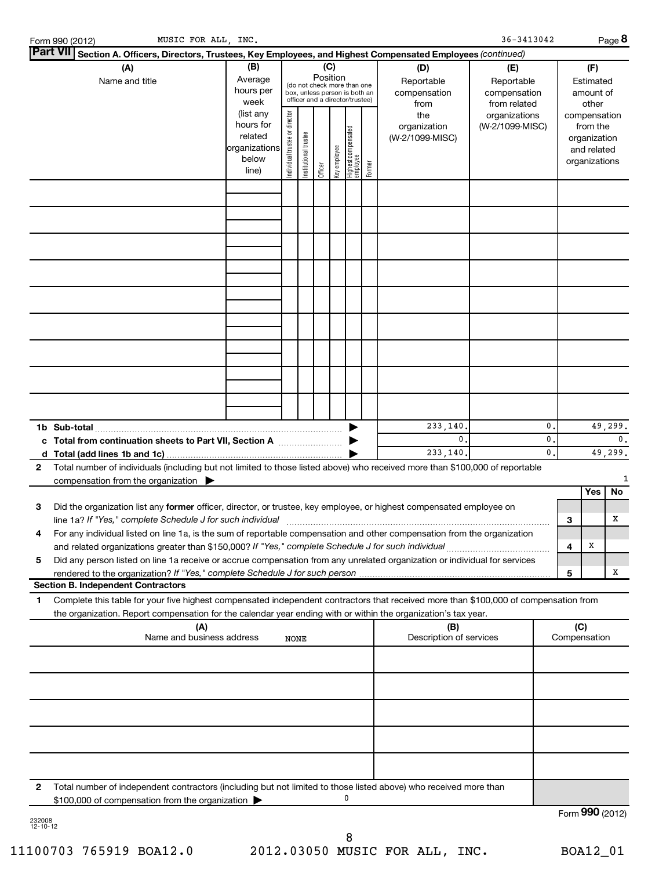| MUSIC FOR ALL, INC.<br>Form 990 (2012)                                                                                                                                                                                                                                                                                                                                  |                                                                                           |                                |                       |         |              |                                                                                                 |        |                                                                                     | 36-3413042                                                                            |                |                     |                                                                                                   | Page 8          |
|-------------------------------------------------------------------------------------------------------------------------------------------------------------------------------------------------------------------------------------------------------------------------------------------------------------------------------------------------------------------------|-------------------------------------------------------------------------------------------|--------------------------------|-----------------------|---------|--------------|-------------------------------------------------------------------------------------------------|--------|-------------------------------------------------------------------------------------|---------------------------------------------------------------------------------------|----------------|---------------------|---------------------------------------------------------------------------------------------------|-----------------|
| <b>Part VII</b><br>Section A. Officers, Directors, Trustees, Key Employees, and Highest Compensated Employees (continued)                                                                                                                                                                                                                                               |                                                                                           |                                |                       |         |              |                                                                                                 |        |                                                                                     |                                                                                       |                |                     |                                                                                                   |                 |
| (A)<br>Name and title                                                                                                                                                                                                                                                                                                                                                   | (B)<br>Average<br>hours per<br>week<br>(list any<br>hours for<br>related<br>organizations | Individual trustee or director |                       | (C)     | Position     | (do not check more than one<br>box, unless person is both an<br>officer and a director/trustee) |        | (D)<br>Reportable<br>compensation<br>from<br>the<br>organization<br>(W-2/1099-MISC) | (E)<br>Reportable<br>compensation<br>from related<br>organizations<br>(W-2/1099-MISC) |                |                     | (F)<br>Estimated<br>amount of<br>other<br>compensation<br>from the<br>organization<br>and related |                 |
|                                                                                                                                                                                                                                                                                                                                                                         | below<br>line)                                                                            |                                | Institutional trustee | Officer | Key employee | Highest compensated<br>employee                                                                 | Former |                                                                                     |                                                                                       |                |                     | organizations                                                                                     |                 |
|                                                                                                                                                                                                                                                                                                                                                                         |                                                                                           |                                |                       |         |              |                                                                                                 |        |                                                                                     |                                                                                       |                |                     |                                                                                                   |                 |
|                                                                                                                                                                                                                                                                                                                                                                         |                                                                                           |                                |                       |         |              |                                                                                                 |        |                                                                                     |                                                                                       |                |                     |                                                                                                   |                 |
|                                                                                                                                                                                                                                                                                                                                                                         |                                                                                           |                                |                       |         |              |                                                                                                 |        |                                                                                     |                                                                                       |                |                     |                                                                                                   |                 |
| 1b Sub-total<br>c Total from continuation sheets to Part VII, Section A                                                                                                                                                                                                                                                                                                 |                                                                                           |                                |                       |         |              |                                                                                                 |        | 233,140.<br>0.                                                                      |                                                                                       | 0<br>0         |                     |                                                                                                   | 49,299.<br>0.   |
| Total number of individuals (including but not limited to those listed above) who received more than \$100,000 of reportable<br>$\mathbf{2}$<br>compensation from the organization $\blacktriangleright$                                                                                                                                                                |                                                                                           |                                |                       |         |              |                                                                                                 |        | 233,140.                                                                            |                                                                                       | $\mathbf{0}$ . |                     |                                                                                                   | 49,299.         |
| 3<br>Did the organization list any former officer, director, or trustee, key employee, or highest compensated employee on<br>line 1a? If "Yes," complete Schedule J for such individual                                                                                                                                                                                 |                                                                                           |                                |                       |         |              |                                                                                                 |        |                                                                                     |                                                                                       |                | з                   | Yes                                                                                               | No<br>х         |
| For any individual listed on line 1a, is the sum of reportable compensation and other compensation from the organization<br>4<br>and related organizations greater than \$150,000? If "Yes," complete Schedule J for such individual<br>Did any person listed on line 1a receive or accrue compensation from any unrelated organization or individual for services<br>5 |                                                                                           |                                |                       |         |              |                                                                                                 |        |                                                                                     |                                                                                       |                | 4                   | Χ                                                                                                 |                 |
| rendered to the organization? If "Yes," complete Schedule J for such person.<br><b>Section B. Independent Contractors</b>                                                                                                                                                                                                                                               |                                                                                           |                                |                       |         |              |                                                                                                 |        |                                                                                     |                                                                                       |                | 5                   |                                                                                                   | х               |
| Complete this table for your five highest compensated independent contractors that received more than \$100,000 of compensation from<br>1<br>the organization. Report compensation for the calendar year ending with or within the organization's tax year.                                                                                                             |                                                                                           |                                |                       |         |              |                                                                                                 |        |                                                                                     |                                                                                       |                |                     |                                                                                                   |                 |
| (A)<br>Name and business address                                                                                                                                                                                                                                                                                                                                        |                                                                                           | <b>NONE</b>                    |                       |         |              |                                                                                                 |        | (B)<br>Description of services                                                      |                                                                                       |                | (C)<br>Compensation |                                                                                                   |                 |
|                                                                                                                                                                                                                                                                                                                                                                         |                                                                                           |                                |                       |         |              |                                                                                                 |        |                                                                                     |                                                                                       |                |                     |                                                                                                   |                 |
|                                                                                                                                                                                                                                                                                                                                                                         |                                                                                           |                                |                       |         |              |                                                                                                 |        |                                                                                     |                                                                                       |                |                     |                                                                                                   |                 |
|                                                                                                                                                                                                                                                                                                                                                                         |                                                                                           |                                |                       |         |              |                                                                                                 |        |                                                                                     |                                                                                       |                |                     |                                                                                                   |                 |
| Total number of independent contractors (including but not limited to those listed above) who received more than<br>2<br>\$100,000 of compensation from the organization<br>232008                                                                                                                                                                                      |                                                                                           |                                |                       |         |              | 0                                                                                               |        |                                                                                     |                                                                                       |                |                     |                                                                                                   | Form 990 (2012) |

232008 12-10-12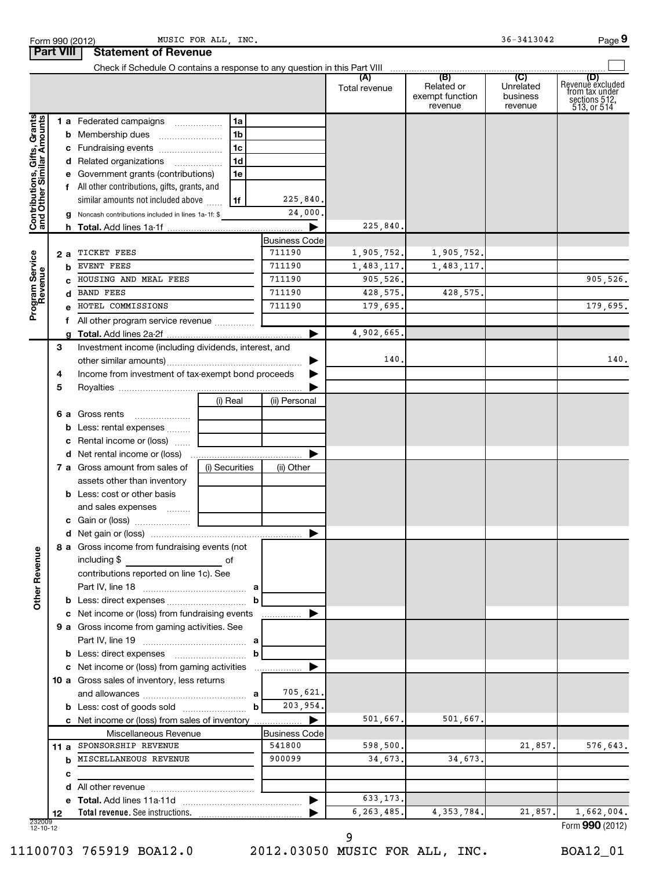|                                                           |     | Check if Schedule O contains a response to any question in this Part VIII |                |                                |               |                               |                       |                                    |
|-----------------------------------------------------------|-----|---------------------------------------------------------------------------|----------------|--------------------------------|---------------|-------------------------------|-----------------------|------------------------------------|
|                                                           |     |                                                                           |                |                                | (A)           | (B)                           | (C)                   | (D)                                |
|                                                           |     |                                                                           |                |                                | Total revenue | Related or<br>exempt function | Unrelated<br>business | Revenuè excluded<br>from tax under |
|                                                           |     |                                                                           |                |                                |               | revenue                       | revenue               | sections 512,<br>513, or 514       |
|                                                           |     | 1 a Federated campaigns                                                   | 1a             |                                |               |                               |                       |                                    |
| Contributions, Gifts, Grants<br>and Other Similar Amounts |     | <b>b</b> Membership dues                                                  | 1 <sub>b</sub> |                                |               |                               |                       |                                    |
|                                                           |     | c Fundraising events                                                      | 1 <sub>c</sub> |                                |               |                               |                       |                                    |
|                                                           |     | d Related organizations                                                   | 1 <sub>d</sub> |                                |               |                               |                       |                                    |
|                                                           |     | e Government grants (contributions)                                       | 1e             |                                |               |                               |                       |                                    |
|                                                           |     | All other contributions, gifts, grants, and                               |                |                                |               |                               |                       |                                    |
|                                                           |     | similar amounts not included above                                        | 1f             | 225,840.                       |               |                               |                       |                                    |
|                                                           |     | g Noncash contributions included in lines 1a-1f: \$                       |                | 24,000                         |               |                               |                       |                                    |
|                                                           |     |                                                                           |                |                                | 225,840       |                               |                       |                                    |
|                                                           |     |                                                                           |                | <b>Business Code</b>           |               |                               |                       |                                    |
|                                                           | 2 a | TICKET FEES                                                               |                | 711190                         | 1,905,752.    | 1,905,752.                    |                       |                                    |
|                                                           | b   | EVENT FEES                                                                |                | 711190                         | 1,483,117.    | 1,483,117.                    |                       |                                    |
| Program Service                                           |     | HOUSING AND MEAL FEES                                                     |                | 711190                         | 905,526.      |                               |                       | 905,526.                           |
|                                                           |     | <b>BAND FEES</b>                                                          |                | 711190                         | 428,575.      | 428,575.                      |                       |                                    |
|                                                           |     | HOTEL COMMISSIONS                                                         |                | 711190                         | 179,695.      |                               |                       | 179,695.                           |
|                                                           |     | All other program service revenue                                         |                |                                |               |                               |                       |                                    |
|                                                           |     |                                                                           |                |                                | 4,902,665.    |                               |                       |                                    |
|                                                           | 3   | Investment income (including dividends, interest, and                     |                |                                | 140           |                               |                       | 140.                               |
|                                                           |     |                                                                           |                |                                |               |                               |                       |                                    |
|                                                           | 4   | Income from investment of tax-exempt bond proceeds                        |                |                                |               |                               |                       |                                    |
|                                                           | 5   |                                                                           | (i) Real       | (ii) Personal                  |               |                               |                       |                                    |
|                                                           |     | 6 a Gross rents                                                           |                |                                |               |                               |                       |                                    |
|                                                           |     | <b>b</b> Less: rental expenses <i></i>                                    |                |                                |               |                               |                       |                                    |
|                                                           |     | c Rental income or (loss)                                                 |                |                                |               |                               |                       |                                    |
|                                                           |     |                                                                           |                |                                |               |                               |                       |                                    |
|                                                           |     | <b>7 a</b> Gross amount from sales of                                     | (i) Securities | (ii) Other                     |               |                               |                       |                                    |
|                                                           |     | assets other than inventory                                               |                |                                |               |                               |                       |                                    |
|                                                           |     | <b>b</b> Less: cost or other basis                                        |                |                                |               |                               |                       |                                    |
|                                                           |     | and sales expenses                                                        |                |                                |               |                               |                       |                                    |
|                                                           |     |                                                                           |                |                                |               |                               |                       |                                    |
|                                                           |     |                                                                           |                |                                |               |                               |                       |                                    |
|                                                           |     | 8 a Gross income from fundraising events (not                             |                |                                |               |                               |                       |                                    |
| å                                                         |     | including \$                                                              | of             |                                |               |                               |                       |                                    |
|                                                           |     | contributions reported on line 1c). See                                   |                |                                |               |                               |                       |                                    |
|                                                           |     |                                                                           |                |                                |               |                               |                       |                                    |
| Other Reven                                               |     |                                                                           |                | b                              |               |                               |                       |                                    |
|                                                           |     | c Net income or (loss) from fundraising events                            |                |                                |               |                               |                       |                                    |
|                                                           |     | 9 a Gross income from gaming activities. See                              |                |                                |               |                               |                       |                                    |
|                                                           |     |                                                                           |                |                                |               |                               |                       |                                    |
|                                                           |     | <b>b</b> Less: direct expenses <b>contained b</b> Less: direct expenses   |                | b                              |               |                               |                       |                                    |
|                                                           |     | c Net income or (loss) from gaming activities                             |                | 1.11                           |               |                               |                       |                                    |
|                                                           |     | 10 a Gross sales of inventory, less returns                               |                |                                |               |                               |                       |                                    |
|                                                           |     |                                                                           |                | 705,621.<br>a                  |               |                               |                       |                                    |
|                                                           |     | <b>b</b> Less: cost of goods sold                                         |                | 203,954.<br>b                  |               |                               |                       |                                    |
|                                                           |     | c Net income or (loss) from sales of inventory                            |                |                                | 501,667.      | 501,667.                      |                       |                                    |
|                                                           |     | Miscellaneous Revenue<br>11 a SPONSORSHIP REVENUE                         |                | <b>Business Code</b><br>541800 | 598,500.      |                               |                       |                                    |
|                                                           |     | MISCELLANEOUS REVENUE                                                     |                | 900099                         | 34,673.       | 34,673.                       | 21,857.               | 576,643.                           |
|                                                           |     |                                                                           |                |                                |               |                               |                       |                                    |
|                                                           | с   |                                                                           |                |                                |               |                               |                       |                                    |
|                                                           |     |                                                                           |                |                                | 633, 173.     |                               |                       |                                    |
|                                                           | 12  | Total revenue. See instructions.                                          |                |                                | 6, 263, 485.  | 4, 353, 784.                  | 21,857.               | 1,662,004.                         |
| 232009<br>12-10-12                                        |     |                                                                           |                |                                |               |                               |                       | Form 990 (2012)                    |

MUSIC FOR ALL, INC. 36-3413042

232009 12-10-12

**Part VIII Statement of Revenue**

9

11100703 765919 BOA12.0 2012.03050 MUSIC FOR ALL, INC. BOA12\_01

Form 990 (2012) MUSIC FOR ALL, INC. 36-3413042 Page **9**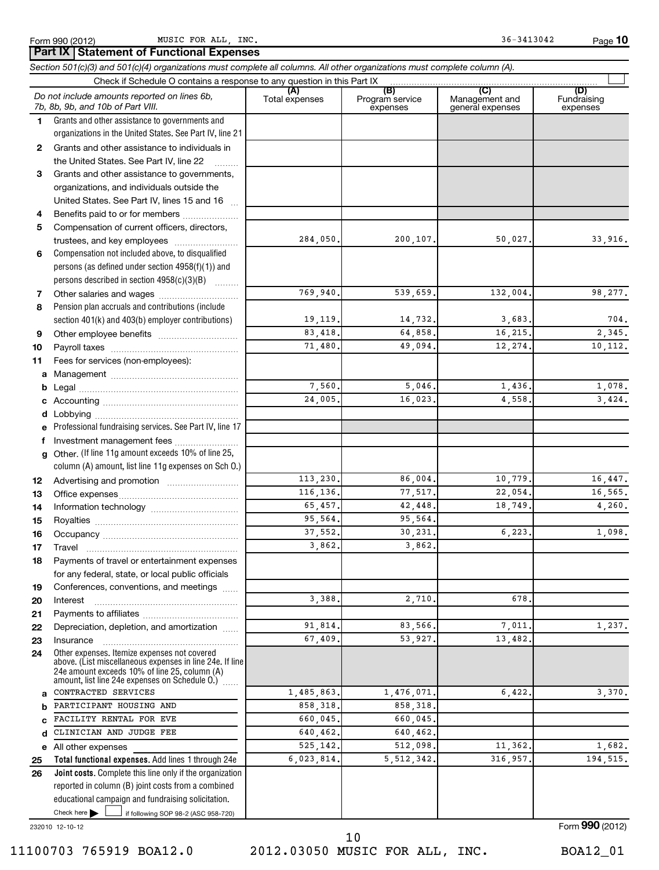Form 990 (2012) MUSIC\_FOR\_ALL,INC. 36-3413042 Page MUSIC FOR ALL, INC. 36-3413042

**10**

|        | Part IX   Statement of Functional Expenses<br>Section 501(c)(3) and 501(c)(4) organizations must complete all columns. All other organizations must complete column (A). |                       |                                    |                                           |                                |
|--------|--------------------------------------------------------------------------------------------------------------------------------------------------------------------------|-----------------------|------------------------------------|-------------------------------------------|--------------------------------|
|        | Check if Schedule O contains a response to any question in this Part IX                                                                                                  |                       |                                    |                                           |                                |
|        | Do not include amounts reported on lines 6b,<br>7b, 8b, 9b, and 10b of Part VIII.                                                                                        | (A)<br>Total expenses | (B)<br>Program service<br>expenses | (C)<br>Management and<br>general expenses | (D)<br>Fundraising<br>expenses |
| 1.     | Grants and other assistance to governments and                                                                                                                           |                       |                                    |                                           |                                |
|        | organizations in the United States. See Part IV, line 21                                                                                                                 |                       |                                    |                                           |                                |
| 2      | Grants and other assistance to individuals in                                                                                                                            |                       |                                    |                                           |                                |
|        | the United States. See Part IV, line 22                                                                                                                                  |                       |                                    |                                           |                                |
| 3      | Grants and other assistance to governments,                                                                                                                              |                       |                                    |                                           |                                |
|        | organizations, and individuals outside the                                                                                                                               |                       |                                    |                                           |                                |
|        | United States. See Part IV, lines 15 and 16                                                                                                                              |                       |                                    |                                           |                                |
| 4      | Benefits paid to or for members                                                                                                                                          |                       |                                    |                                           |                                |
| 5      | Compensation of current officers, directors,                                                                                                                             |                       |                                    |                                           |                                |
|        | trustees, and key employees                                                                                                                                              | 284,050.              | 200, 107.                          | 50,027.                                   | 33,916.                        |
| 6      | Compensation not included above, to disqualified<br>persons (as defined under section 4958(f)(1)) and                                                                    |                       |                                    |                                           |                                |
|        | persons described in section 4958(c)(3)(B)                                                                                                                               |                       |                                    |                                           |                                |
|        | $\sim$                                                                                                                                                                   | 769,940.              | 539,659.                           | 132,004.                                  | 98,277.                        |
| 7<br>8 | Pension plan accruals and contributions (include                                                                                                                         |                       |                                    |                                           |                                |
|        | section 401(k) and 403(b) employer contributions)                                                                                                                        | 19,119.               | 14,732.                            | 3,683.                                    | 704.                           |
| 9      |                                                                                                                                                                          | 83,418.               | 64,858,                            | 16,215.                                   | 2,345.                         |
| 10     |                                                                                                                                                                          | 71,480.               | 49,094.                            | 12,274.                                   | 10,112.                        |
| 11     | Fees for services (non-employees):                                                                                                                                       |                       |                                    |                                           |                                |
| а      |                                                                                                                                                                          |                       |                                    |                                           |                                |
| b      |                                                                                                                                                                          | 7,560.                | 5,046                              | 1,436.                                    | 1,078.                         |
|        |                                                                                                                                                                          | 24,005.               | 16,023                             | 4,558.                                    | 3, 424.                        |
| d      | Lobbying                                                                                                                                                                 |                       |                                    |                                           |                                |
|        | Professional fundraising services. See Part IV, line 17                                                                                                                  |                       |                                    |                                           |                                |
| f      | Investment management fees                                                                                                                                               |                       |                                    |                                           |                                |
| g      | Other. (If line 11g amount exceeds 10% of line 25,                                                                                                                       |                       |                                    |                                           |                                |
|        | column (A) amount, list line 11g expenses on Sch O.)                                                                                                                     |                       |                                    |                                           |                                |
| 12     |                                                                                                                                                                          | 113,230.              | 86,004.                            | 10,779.                                   | 16,447.                        |
| 13     |                                                                                                                                                                          | 116,136.              | 77,517.                            | 22,054.                                   | 16,565.                        |
| 14     |                                                                                                                                                                          | 65,457.               | 42,448.                            | 18,749.                                   | 4,260.                         |
| 15     |                                                                                                                                                                          | 95,564.               | 95,564.                            |                                           |                                |
| 16     |                                                                                                                                                                          | 37,552.               | 30, 231.                           | 6,223.                                    | 1,098.                         |
| 17     | Travel                                                                                                                                                                   | 3,862.                | 3,862                              |                                           |                                |
| 18     | Payments of travel or entertainment expenses                                                                                                                             |                       |                                    |                                           |                                |
|        | for any federal, state, or local public officials                                                                                                                        |                       |                                    |                                           |                                |
| 19     | Conferences, conventions, and meetings                                                                                                                                   |                       |                                    |                                           |                                |
| 20     | Interest                                                                                                                                                                 | 3,388.                | 2,710.                             | 678.                                      |                                |
| 21     |                                                                                                                                                                          | 91,814.               | 83,566,                            | 7,011.                                    | 1,237.                         |
| 22     | Depreciation, depletion, and amortization                                                                                                                                | 67,409.               | 53,927.                            | 13,482.                                   |                                |
| 23     | Insurance<br>Other expenses. Itemize expenses not covered                                                                                                                |                       |                                    |                                           |                                |
| 24     | above. (List miscellaneous expenses in line 24e. If line<br>24e amount exceeds 10% of line 25, column (A)<br>amount, list line 24e expenses on Schedule O.)              |                       |                                    |                                           |                                |
| a      | CONTRACTED SERVICES                                                                                                                                                      | 1,485,863.            | 1,476,071.                         | 6,422.                                    | 3,370.                         |
| b      | PARTICIPANT HOUSING AND                                                                                                                                                  | 858,318.              | 858,318.                           |                                           |                                |
| C      | FACILITY RENTAL FOR EVE                                                                                                                                                  | 660,045.              | 660,045.                           |                                           |                                |
| d      | CLINICIAN AND JUDGE FEE                                                                                                                                                  | 640,462.              | 640,462.                           |                                           |                                |
|        | e All other expenses                                                                                                                                                     | 525,142.              | 512,098.                           | 11,362.                                   | 1,682.                         |
| 25     | Total functional expenses. Add lines 1 through 24e                                                                                                                       | 6,023,814.            | 5, 512, 342.                       | 316,957.                                  | 194,515.                       |
| 26     | Joint costs. Complete this line only if the organization                                                                                                                 |                       |                                    |                                           |                                |
|        | reported in column (B) joint costs from a combined                                                                                                                       |                       |                                    |                                           |                                |
|        | educational campaign and fundraising solicitation.                                                                                                                       |                       |                                    |                                           |                                |
|        | Check here $\blacktriangleright$<br>if following SOP 98-2 (ASC 958-720)                                                                                                  |                       |                                    |                                           |                                |

232010 12-10-12

Form **990** (2012)

<sup>11100703 765919</sup> BOA12.0 2012.03050 MUSIC FOR ALL, INC. BOA12\_01 10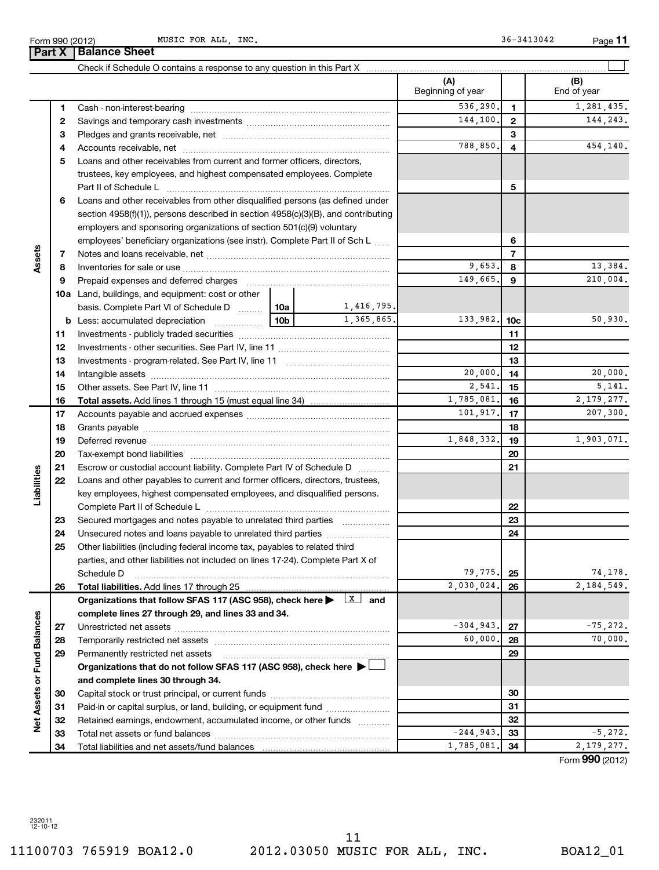232011 12-10-12

11100703 765919 BOA12.0 2012.03050 MUSIC FOR ALL, INC. BOA12\_01 11

| Form 990 | MUSIC<br>(2012)<br>______ | ALL<br><b>FOR</b> | INC.<br>____ | 3042<br><u>. д</u><br>_________ | Page |
|----------|---------------------------|-------------------|--------------|---------------------------------|------|
| Part X   | Sheet<br>.                |                   |              |                                 |      |

|                             |    |                                                                                   |                 |                          | (A)<br>Beginning of year |                 | (B)<br>End of year |
|-----------------------------|----|-----------------------------------------------------------------------------------|-----------------|--------------------------|--------------------------|-----------------|--------------------|
|                             | 1  |                                                                                   |                 |                          | 536,290.                 | $\mathbf{1}$    | 1,281,435.         |
|                             | 2  |                                                                                   |                 |                          | 144,100.                 | $\overline{2}$  | 144,243.           |
|                             | з  |                                                                                   |                 | 3                        |                          |                 |                    |
|                             | 4  |                                                                                   |                 |                          | 788,850.                 | 4               | 454,140.           |
|                             | 5  | Loans and other receivables from current and former officers, directors,          |                 |                          |                          |                 |                    |
|                             |    | trustees, key employees, and highest compensated employees. Complete              |                 |                          |                          |                 |                    |
|                             |    |                                                                                   |                 |                          |                          | 5               |                    |
|                             | 6  | Loans and other receivables from other disqualified persons (as defined under     |                 |                          |                          |                 |                    |
|                             |    | section 4958(f)(1)), persons described in section 4958(c)(3)(B), and contributing |                 |                          |                          |                 |                    |
|                             |    | employers and sponsoring organizations of section 501(c)(9) voluntary             |                 |                          |                          |                 |                    |
|                             |    | employees' beneficiary organizations (see instr). Complete Part II of Sch L       |                 |                          |                          | 6               |                    |
| Assets                      | 7  |                                                                                   |                 |                          |                          | $\overline{7}$  |                    |
|                             | 8  |                                                                                   |                 |                          | 9,653.                   | 8               | 13,384.            |
|                             | 9  | Prepaid expenses and deferred charges                                             |                 |                          | 149,665.                 | 9               | 210,004.           |
|                             |    | 10a Land, buildings, and equipment: cost or other                                 |                 |                          |                          |                 |                    |
|                             |    | basis. Complete Part VI of Schedule D  10a                                        |                 | 1,416,795.               |                          |                 |                    |
|                             |    | <b>b</b> Less: accumulated depreciation                                           | 10 <sub>b</sub> | 1,365,865.               | 133,982.                 | 10 <sub>c</sub> | 50,930.            |
|                             | 11 |                                                                                   |                 |                          |                          | 11              |                    |
|                             | 12 |                                                                                   |                 |                          |                          | 12              |                    |
|                             | 13 |                                                                                   |                 |                          |                          | 13              |                    |
|                             | 14 |                                                                                   |                 |                          | 20,000.                  | 14              | 20,000.            |
|                             | 15 |                                                                                   |                 |                          | 2,541.                   | 15              | 5,141.             |
|                             | 16 | <b>Total assets.</b> Add lines 1 through 15 (must equal line 34) <i></i>          |                 |                          | 1,785,081.               | 16              | 2, 179, 277.       |
|                             | 17 |                                                                                   |                 |                          | 101,917.                 | 17              | 207,300.           |
|                             | 18 |                                                                                   |                 |                          |                          | 18              |                    |
|                             | 19 |                                                                                   |                 |                          | 1,848,332.               | 19              | 1,903,071.         |
|                             | 20 |                                                                                   |                 |                          |                          | 20              |                    |
|                             | 21 | Escrow or custodial account liability. Complete Part IV of Schedule D             |                 |                          |                          | 21              |                    |
| Liabilities                 | 22 | Loans and other payables to current and former officers, directors, trustees,     |                 |                          |                          |                 |                    |
|                             |    | key employees, highest compensated employees, and disqualified persons.           |                 |                          |                          |                 |                    |
|                             |    |                                                                                   |                 |                          |                          | 22              |                    |
|                             | 23 |                                                                                   |                 |                          |                          | 23              |                    |
|                             | 24 |                                                                                   |                 |                          |                          | 24              |                    |
|                             | 25 | Other liabilities (including federal income tax, payables to related third        |                 |                          |                          |                 |                    |
|                             |    | parties, and other liabilities not included on lines 17-24). Complete Part X of   |                 |                          |                          |                 |                    |
|                             |    | Schedule D                                                                        |                 |                          | 79,775.                  | 25              | 74,178.            |
|                             | 26 |                                                                                   |                 |                          | 2,030,024.               | 26              | 2,184,549.         |
|                             |    | Organizations that follow SFAS 117 (ASC 958), check here >                        |                 | $\boxed{\texttt{x}}$ and |                          |                 |                    |
|                             |    | complete lines 27 through 29, and lines 33 and 34.                                |                 |                          |                          |                 |                    |
|                             | 27 |                                                                                   |                 |                          | $-304,943.$              | 27              | $-75, 272.$        |
|                             | 28 | Temporarily restricted net assets                                                 |                 |                          | 60,000,                  | 28              | 70,000.            |
|                             | 29 | Permanently restricted net assets                                                 |                 |                          |                          | 29              |                    |
| Net Assets or Fund Balances |    | Organizations that do not follow SFAS 117 (ASC 958), check here >                 |                 |                          |                          |                 |                    |
|                             |    | and complete lines 30 through 34.                                                 |                 |                          |                          |                 |                    |
|                             | 30 |                                                                                   |                 |                          |                          | 30              |                    |
|                             | 31 | Paid-in or capital surplus, or land, building, or equipment fund                  |                 |                          |                          | 31              |                    |
|                             | 32 | Retained earnings, endowment, accumulated income, or other funds                  |                 |                          |                          | 32              |                    |
|                             | 33 |                                                                                   |                 |                          | $-244,943.$              | 33              | $-5, 272.$         |
|                             | 34 |                                                                                   |                 |                          | 1,785,081.               | 34              | 2, 179, 277.       |

**11**

**Part X Balance Sheet**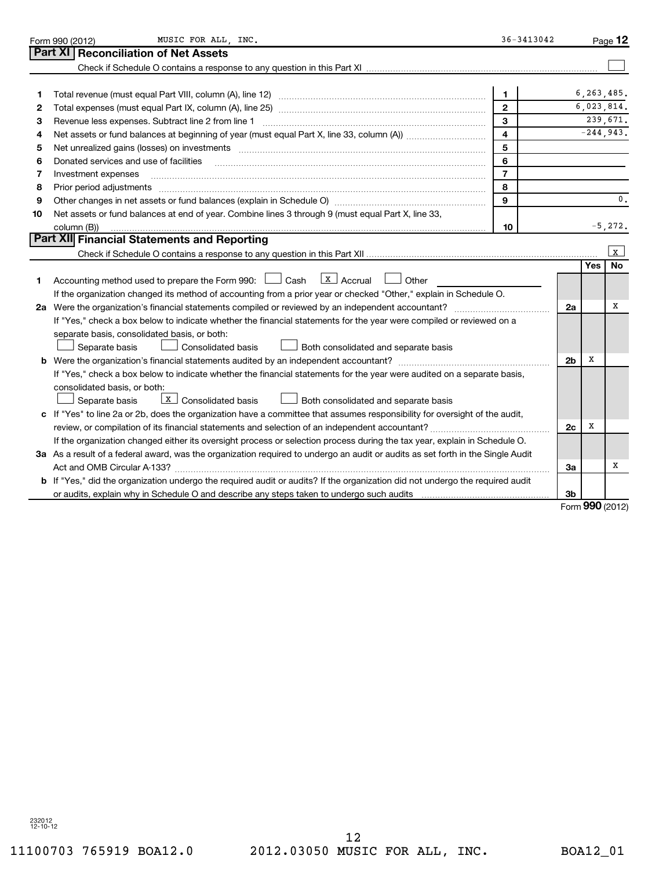|    | MUSIC FOR ALL, INC.<br>Form 990 (2012)                                                                                                                                                                                         | 36-3413042     |                |     | Page 12      |
|----|--------------------------------------------------------------------------------------------------------------------------------------------------------------------------------------------------------------------------------|----------------|----------------|-----|--------------|
|    | Part XI<br><b>Reconciliation of Net Assets</b>                                                                                                                                                                                 |                |                |     |              |
|    |                                                                                                                                                                                                                                |                |                |     |              |
|    |                                                                                                                                                                                                                                |                |                |     |              |
| 1  |                                                                                                                                                                                                                                | 1              |                |     | 6, 263, 485. |
| 2  |                                                                                                                                                                                                                                | $\mathbf{2}$   |                |     | 6,023,814.   |
| з  | Revenue less expenses. Subtract line 2 from line 1                                                                                                                                                                             | 3              |                |     | 239,671.     |
| 4  |                                                                                                                                                                                                                                | 4              |                |     | $-244,943.$  |
| 5  | Net unrealized gains (losses) on investments [11] matter contracts and the state of the state of the state of the state of the state of the state of the state of the state of the state of the state of the state of the stat | 5              |                |     |              |
| 6  | Donated services and use of facilities                                                                                                                                                                                         | 6              |                |     |              |
| 7  | Investment expenses                                                                                                                                                                                                            | $\overline{7}$ |                |     |              |
| 8  | Prior period adjustments                                                                                                                                                                                                       | 8              |                |     |              |
| 9  |                                                                                                                                                                                                                                | 9              |                |     | 0.           |
| 10 | Net assets or fund balances at end of year. Combine lines 3 through 9 (must equal Part X, line 33,                                                                                                                             |                |                |     |              |
|    | column (B))                                                                                                                                                                                                                    | 10             |                |     | $-5,272.$    |
|    | Part XII Financial Statements and Reporting                                                                                                                                                                                    |                |                |     |              |
|    |                                                                                                                                                                                                                                |                |                |     | $\mathbf{x}$ |
|    |                                                                                                                                                                                                                                |                |                | Yes | No           |
| 1  | $\lfloor x \rfloor$ Accrual<br>Accounting method used to prepare the Form 990: $\Box$ Cash<br>Other                                                                                                                            |                |                |     |              |
|    | If the organization changed its method of accounting from a prior year or checked "Other," explain in Schedule O.                                                                                                              |                |                |     |              |
|    |                                                                                                                                                                                                                                |                | 2a             |     | х            |
|    | If "Yes," check a box below to indicate whether the financial statements for the year were compiled or reviewed on a                                                                                                           |                |                |     |              |
|    | separate basis, consolidated basis, or both:                                                                                                                                                                                   |                |                |     |              |
|    | Separate basis<br>Consolidated basis<br>Both consolidated and separate basis                                                                                                                                                   |                |                |     |              |
|    |                                                                                                                                                                                                                                |                | 2 <sub>b</sub> | X   |              |
|    | If "Yes," check a box below to indicate whether the financial statements for the year were audited on a separate basis,                                                                                                        |                |                |     |              |
|    | consolidated basis, or both:                                                                                                                                                                                                   |                |                |     |              |
|    | $X$ Consolidated basis<br>Both consolidated and separate basis<br>Separate basis                                                                                                                                               |                |                |     |              |
|    | c If "Yes" to line 2a or 2b, does the organization have a committee that assumes responsibility for oversight of the audit,                                                                                                    |                |                |     |              |
|    |                                                                                                                                                                                                                                |                | 2 <sub>c</sub> | x   |              |
|    | If the organization changed either its oversight process or selection process during the tax year, explain in Schedule O.                                                                                                      |                |                |     |              |
|    | 3a As a result of a federal award, was the organization required to undergo an audit or audits as set forth in the Single Audit                                                                                                |                |                |     |              |
|    | Act and OMB Circular A-133?                                                                                                                                                                                                    |                | За             |     | х            |
|    | b If "Yes," did the organization undergo the required audit or audits? If the organization did not undergo the required audit                                                                                                  |                |                |     |              |
|    | or audits, explain why in Schedule O and describe any steps taken to undergo such audits matures and the success                                                                                                               |                | 3b             |     |              |
|    |                                                                                                                                                                                                                                |                |                |     | $000$ (2012) |

Form **990** (2012)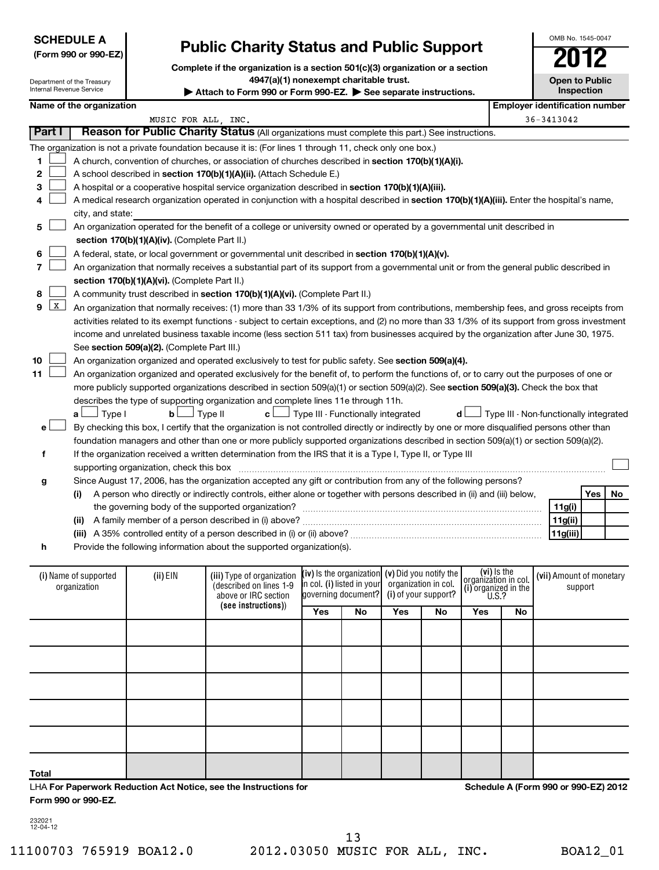| <b>SCHEDULE A</b>    |
|----------------------|
| (Form 990 or 990-EZ) |

Department of the Treasury

# **Public Charity Status and Public Support**

**Complete if the organization is a section 501(c)(3) organization or a section 4947(a)(1) nonexempt charitable trust.**

| Internal Revenue Service |                                                                                                   |                                               | Attach to Form 990 or Form 990-EZ. $\triangleright$ See separate instructions.                                                                |                                                   |    |                      |                      |                                      |                                        |                          | Inspection |    |
|--------------------------|---------------------------------------------------------------------------------------------------|-----------------------------------------------|-----------------------------------------------------------------------------------------------------------------------------------------------|---------------------------------------------------|----|----------------------|----------------------|--------------------------------------|----------------------------------------|--------------------------|------------|----|
|                          | Name of the organization                                                                          |                                               |                                                                                                                                               |                                                   |    |                      |                      |                                      | <b>Employer identification number</b>  |                          |            |    |
|                          |                                                                                                   | MUSIC FOR ALL, INC.                           |                                                                                                                                               |                                                   |    |                      |                      |                                      |                                        | $36 - 3413042$           |            |    |
| Part I                   |                                                                                                   |                                               | Reason for Public Charity Status (All organizations must complete this part.) See instructions.                                               |                                                   |    |                      |                      |                                      |                                        |                          |            |    |
|                          |                                                                                                   |                                               | The organization is not a private foundation because it is: (For lines 1 through 11, check only one box.)                                     |                                                   |    |                      |                      |                                      |                                        |                          |            |    |
| 1                        |                                                                                                   |                                               | A church, convention of churches, or association of churches described in section 170(b)(1)(A)(i).                                            |                                                   |    |                      |                      |                                      |                                        |                          |            |    |
| $\mathbf 2$              |                                                                                                   |                                               | A school described in section 170(b)(1)(A)(ii). (Attach Schedule E.)                                                                          |                                                   |    |                      |                      |                                      |                                        |                          |            |    |
| 3                        | A hospital or a cooperative hospital service organization described in section 170(b)(1)(A)(iii). |                                               |                                                                                                                                               |                                                   |    |                      |                      |                                      |                                        |                          |            |    |
| 4                        |                                                                                                   |                                               | A medical research organization operated in conjunction with a hospital described in section 170(b)(1)(A)(iii). Enter the hospital's name,    |                                                   |    |                      |                      |                                      |                                        |                          |            |    |
|                          | city, and state:                                                                                  |                                               |                                                                                                                                               |                                                   |    |                      |                      |                                      |                                        |                          |            |    |
| 5                        |                                                                                                   |                                               | An organization operated for the benefit of a college or university owned or operated by a governmental unit described in                     |                                                   |    |                      |                      |                                      |                                        |                          |            |    |
|                          |                                                                                                   | section 170(b)(1)(A)(iv). (Complete Part II.) |                                                                                                                                               |                                                   |    |                      |                      |                                      |                                        |                          |            |    |
| 6                        |                                                                                                   |                                               | A federal, state, or local government or governmental unit described in section 170(b)(1)(A)(v).                                              |                                                   |    |                      |                      |                                      |                                        |                          |            |    |
| 7                        |                                                                                                   |                                               | An organization that normally receives a substantial part of its support from a governmental unit or from the general public described in     |                                                   |    |                      |                      |                                      |                                        |                          |            |    |
|                          |                                                                                                   | section 170(b)(1)(A)(vi). (Complete Part II.) |                                                                                                                                               |                                                   |    |                      |                      |                                      |                                        |                          |            |    |
| 8                        |                                                                                                   |                                               | A community trust described in section 170(b)(1)(A)(vi). (Complete Part II.)                                                                  |                                                   |    |                      |                      |                                      |                                        |                          |            |    |
| X<br>9                   |                                                                                                   |                                               | An organization that normally receives: (1) more than 33 1/3% of its support from contributions, membership fees, and gross receipts from     |                                                   |    |                      |                      |                                      |                                        |                          |            |    |
|                          |                                                                                                   |                                               | activities related to its exempt functions - subject to certain exceptions, and (2) no more than 33 1/3% of its support from gross investment |                                                   |    |                      |                      |                                      |                                        |                          |            |    |
|                          |                                                                                                   |                                               | income and unrelated business taxable income (less section 511 tax) from businesses acquired by the organization after June 30, 1975.         |                                                   |    |                      |                      |                                      |                                        |                          |            |    |
|                          |                                                                                                   | See section 509(a)(2). (Complete Part III.)   |                                                                                                                                               |                                                   |    |                      |                      |                                      |                                        |                          |            |    |
| 10                       |                                                                                                   |                                               | An organization organized and operated exclusively to test for public safety. See section 509(a)(4).                                          |                                                   |    |                      |                      |                                      |                                        |                          |            |    |
| 11                       |                                                                                                   |                                               | An organization organized and operated exclusively for the benefit of, to perform the functions of, or to carry out the purposes of one or    |                                                   |    |                      |                      |                                      |                                        |                          |            |    |
|                          |                                                                                                   |                                               | more publicly supported organizations described in section $509(a)(1)$ or section $509(a)(2)$ . See section $509(a)(3)$ . Check the box that  |                                                   |    |                      |                      |                                      |                                        |                          |            |    |
|                          |                                                                                                   |                                               | describes the type of supporting organization and complete lines 11e through 11h.                                                             |                                                   |    |                      |                      |                                      |                                        |                          |            |    |
|                          | J Type I<br>a L                                                                                   | bl                                            | c L<br>J Type II                                                                                                                              | $\perp$ Type III - Functionally integrated        |    |                      | d l                  |                                      | Type III - Non-functionally integrated |                          |            |    |
| e                        |                                                                                                   |                                               | By checking this box, I certify that the organization is not controlled directly or indirectly by one or more disqualified persons other than |                                                   |    |                      |                      |                                      |                                        |                          |            |    |
|                          |                                                                                                   |                                               | foundation managers and other than one or more publicly supported organizations described in section 509(a)(1) or section 509(a)(2).          |                                                   |    |                      |                      |                                      |                                        |                          |            |    |
| f                        |                                                                                                   |                                               | If the organization received a written determination from the IRS that it is a Type I, Type II, or Type III                                   |                                                   |    |                      |                      |                                      |                                        |                          |            |    |
|                          |                                                                                                   |                                               |                                                                                                                                               |                                                   |    |                      |                      |                                      |                                        |                          |            |    |
| g                        |                                                                                                   |                                               | Since August 17, 2006, has the organization accepted any gift or contribution from any of the following persons?                              |                                                   |    |                      |                      |                                      |                                        |                          |            |    |
|                          | (i)                                                                                               |                                               | A person who directly or indirectly controls, either alone or together with persons described in (ii) and (iii) below,                        |                                                   |    |                      |                      |                                      |                                        |                          | Yes        | No |
|                          |                                                                                                   |                                               | the governing body of the supported organization?                                                                                             |                                                   |    |                      |                      |                                      |                                        | 11g(i)                   |            |    |
|                          |                                                                                                   |                                               | (ii) A family member of a person described in (i) above?                                                                                      |                                                   |    |                      |                      |                                      |                                        | 11g(ii)<br> 11g(iii)     |            |    |
| h                        |                                                                                                   |                                               | Provide the following information about the supported organization(s).                                                                        |                                                   |    |                      |                      |                                      |                                        |                          |            |    |
|                          |                                                                                                   |                                               |                                                                                                                                               |                                                   |    |                      |                      |                                      |                                        |                          |            |    |
|                          |                                                                                                   |                                               |                                                                                                                                               | (iv) is the organization $(v)$ Did you notify the |    |                      |                      | (vi) Is the                          |                                        |                          |            |    |
|                          | (i) Name of supported<br>organization                                                             | (ii) EIN                                      | (iii) Type of organization<br>(described on lines 1-9                                                                                         | in col. (i) listed in your                        |    |                      | organization in col. | organization in col.                 |                                        | (vii) Amount of monetary | support    |    |
|                          |                                                                                                   |                                               | above or IRC section                                                                                                                          | governing document?                               |    | (i) of your support? |                      | (i) organized in the<br><b>U.S.?</b> |                                        |                          |            |    |
|                          |                                                                                                   |                                               | (see instructions))                                                                                                                           | Yes                                               | No | Yes                  | No                   | Yes                                  | No                                     |                          |            |    |
|                          |                                                                                                   |                                               |                                                                                                                                               |                                                   |    |                      |                      |                                      |                                        |                          |            |    |
|                          |                                                                                                   |                                               |                                                                                                                                               |                                                   |    |                      |                      |                                      |                                        |                          |            |    |
|                          |                                                                                                   |                                               |                                                                                                                                               |                                                   |    |                      |                      |                                      |                                        |                          |            |    |

|  | Form 990 or 990-EZ. |  |
|--|---------------------|--|
|  |                     |  |

232021 12-04-12

**Total**

**Schedule A (Form 990 or 990-EZ) 2012**

OMB No. 1545-0047

**Open to Public**

LHA **For Paperwork Reduction Act Notice, see the Instructions for**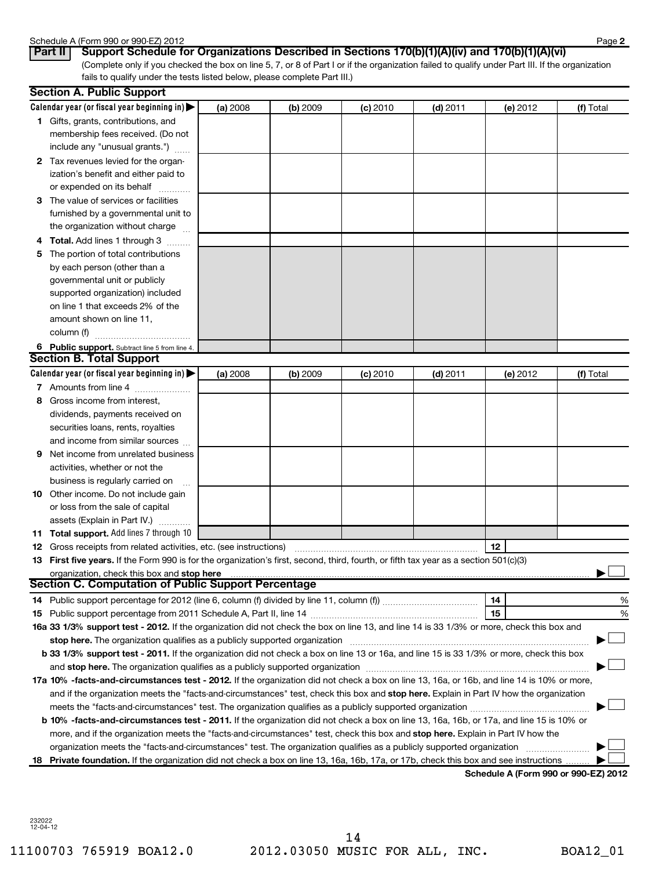## Schedule A (Form 990 or 990-EZ) 2012

| טטווכעטור א זוויטט |  |     |  |
|--------------------|--|-----|--|
| $D - 1$            |  | $P$ |  |

(Complete only if you checked the box on line 5, 7, or 8 of Part I or if the organization failed to qualify under Part III. If the organization fails to qualify under the tests listed below, please complete Part III.) **Part II Support Schedule for Organizations Described in Sections 170(b)(1)(A)(iv) and 170(b)(1)(A)(vi)**

| Calendar year (or fiscal year beginning in) $\blacktriangleright$<br>(a) 2008<br>(b) 2009<br>$(c)$ 2010<br>$(d)$ 2011<br>(e) 2012<br>1 Gifts, grants, contributions, and<br>membership fees received. (Do not<br>include any "unusual grants.")<br>2 Tax revenues levied for the organ-<br>ization's benefit and either paid to<br>or expended on its behalf<br>3 The value of services or facilities<br>furnished by a governmental unit to<br>the organization without charge<br>Total. Add lines 1 through 3<br>The portion of total contributions<br>5 | (f) Total |
|------------------------------------------------------------------------------------------------------------------------------------------------------------------------------------------------------------------------------------------------------------------------------------------------------------------------------------------------------------------------------------------------------------------------------------------------------------------------------------------------------------------------------------------------------------|-----------|
|                                                                                                                                                                                                                                                                                                                                                                                                                                                                                                                                                            |           |
|                                                                                                                                                                                                                                                                                                                                                                                                                                                                                                                                                            |           |
|                                                                                                                                                                                                                                                                                                                                                                                                                                                                                                                                                            |           |
|                                                                                                                                                                                                                                                                                                                                                                                                                                                                                                                                                            |           |
|                                                                                                                                                                                                                                                                                                                                                                                                                                                                                                                                                            |           |
|                                                                                                                                                                                                                                                                                                                                                                                                                                                                                                                                                            |           |
|                                                                                                                                                                                                                                                                                                                                                                                                                                                                                                                                                            |           |
|                                                                                                                                                                                                                                                                                                                                                                                                                                                                                                                                                            |           |
|                                                                                                                                                                                                                                                                                                                                                                                                                                                                                                                                                            |           |
|                                                                                                                                                                                                                                                                                                                                                                                                                                                                                                                                                            |           |
|                                                                                                                                                                                                                                                                                                                                                                                                                                                                                                                                                            |           |
|                                                                                                                                                                                                                                                                                                                                                                                                                                                                                                                                                            |           |
| by each person (other than a                                                                                                                                                                                                                                                                                                                                                                                                                                                                                                                               |           |
| governmental unit or publicly                                                                                                                                                                                                                                                                                                                                                                                                                                                                                                                              |           |
| supported organization) included                                                                                                                                                                                                                                                                                                                                                                                                                                                                                                                           |           |
| on line 1 that exceeds 2% of the                                                                                                                                                                                                                                                                                                                                                                                                                                                                                                                           |           |
| amount shown on line 11,                                                                                                                                                                                                                                                                                                                                                                                                                                                                                                                                   |           |
| column (f)                                                                                                                                                                                                                                                                                                                                                                                                                                                                                                                                                 |           |
| 6 Public support. Subtract line 5 from line 4.                                                                                                                                                                                                                                                                                                                                                                                                                                                                                                             |           |
| <b>Section B. Total Support</b>                                                                                                                                                                                                                                                                                                                                                                                                                                                                                                                            |           |
| Calendar year (or fiscal year beginning in) $\blacktriangleright$<br>(a) 2008<br>(b) 2009<br>$(c)$ 2010<br>$(d)$ 2011<br>(e) 2012                                                                                                                                                                                                                                                                                                                                                                                                                          | (f) Total |
| 7 Amounts from line 4                                                                                                                                                                                                                                                                                                                                                                                                                                                                                                                                      |           |
| Gross income from interest.<br>8                                                                                                                                                                                                                                                                                                                                                                                                                                                                                                                           |           |
| dividends, payments received on                                                                                                                                                                                                                                                                                                                                                                                                                                                                                                                            |           |
| securities loans, rents, royalties                                                                                                                                                                                                                                                                                                                                                                                                                                                                                                                         |           |
| and income from similar sources                                                                                                                                                                                                                                                                                                                                                                                                                                                                                                                            |           |
| Net income from unrelated business<br>9                                                                                                                                                                                                                                                                                                                                                                                                                                                                                                                    |           |
| activities, whether or not the                                                                                                                                                                                                                                                                                                                                                                                                                                                                                                                             |           |
| business is regularly carried on                                                                                                                                                                                                                                                                                                                                                                                                                                                                                                                           |           |
| Other income. Do not include gain<br>10                                                                                                                                                                                                                                                                                                                                                                                                                                                                                                                    |           |
| or loss from the sale of capital                                                                                                                                                                                                                                                                                                                                                                                                                                                                                                                           |           |
| assets (Explain in Part IV.)                                                                                                                                                                                                                                                                                                                                                                                                                                                                                                                               |           |
| 11 Total support. Add lines 7 through 10                                                                                                                                                                                                                                                                                                                                                                                                                                                                                                                   |           |
| 12<br><b>12</b> Gross receipts from related activities, etc. (see instructions)                                                                                                                                                                                                                                                                                                                                                                                                                                                                            |           |
| 13 First five years. If the Form 990 is for the organization's first, second, third, fourth, or fifth tax year as a section 501(c)(3)                                                                                                                                                                                                                                                                                                                                                                                                                      |           |
| organization, check this box and stop here                                                                                                                                                                                                                                                                                                                                                                                                                                                                                                                 |           |
| Section C. Computation of Public Support Percentage                                                                                                                                                                                                                                                                                                                                                                                                                                                                                                        |           |
| 14                                                                                                                                                                                                                                                                                                                                                                                                                                                                                                                                                         | %         |
| 15                                                                                                                                                                                                                                                                                                                                                                                                                                                                                                                                                         | %         |
| 16a 33 1/3% support test - 2012. If the organization did not check the box on line 13, and line 14 is 33 1/3% or more, check this box and                                                                                                                                                                                                                                                                                                                                                                                                                  |           |
| stop here. The organization qualifies as a publicly supported organization manufactured content and the support of the state state of the state of the state state and state and state and state and state and state and state                                                                                                                                                                                                                                                                                                                             |           |
| b 33 1/3% support test - 2011. If the organization did not check a box on line 13 or 16a, and line 15 is 33 1/3% or more, check this box                                                                                                                                                                                                                                                                                                                                                                                                                   |           |
|                                                                                                                                                                                                                                                                                                                                                                                                                                                                                                                                                            |           |
| 17a 10% -facts-and-circumstances test - 2012. If the organization did not check a box on line 13, 16a, or 16b, and line 14 is 10% or more,                                                                                                                                                                                                                                                                                                                                                                                                                 |           |
| and if the organization meets the "facts-and-circumstances" test, check this box and stop here. Explain in Part IV how the organization                                                                                                                                                                                                                                                                                                                                                                                                                    |           |
| meets the "facts-and-circumstances" test. The organization qualifies as a publicly supported organization <i>manumumumum</i>                                                                                                                                                                                                                                                                                                                                                                                                                               |           |
| b 10% -facts-and-circumstances test - 2011. If the organization did not check a box on line 13, 16a, 16b, or 17a, and line 15 is 10% or                                                                                                                                                                                                                                                                                                                                                                                                                    |           |
| more, and if the organization meets the "facts-and-circumstances" test, check this box and stop here. Explain in Part IV how the                                                                                                                                                                                                                                                                                                                                                                                                                           |           |
| organization meets the "facts-and-circumstances" test. The organization qualifies as a publicly supported organization                                                                                                                                                                                                                                                                                                                                                                                                                                     |           |
| 18 Private foundation. If the organization did not check a box on line 13, 16a, 16b, 17a, or 17b, check this box and see instructions                                                                                                                                                                                                                                                                                                                                                                                                                      |           |

**Schedule A (Form 990 or 990-EZ) 2012**

232022 12-04-12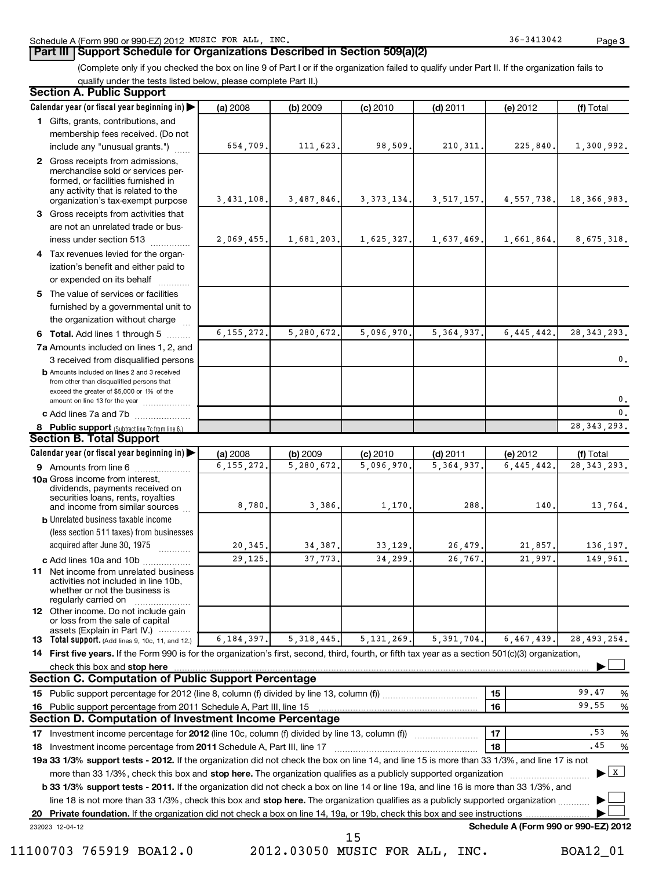# **Part III Support Schedule for Organizations Described in Section 509(a)(2)**

(Complete only if you checked the box on line 9 of Part I or if the organization failed to qualify under Part II. If the organization fails to qualify under the tests listed below, please complete Part II.)

#### 8 Public support (Subtract line 7c from line 6.) **b** Amounts included on lines 2 and 3 received from other than disqualified persons that exceed the greater of \$5,000 or 1% of the amount on line 13 for the year .................. **13 Total support.** (Add lines 9, 10c, 11, and 12.) 232023 12-04-12 **Calendar year (or fiscal year beginning in) | Calendar year (or fiscal year beginning in) | (a)** 2008 **| (b)** 2009 **| (c)** 2010 **| (d)** 2011 **| (e)** 2012 **| (f) 1** Gifts, grants, contributions, and **2** Gross receipts from admissions, **3 4** Tax revenues levied for the organ-**5** The value of services or facilities **6** Total. Add lines 1 through 5 ........ **7 a** Amounts included on lines 1, 2, and **c** Add lines 7a and 7b  $\ldots$  .................. **(a)** 2008 **| (b)** 2009 **| (c)** 2010 **| (d)** 2011 **| (e)** 2012 **| (f) 9** Amounts from line 6  $\ldots$  **Amounts** from line 6 **10a** Gross income from interest, **b** Unrelated business taxable income **c** Add lines 10a and 10b ................. **11** Net income from unrelated business **12** Other income. Do not include gain 14 First five years. If the Form 990 is for the organization's first, second, third, fourth, or fifth tax year as a section 501(c)(3) organization, **check this box and stop here with the construction of the construction of the check this box and stop here** with the construction of the construction of the construction of the check this box and stop here with the constr **15 16 15 16 17** 18 Investment income percentage from 2011 Schedule A, Part III, line 17 **2000** and the communical community and the state of the state of the state of the state of the state of the state of the state of the state of the st 19a 33 1/3% support tests - 2012. If the organization did not check the box on line 14, and line 15 is more than 33 1/3%, and line 17 is not **20** Investment income percentage for 2012 (line 10c, column (f) divided by line 13, column (f)) **17 18 b 33 1/3% support tests - 2011.** If the organization did not check a box on line 14 or line 19a, and line 16 is more than 33 1/3%, and more than 33 1/3%, check this box and stop here. The organization qualifies as a publicly supported organization *www.www.www.* line 18 is not more than 33 1/3%, check this box and stop here. The organization qualifies as a publicly supported organization <sub>...........</sub> **Private foundation.**  If the organization did not check a box on line 14, 19a, or 19b, check this box and see instructions | **Schedule A (Form 990 or 990-EZ) 2012** (less section 511 taxes) from businesses acquired after June 30, 1975 2008 **| (b)** 2009 **| (c)** 2010 **| (d)** 2011 **| (e)** 2012 **| (f)** Total membership fees received. (Do not include any "unusual grants.") merchandise sold or services performed, or facilities furnished in any activity that is related to the organization's tax-exempt purpose Gross receipts from activities that are not an unrelated trade or bus $ines$  under section 513  $\ldots$  $\ldots$ ization's benefit and either paid to or expended on its behalf ............ furnished by a governmental unit to the organization without charge 3 received from disqualified persons 2008 **| (b)** 2009 **| (c)** 2010 **| (d)** 2011 **| (e)** 2012 **| (f)** Total dividends, payments received on securities loans, rents, royalties and income from similar sources ~~~~~~~~~~ activities not included in line 10b, whether or not the business is regularly carried on or loss from the sale of capital assets (Explain in Part IV.) ············ Public support percentage for 2012 (line 8, column (f) divided by line 13, column (f)) ~~~~~~~~~~~~ % Public support percentage from 2011 Schedule A, Part III, line 15 %  $~\blacksquare$   $~\blacksquare$  17  $~\blacksquare$  .53 % **Section A. Public Support Section B. Total Support Section C. Computation of Public Support Percentage Section D. Computation of Investment Income Percentage**  $\overline{\phantom{a}}$  $\overline{X}$  $\overline{\phantom{a}}$  $\overline{\phantom{a}}$ 654,709. 111,623. 98,509. 210,311. 225,840. 1,300,992. 3,431,108. 3,487,846. 3,373,134. 3,517,157. 4,557,738. 18,366,983. 2,069,455. 1,681,203. 1,625,327. 1,637,469. 1,661,864. 8,675,318. 6,155,272. 5,280,672. 5,096,970. 5,364,937. 6,445,442. 28,343,293. 0. 0.  $\overline{\mathfrak{o}}$  . 28,343,293. 6,155,272. 5,280,672. 5,096,970. 5,364,937. 6,445,442. 28,343,293. 8,780. 3,386. 1,170. 288. 140. 13,764. 20,345. 34,387. 33,129. 26,479. 21,857. 136,197. 29,125. 37,773. 34,299. 26,767. 21,997. 149,961. 6,184,397. 5,318,445. 5,131,269. 5,391,704. 6,467,439. 28,493,254. 99.47 99.55 .53 .45 15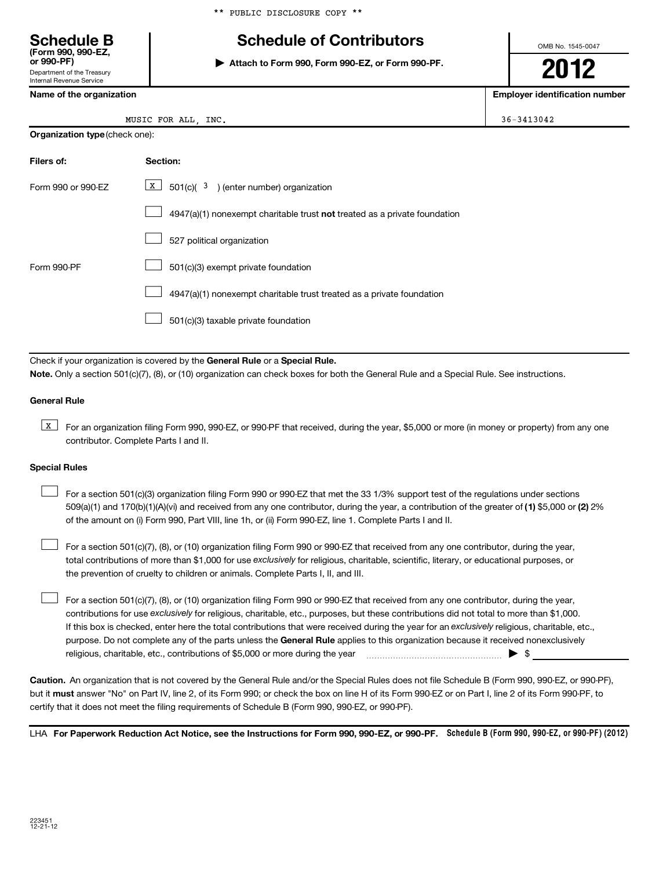# **Schedule B Schedule of Contributors**

**or 990-PF) | Attach to Form 990, Form 990-EZ, or Form 990-PF.**

**2012**

 $36 - 3413042$ 

|     | Internal Revenue Service |  |  |
|-----|--------------------------|--|--|
| . . |                          |  |  |

Department of the Treasury

**(Form 990, 990-EZ,**

| Name of the organization | Employer identification number |
|--------------------------|--------------------------------|
|--------------------------|--------------------------------|

| MUSIC FOR ALL, |  |  | INC. |
|----------------|--|--|------|
|----------------|--|--|------|

| <b>Organization type</b> (check one): |
|---------------------------------------|
|                                       |

| Filers of:         | Section:                                                                           |
|--------------------|------------------------------------------------------------------------------------|
| Form 990 or 990-FZ | $\boxed{\textbf{X}}$ 501(c)( 3) (enter number) organization                        |
|                    | $4947(a)(1)$ nonexempt charitable trust <b>not</b> treated as a private foundation |
|                    | 527 political organization                                                         |
| Form 990-PF        | 501(c)(3) exempt private foundation                                                |
|                    | 4947(a)(1) nonexempt charitable trust treated as a private foundation              |
|                    | 501(c)(3) taxable private foundation                                               |

Check if your organization is covered by the General Rule or a Special Rule. **Note.**  Only a section 501(c)(7), (8), or (10) organization can check boxes for both the General Rule and a Special Rule. See instructions.

## **General Rule**

**K** For an organization filing Form 990, 990-EZ, or 990-PF that received, during the year, \$5,000 or more (in money or property) from any one contributor. Complete Parts I and II.

### **Special Rules**

509(a)(1) and 170(b)(1)(A)(vi) and received from any one contributor, during the year, a contribution of the greater of (1**)** \$5,000 or (**2**) 2% For a section 501(c)(3) organization filing Form 990 or 990-EZ that met the 33 1/3% support test of the regulations under sections of the amount on (i) Form 990, Part VIII, line 1h, or (ii) Form 990-EZ, line 1. Complete Parts I and II.  $\left\vert \cdot\right\vert$ 

total contributions of more than \$1,000 for use exclusively for religious, charitable, scientific, literary, or educational purposes, or For a section 501(c)(7), (8), or (10) organization filing Form 990 or 990-EZ that received from any one contributor, during the year, the prevention of cruelty to children or animals. Complete Parts I, II, and III.  $\left\vert \cdot\right\vert$ 

purpose. Do not complete any of the parts unless the General Rule applies to this organization because it received nonexclusively contributions for use exclusively for religious, charitable, etc., purposes, but these contributions did not total to more than \$1,000. If this box is checked, enter here the total contributions that were received during the year for an exclusively religious, charitable, etc., For a section 501(c)(7), (8), or (10) organization filing Form 990 or 990-EZ that received from any one contributor, during the year, religious, charitable, etc., contributions of \$5,000 or more during the year  $\ldots$   $\ldots$   $\ldots$   $\ldots$   $\ldots$   $\ldots$   $\ldots$   $\ldots$   $\blacktriangleright$   $\uparrow$  $\left\vert \cdot\right\vert$ 

**Caution.** An organization that is not covered by the General Rule and/or the Special Rules does not file Schedule B (Form 990, 990-EZ, or 990-PF), but it **must** answer "No" on Part IV, line 2, of its Form 990; or check the box on line H of its Form 990-EZ or on Part I, line 2 of its Form 990-PF, to certify that it does not meet the filing requirements of Schedule B (Form 990, 990-EZ, or 990-PF).

LHA For Paperwork Reduction Act Notice, see the Instructions for Form 990, 990-EZ, or 990-PF. Schedule B (Form 990, 990-EZ, or 990-PF) (2012)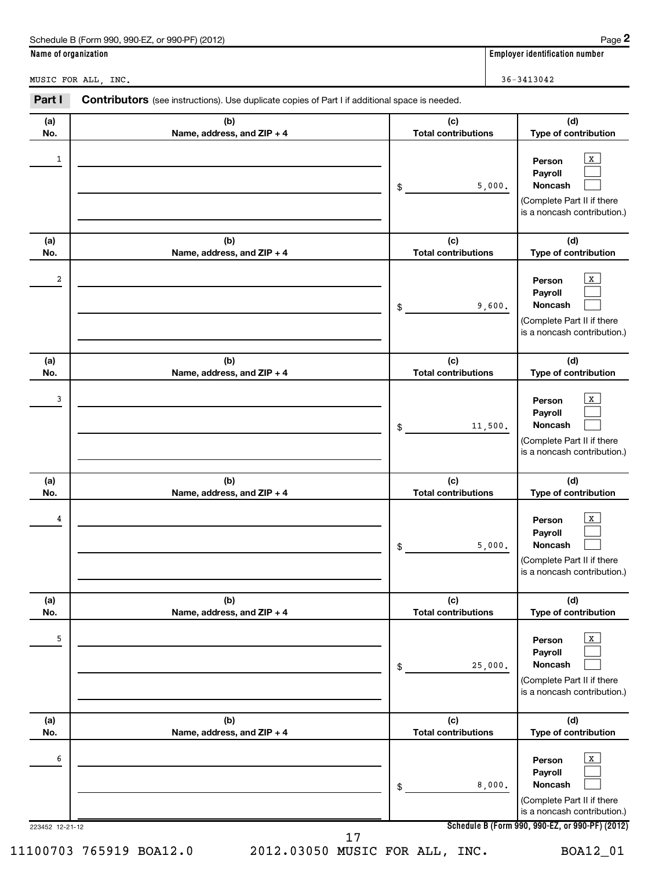| Schedule B (Form 990, 990-EZ, or 990-PF) (2012)                                                                 | Page 2                                |
|-----------------------------------------------------------------------------------------------------------------|---------------------------------------|
| Name of organization                                                                                            | <b>Employer identification number</b> |
| MUSIC FOR ALL, INC.                                                                                             | $36 - 3413042$                        |
| Part I<br><b>Contributors</b> (see instructions). Use duplicate copies of Part I if additional space is needed. |                                       |

| (a)<br>No.           | (b)<br>Name, address, and ZIP + 4 | (c)<br><b>Total contributions</b> | (d)<br>Type of contribution                                                                                                                                  |
|----------------------|-----------------------------------|-----------------------------------|--------------------------------------------------------------------------------------------------------------------------------------------------------------|
| 1                    |                                   | 5,000.<br>\$                      | X<br>Person<br>Payroll<br>Noncash<br>(Complete Part II if there<br>is a noncash contribution.)                                                               |
| (a)<br>No.           | (b)<br>Name, address, and ZIP + 4 | (c)<br><b>Total contributions</b> | (d)<br>Type of contribution                                                                                                                                  |
| 2                    |                                   | 9,600.<br>\$                      | $\mathbf{X}$<br>Person<br>Payroll<br>Noncash<br>(Complete Part II if there<br>is a noncash contribution.)                                                    |
| (a)<br>No.           | (b)<br>Name, address, and ZIP + 4 | (c)<br><b>Total contributions</b> | (d)<br>Type of contribution                                                                                                                                  |
| 3                    |                                   | 11,500.<br>\$                     | X<br>Person<br>Payroll<br>Noncash<br>(Complete Part II if there<br>is a noncash contribution.)                                                               |
|                      |                                   |                                   |                                                                                                                                                              |
| (a)<br>No.           | (b)<br>Name, address, and ZIP + 4 | (c)<br><b>Total contributions</b> | (d)<br>Type of contribution                                                                                                                                  |
| 4                    |                                   | 5,000.<br>\$                      | $\mathbf{X}$<br>Person<br>Payroll<br>Noncash<br>(Complete Part II if there<br>is a noncash contribution.)                                                    |
| (a)<br>No.           | (b)<br>Name, address, and ZIP + 4 | (c)<br><b>Total contributions</b> | (d)<br>Type of contribution                                                                                                                                  |
| 5                    |                                   | 25,000.<br>\$                     | $\,$ X $\,$<br>Person<br>Payroll<br>Noncash<br>(Complete Part II if there<br>is a noncash contribution.)                                                     |
| (a)<br>No.           | (b)<br>Name, address, and ZIP + 4 | (c)<br><b>Total contributions</b> | (d)<br>Type of contribution                                                                                                                                  |
| 6<br>223452 12-21-12 | 17                                | 8,000.<br>\$                      | $\mathbf{x}$<br>Person<br>Payroll<br>Noncash<br>(Complete Part II if there<br>is a noncash contribution.)<br>Schedule B (Form 990, 990-EZ, or 990-PF) (2012) |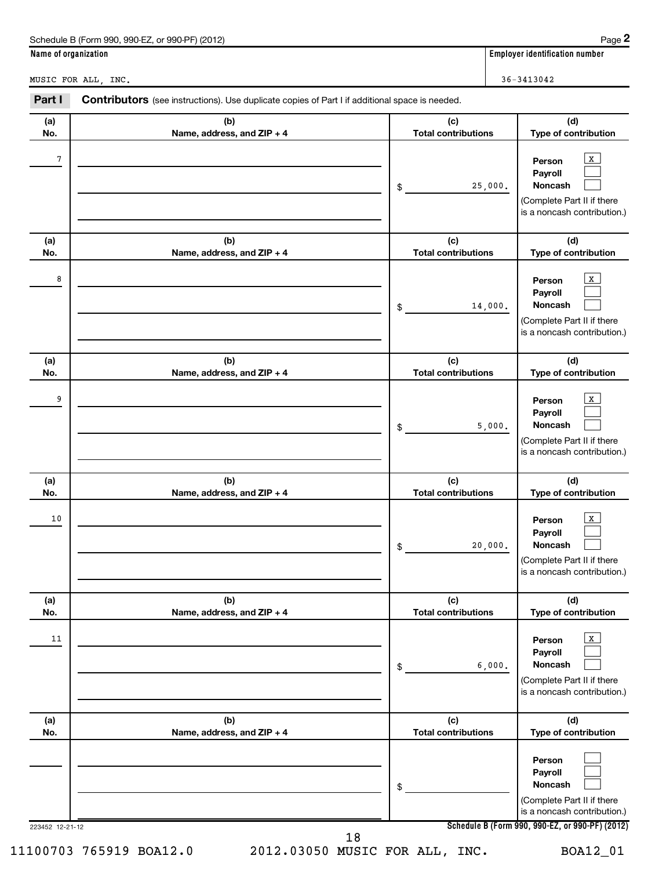|                                                                                                                 | Schedule B (Form 990, 990-EZ, or 990-PF) (2012) |        | Page 2                                |  |
|-----------------------------------------------------------------------------------------------------------------|-------------------------------------------------|--------|---------------------------------------|--|
| Name of organization                                                                                            |                                                 |        | <b>Employer identification number</b> |  |
| MUSIC FOR ALL INC.                                                                                              |                                                 |        | $36 - 3413042$                        |  |
| Part I<br><b>Contributors</b> (see instructions). Use duplicate copies of Part I if additional space is needed. |                                                 |        |                                       |  |
| $\mathbf{A}$                                                                                                    | $\mathbf{f}$                                    | $\sim$ | $\mathsf{M}$                          |  |

| (a)             | (b)                        | (c)                        | (d)                                                                                                                                          |
|-----------------|----------------------------|----------------------------|----------------------------------------------------------------------------------------------------------------------------------------------|
| No.             | Name, address, and ZIP + 4 | <b>Total contributions</b> | Type of contribution                                                                                                                         |
| 7               |                            | 25,000.<br>\$              | X<br>Person<br>Payroll<br>Noncash<br>(Complete Part II if there<br>is a noncash contribution.)                                               |
| (a)             | (b)                        | (c)                        | (d)                                                                                                                                          |
| No.             | Name, address, and ZIP + 4 | <b>Total contributions</b> | Type of contribution                                                                                                                         |
| 8               |                            | 14,000.<br>\$              | x<br>Person<br>Payroll<br>Noncash<br>(Complete Part II if there<br>is a noncash contribution.)                                               |
| (a)             | (b)                        | (c)                        | (d)                                                                                                                                          |
| No.             | Name, address, and ZIP + 4 | <b>Total contributions</b> | Type of contribution                                                                                                                         |
| 9               |                            | 5,000.<br>\$               | x<br>Person<br>Payroll<br>Noncash<br>(Complete Part II if there<br>is a noncash contribution.)                                               |
| (a)             | (b)                        | (c)                        | (d)                                                                                                                                          |
| No.             | Name, address, and ZIP + 4 | <b>Total contributions</b> | Type of contribution                                                                                                                         |
| 10              |                            | 20,000.<br>\$              | х<br>Person<br>Payroll<br>Noncash<br>(Complete Part II if there<br>is a noncash contribution.)                                               |
| (a)             | (b)                        | (c)                        | (d)                                                                                                                                          |
| NO.             | Name, address, and ZIP + 4 | <b>Total contributions</b> | Type of contribution                                                                                                                         |
| 11              |                            | 6,000.<br>\$               | $\mathbf{X}$<br>Person<br>Payroll<br>Noncash<br>(Complete Part II if there<br>is a noncash contribution.)                                    |
| (a)             | (b)                        | (c)                        | (d)                                                                                                                                          |
| No.             | Name, address, and ZIP + 4 | <b>Total contributions</b> | Type of contribution                                                                                                                         |
| 223452 12-21-12 | 18                         | \$                         | Person<br>Payroll<br>Noncash<br>(Complete Part II if there<br>is a noncash contribution.)<br>Schedule B (Form 990, 990-EZ, or 990-PF) (2012) |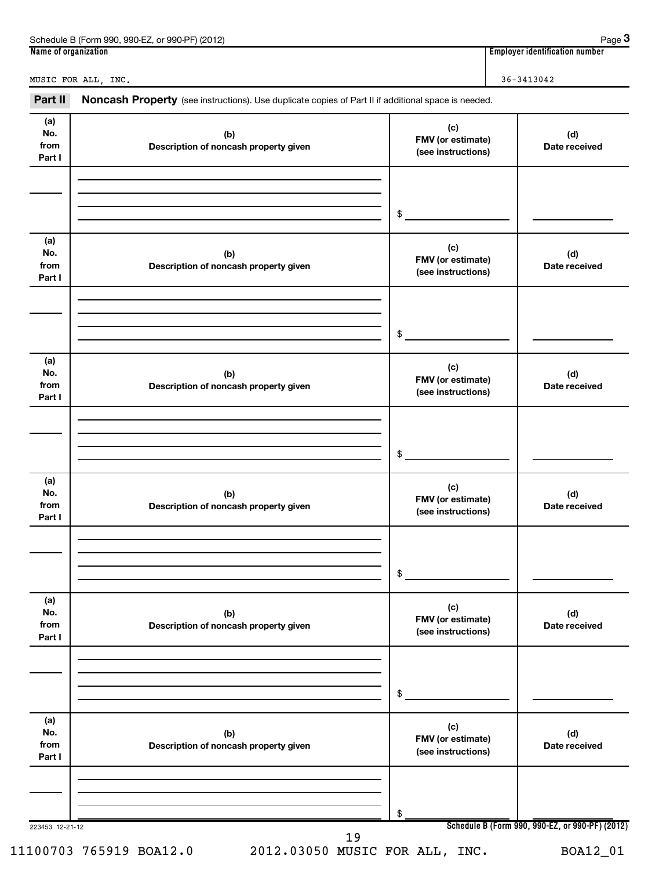| (2012)<br>$.990-EZ$<br>Schedule B (Form<br>or 990-PF)<br><b>990</b> | Paqe                                     |
|---------------------------------------------------------------------|------------------------------------------|
| Name of<br>e of organization (                                      | <br>r identification number.<br>Employer |

**3**

MUSIC FOR ALL, INC. 36-3413042

| Part II                      | Noncash Property (see instructions). Use duplicate copies of Part II if additional space is needed. |                                                |                                                 |
|------------------------------|-----------------------------------------------------------------------------------------------------|------------------------------------------------|-------------------------------------------------|
| (a)<br>No.<br>from<br>Part I | (b)<br>Description of noncash property given                                                        | (c)<br>FMV (or estimate)<br>(see instructions) | (d)<br>Date received                            |
|                              |                                                                                                     |                                                |                                                 |
|                              |                                                                                                     | \$                                             |                                                 |
| (a)<br>No.<br>from<br>Part I | (b)<br>Description of noncash property given                                                        | (c)<br>FMV (or estimate)<br>(see instructions) | (d)<br>Date received                            |
|                              |                                                                                                     |                                                |                                                 |
|                              |                                                                                                     | \$                                             |                                                 |
| (a)<br>No.<br>from<br>Part I | (b)<br>Description of noncash property given                                                        | (c)<br>FMV (or estimate)<br>(see instructions) | (d)<br>Date received                            |
|                              |                                                                                                     |                                                |                                                 |
|                              |                                                                                                     | \$                                             |                                                 |
| (a)<br>No.<br>from<br>Part I | (b)<br>Description of noncash property given                                                        | (c)<br>FMV (or estimate)<br>(see instructions) | (d)<br>Date received                            |
|                              |                                                                                                     |                                                |                                                 |
|                              |                                                                                                     | \$                                             |                                                 |
| (a)<br>No.<br>from<br>Part I | (b)<br>Description of noncash property given                                                        | (c)<br>FMV (or estimate)<br>(see instructions) | (d)<br>Date received                            |
|                              |                                                                                                     |                                                |                                                 |
|                              |                                                                                                     | \$                                             |                                                 |
| (a)<br>No.<br>from<br>Part I | (b)<br>Description of noncash property given                                                        | (c)<br>FMV (or estimate)<br>(see instructions) | (d)<br>Date received                            |
|                              |                                                                                                     |                                                |                                                 |
| 223453 12-21-12              |                                                                                                     | \$                                             | Schedule B (Form 990, 990-EZ, or 990-PF) (2012) |
|                              | 19                                                                                                  |                                                |                                                 |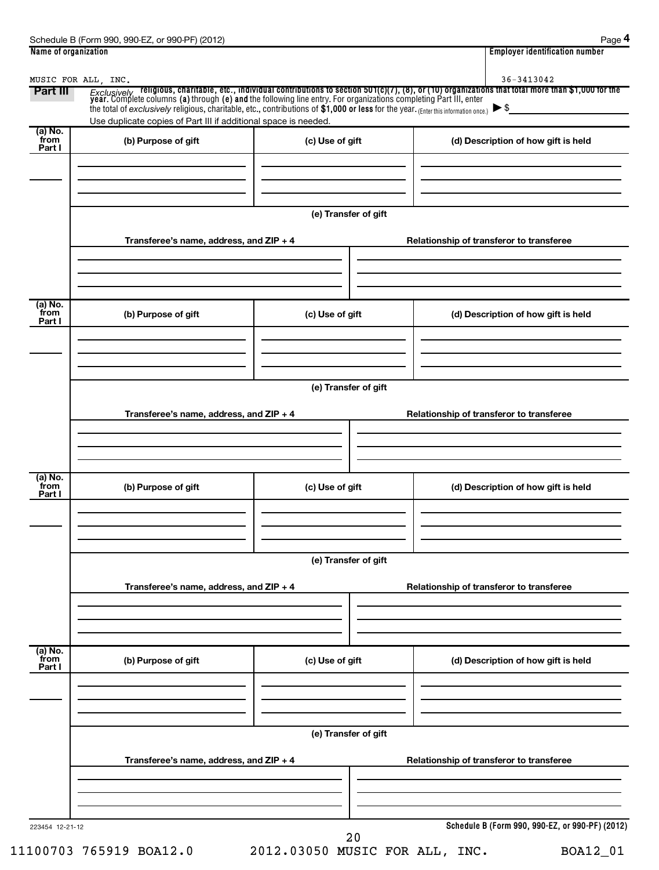| (a) No.                   | Use duplicate copies of Part III if additional space is needed. |                      |                                          |
|---------------------------|-----------------------------------------------------------------|----------------------|------------------------------------------|
| from<br>Part I            | (b) Purpose of gift                                             | (c) Use of gift      | (d) Description of how gift is held      |
|                           | Transferee's name, address, and ZIP + 4                         | (e) Transfer of gift | Relationship of transferor to transferee |
|                           |                                                                 |                      |                                          |
| (a) No.<br>from<br>Part I | (b) Purpose of gift                                             | (c) Use of gift      | (d) Description of how gift is held      |
|                           |                                                                 | (e) Transfer of gift |                                          |
|                           | Transferee's name, address, and ZIP + 4                         |                      | Relationship of transferor to transferee |
| (a) No.<br>from<br>Part I | (b) Purpose of gift                                             | (c) Use of gift      | (d) Description of how gift is held      |
|                           |                                                                 | (e) Transfer of gift |                                          |
|                           | Transferee's name, address, and ZIP + 4                         |                      | Relationship of transferor to transferee |
| (a) No.<br>from<br>Part I | (b) Purpose of gift                                             | (c) Use of gift      | (d) Description of how gift is held      |
|                           |                                                                 | (e) Transfer of gift |                                          |
|                           | Transferee's name, address, and ZIP + 4                         |                      | Relationship of transferor to transferee |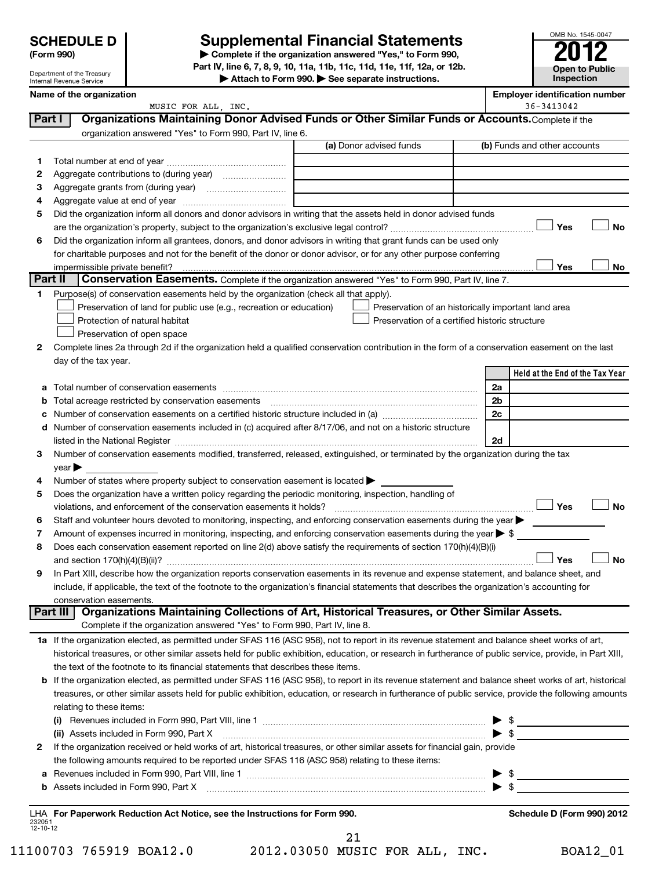| <b>SCHEDULE D</b>    |  |
|----------------------|--|
| $\sim$ $\sim$ $\sim$ |  |

Department of the Treasury Internal Revenue Service

# **Supplemental Financial Statements**

**(Form 990) | Complete if the organization answered "Yes," to Form 990, Part IV, line 6, 7, 8, 9, 10, 11a, 11b, 11c, 11d, 11e, 11f, 12a, or 12b.**

**| Attach to Form 990. | See separate instructions.**

|                | Name of the organization<br>MUSIC FOR ALL, INC.                                                                                                                                            | <b>Employer identification number</b><br>36-3413042 |  |  |  |
|----------------|--------------------------------------------------------------------------------------------------------------------------------------------------------------------------------------------|-----------------------------------------------------|--|--|--|
|                | Organizations Maintaining Donor Advised Funds or Other Similar Funds or Accounts. Complete if the<br>Part I                                                                                |                                                     |  |  |  |
|                | organization answered "Yes" to Form 990, Part IV, line 6.                                                                                                                                  |                                                     |  |  |  |
|                | (a) Donor advised funds                                                                                                                                                                    | (b) Funds and other accounts                        |  |  |  |
| 1              |                                                                                                                                                                                            |                                                     |  |  |  |
| 2              |                                                                                                                                                                                            |                                                     |  |  |  |
| 3              |                                                                                                                                                                                            |                                                     |  |  |  |
| 4              |                                                                                                                                                                                            |                                                     |  |  |  |
| 5              | Did the organization inform all donors and donor advisors in writing that the assets held in donor advised funds                                                                           |                                                     |  |  |  |
|                |                                                                                                                                                                                            | Yes<br>No                                           |  |  |  |
| 6              | Did the organization inform all grantees, donors, and donor advisors in writing that grant funds can be used only                                                                          |                                                     |  |  |  |
|                | for charitable purposes and not for the benefit of the donor or donor advisor, or for any other purpose conferring                                                                         |                                                     |  |  |  |
|                | impermissible private benefit?                                                                                                                                                             | Yes<br>No                                           |  |  |  |
| <b>Part II</b> | Conservation Easements. Complete if the organization answered "Yes" to Form 990, Part IV, line 7.                                                                                          |                                                     |  |  |  |
| 1.             | Purpose(s) of conservation easements held by the organization (check all that apply).                                                                                                      |                                                     |  |  |  |
|                | Preservation of land for public use (e.g., recreation or education)<br>Preservation of an historically important land area                                                                 |                                                     |  |  |  |
|                | Preservation of a certified historic structure<br>Protection of natural habitat                                                                                                            |                                                     |  |  |  |
|                | Preservation of open space                                                                                                                                                                 |                                                     |  |  |  |
| 2              | Complete lines 2a through 2d if the organization held a qualified conservation contribution in the form of a conservation easement on the last                                             |                                                     |  |  |  |
|                | day of the tax year.                                                                                                                                                                       |                                                     |  |  |  |
|                |                                                                                                                                                                                            | Held at the End of the Tax Year                     |  |  |  |
|                |                                                                                                                                                                                            | 2a                                                  |  |  |  |
|                | Total acreage restricted by conservation easements                                                                                                                                         | 2b                                                  |  |  |  |
|                |                                                                                                                                                                                            | 2c                                                  |  |  |  |
| d              | Number of conservation easements included in (c) acquired after 8/17/06, and not on a historic structure                                                                                   |                                                     |  |  |  |
|                |                                                                                                                                                                                            | 2d                                                  |  |  |  |
| 3              | Number of conservation easements modified, transferred, released, extinguished, or terminated by the organization during the tax                                                           |                                                     |  |  |  |
|                | $year \blacktriangleright$                                                                                                                                                                 |                                                     |  |  |  |
| 4              | Number of states where property subject to conservation easement is located >                                                                                                              |                                                     |  |  |  |
| 5              | Does the organization have a written policy regarding the periodic monitoring, inspection, handling of                                                                                     | Yes<br><b>No</b>                                    |  |  |  |
|                | violations, and enforcement of the conservation easements it holds?<br>Staff and volunteer hours devoted to monitoring, inspecting, and enforcing conservation easements during the year > |                                                     |  |  |  |
| 6<br>7         | Amount of expenses incurred in monitoring, inspecting, and enforcing conservation easements during the year $\triangleright$ \$                                                            |                                                     |  |  |  |
| 8              | Does each conservation easement reported on line 2(d) above satisfy the requirements of section 170(h)(4)(B)(i)                                                                            |                                                     |  |  |  |
|                |                                                                                                                                                                                            | <b>No</b><br>Yes                                    |  |  |  |
| 9              | In Part XIII, describe how the organization reports conservation easements in its revenue and expense statement, and balance sheet, and                                                    |                                                     |  |  |  |
|                | include, if applicable, the text of the footnote to the organization's financial statements that describes the organization's accounting for                                               |                                                     |  |  |  |
|                | conservation easements.                                                                                                                                                                    |                                                     |  |  |  |
|                | Organizations Maintaining Collections of Art, Historical Treasures, or Other Similar Assets.<br>Part III                                                                                   |                                                     |  |  |  |
|                | Complete if the organization answered "Yes" to Form 990, Part IV, line 8.                                                                                                                  |                                                     |  |  |  |
|                | 1a If the organization elected, as permitted under SFAS 116 (ASC 958), not to report in its revenue statement and balance sheet works of art,                                              |                                                     |  |  |  |
|                | historical treasures, or other similar assets held for public exhibition, education, or research in furtherance of public service, provide, in Part XIII,                                  |                                                     |  |  |  |
|                | the text of the footnote to its financial statements that describes these items.                                                                                                           |                                                     |  |  |  |
| b              | If the organization elected, as permitted under SFAS 116 (ASC 958), to report in its revenue statement and balance sheet works of art, historical                                          |                                                     |  |  |  |
|                | treasures, or other similar assets held for public exhibition, education, or research in furtherance of public service, provide the following amounts                                      |                                                     |  |  |  |
|                | relating to these items:                                                                                                                                                                   |                                                     |  |  |  |
|                |                                                                                                                                                                                            | - \$                                                |  |  |  |
|                | (ii) Assets included in Form 990, Part X                                                                                                                                                   | $\blacktriangleright$ s                             |  |  |  |
| 2              | If the organization received or held works of art, historical treasures, or other similar assets for financial gain, provide                                                               |                                                     |  |  |  |
|                | the following amounts required to be reported under SFAS 116 (ASC 958) relating to these items:                                                                                            |                                                     |  |  |  |
| а              |                                                                                                                                                                                            | $\blacktriangleright$ \$                            |  |  |  |
| b              | Assets included in Form 990, Part X [CONDITED INTERNATION IN A SERVICE 2010]                                                                                                               | $\blacktriangleright$ s                             |  |  |  |
|                |                                                                                                                                                                                            |                                                     |  |  |  |
| 232051         | LHA For Paperwork Reduction Act Notice, see the Instructions for Form 990.                                                                                                                 | Schedule D (Form 990) 2012                          |  |  |  |
| $12 - 10 - 12$ | 21                                                                                                                                                                                         |                                                     |  |  |  |
|                |                                                                                                                                                                                            |                                                     |  |  |  |

11100703 765919 BOA12.0 2012.03050 MUSIC FOR ALL, INC. BOA12\_01

OMB No. 1545-0047

**Open to Public Inspection**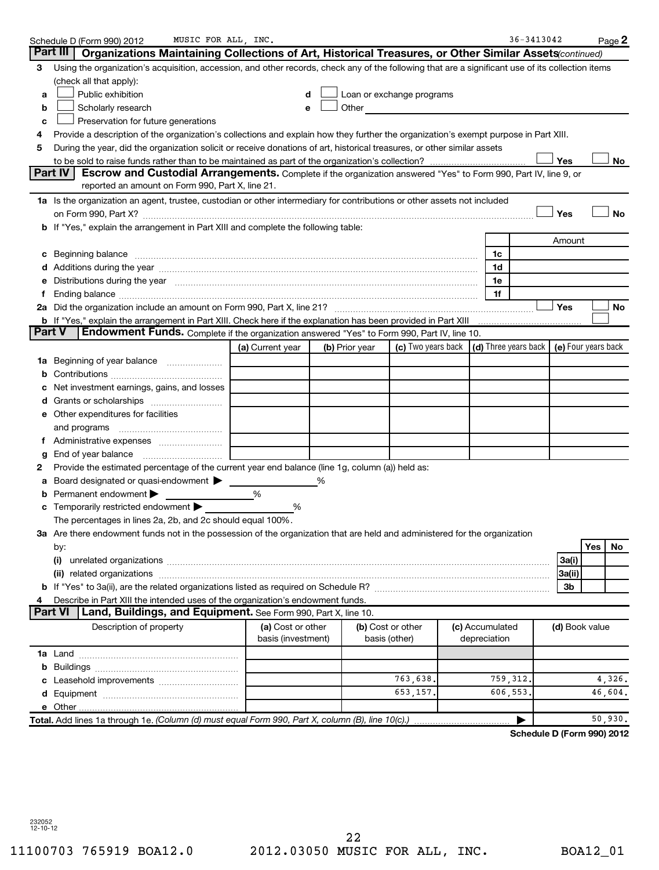|               | MUSIC FOR ALL, INC.<br>Schedule D (Form 990) 2012                                                                                                                                                                              |                    |   |                |                                                                                                                                                                                                                                |                 | 36-3413042                 |                     |     | Page 2     |
|---------------|--------------------------------------------------------------------------------------------------------------------------------------------------------------------------------------------------------------------------------|--------------------|---|----------------|--------------------------------------------------------------------------------------------------------------------------------------------------------------------------------------------------------------------------------|-----------------|----------------------------|---------------------|-----|------------|
|               | Part III<br>Organizations Maintaining Collections of Art, Historical Treasures, or Other Similar Assets (continued)                                                                                                            |                    |   |                |                                                                                                                                                                                                                                |                 |                            |                     |     |            |
| 3             | Using the organization's acquisition, accession, and other records, check any of the following that are a significant use of its collection items                                                                              |                    |   |                |                                                                                                                                                                                                                                |                 |                            |                     |     |            |
|               | (check all that apply):                                                                                                                                                                                                        |                    |   |                |                                                                                                                                                                                                                                |                 |                            |                     |     |            |
| а             | Public exhibition                                                                                                                                                                                                              | d                  |   |                | Loan or exchange programs                                                                                                                                                                                                      |                 |                            |                     |     |            |
| b             | Scholarly research                                                                                                                                                                                                             |                    |   |                | Other and the control of the control of the control of the control of the control of the control of the control of the control of the control of the control of the control of the control of the control of the control of th |                 |                            |                     |     |            |
| c             | Preservation for future generations                                                                                                                                                                                            |                    |   |                |                                                                                                                                                                                                                                |                 |                            |                     |     |            |
| 4             | Provide a description of the organization's collections and explain how they further the organization's exempt purpose in Part XIII.                                                                                           |                    |   |                |                                                                                                                                                                                                                                |                 |                            |                     |     |            |
| 5             | During the year, did the organization solicit or receive donations of art, historical treasures, or other similar assets                                                                                                       |                    |   |                |                                                                                                                                                                                                                                |                 |                            |                     |     |            |
|               |                                                                                                                                                                                                                                |                    |   |                |                                                                                                                                                                                                                                |                 |                            | Yes                 |     | No         |
|               | Part IV<br>Escrow and Custodial Arrangements. Complete if the organization answered "Yes" to Form 990, Part IV, line 9, or                                                                                                     |                    |   |                |                                                                                                                                                                                                                                |                 |                            |                     |     |            |
|               | reported an amount on Form 990, Part X, line 21.                                                                                                                                                                               |                    |   |                |                                                                                                                                                                                                                                |                 |                            |                     |     |            |
|               | 1a Is the organization an agent, trustee, custodian or other intermediary for contributions or other assets not included                                                                                                       |                    |   |                |                                                                                                                                                                                                                                |                 |                            |                     |     |            |
|               |                                                                                                                                                                                                                                |                    |   |                |                                                                                                                                                                                                                                |                 |                            | Yes                 |     | <b>No</b>  |
|               | b If "Yes," explain the arrangement in Part XIII and complete the following table:                                                                                                                                             |                    |   |                |                                                                                                                                                                                                                                |                 |                            |                     |     |            |
|               |                                                                                                                                                                                                                                |                    |   |                |                                                                                                                                                                                                                                |                 |                            | Amount              |     |            |
| c             | Beginning balance measurements and the contract of the contract of the contract of the contract of the contract of the contract of the contract of the contract of the contract of the contract of the contract of the contrac |                    |   |                |                                                                                                                                                                                                                                | 1c              |                            |                     |     |            |
|               |                                                                                                                                                                                                                                |                    |   |                |                                                                                                                                                                                                                                | 1d              |                            |                     |     |            |
| е             | Distributions during the year manufactured and an account of the state of the state of the state of the state o                                                                                                                |                    |   |                |                                                                                                                                                                                                                                | 1e              |                            |                     |     |            |
| 1.            |                                                                                                                                                                                                                                |                    |   |                |                                                                                                                                                                                                                                | 1f              |                            |                     |     |            |
|               |                                                                                                                                                                                                                                |                    |   |                |                                                                                                                                                                                                                                |                 |                            | Yes                 |     | ${\sf No}$ |
| <b>Part V</b> | <b>Endowment Funds.</b> Complete if the organization answered "Yes" to Form 990, Part IV, line 10.                                                                                                                             |                    |   |                |                                                                                                                                                                                                                                |                 |                            |                     |     |            |
|               |                                                                                                                                                                                                                                |                    |   |                | (c) Two years back $\vert$ (d) Three years back $\vert$                                                                                                                                                                        |                 |                            | (e) Four years back |     |            |
|               |                                                                                                                                                                                                                                | (a) Current year   |   | (b) Prior year |                                                                                                                                                                                                                                |                 |                            |                     |     |            |
|               | 1a Beginning of year balance                                                                                                                                                                                                   |                    |   |                |                                                                                                                                                                                                                                |                 |                            |                     |     |            |
| b             | Net investment earnings, gains, and losses                                                                                                                                                                                     |                    |   |                |                                                                                                                                                                                                                                |                 |                            |                     |     |            |
|               |                                                                                                                                                                                                                                |                    |   |                |                                                                                                                                                                                                                                |                 |                            |                     |     |            |
|               | e Other expenditures for facilities                                                                                                                                                                                            |                    |   |                |                                                                                                                                                                                                                                |                 |                            |                     |     |            |
|               | and programs                                                                                                                                                                                                                   |                    |   |                |                                                                                                                                                                                                                                |                 |                            |                     |     |            |
|               |                                                                                                                                                                                                                                |                    |   |                |                                                                                                                                                                                                                                |                 |                            |                     |     |            |
| g             | End of year balance                                                                                                                                                                                                            |                    |   |                |                                                                                                                                                                                                                                |                 |                            |                     |     |            |
| 2             | Provide the estimated percentage of the current year end balance (line 1g, column (a)) held as:                                                                                                                                |                    |   |                |                                                                                                                                                                                                                                |                 |                            |                     |     |            |
| а             | Board designated or quasi-endowment >                                                                                                                                                                                          |                    | ℅ |                |                                                                                                                                                                                                                                |                 |                            |                     |     |            |
| b             | Permanent endowment                                                                                                                                                                                                            | %                  |   |                |                                                                                                                                                                                                                                |                 |                            |                     |     |            |
|               | c Temporarily restricted endowment $\blacktriangleright$                                                                                                                                                                       | %                  |   |                |                                                                                                                                                                                                                                |                 |                            |                     |     |            |
|               | The percentages in lines 2a, 2b, and 2c should equal 100%.                                                                                                                                                                     |                    |   |                |                                                                                                                                                                                                                                |                 |                            |                     |     |            |
|               | 3a Are there endowment funds not in the possession of the organization that are held and administered for the organization                                                                                                     |                    |   |                |                                                                                                                                                                                                                                |                 |                            |                     |     |            |
|               | by:                                                                                                                                                                                                                            |                    |   |                |                                                                                                                                                                                                                                |                 |                            |                     | Yes | No         |
|               |                                                                                                                                                                                                                                |                    |   |                |                                                                                                                                                                                                                                |                 |                            | 3a(i)               |     |            |
|               |                                                                                                                                                                                                                                |                    |   |                |                                                                                                                                                                                                                                |                 |                            | 3a(ii)              |     |            |
|               |                                                                                                                                                                                                                                |                    |   |                |                                                                                                                                                                                                                                |                 |                            | 3b                  |     |            |
|               | Describe in Part XIII the intended uses of the organization's endowment funds.                                                                                                                                                 |                    |   |                |                                                                                                                                                                                                                                |                 |                            |                     |     |            |
|               | <b>Part VI</b><br>Land, Buildings, and Equipment. See Form 990, Part X, line 10.                                                                                                                                               |                    |   |                |                                                                                                                                                                                                                                |                 |                            |                     |     |            |
|               | Description of property                                                                                                                                                                                                        | (a) Cost or other  |   |                | (b) Cost or other                                                                                                                                                                                                              | (c) Accumulated |                            | (d) Book value      |     |            |
|               |                                                                                                                                                                                                                                | basis (investment) |   |                | basis (other)                                                                                                                                                                                                                  | depreciation    |                            |                     |     |            |
|               |                                                                                                                                                                                                                                |                    |   |                |                                                                                                                                                                                                                                |                 |                            |                     |     |            |
|               |                                                                                                                                                                                                                                |                    |   |                |                                                                                                                                                                                                                                |                 |                            |                     |     |            |
|               |                                                                                                                                                                                                                                |                    |   |                | 763,638.                                                                                                                                                                                                                       | 759, 312.       |                            |                     |     | 4,326.     |
|               |                                                                                                                                                                                                                                |                    |   |                | 653,157.                                                                                                                                                                                                                       | 606,553.        |                            |                     |     | 46,604.    |
|               |                                                                                                                                                                                                                                |                    |   |                |                                                                                                                                                                                                                                |                 |                            |                     |     |            |
|               | Total. Add lines 1a through 1e. (Column (d) must equal Form 990, Part X, column (B), line 10(c).)                                                                                                                              |                    |   |                |                                                                                                                                                                                                                                |                 | ▶                          |                     |     | 50,930.    |
|               |                                                                                                                                                                                                                                |                    |   |                |                                                                                                                                                                                                                                |                 | Schedule D (Form 990) 2012 |                     |     |            |

232052 12-10-12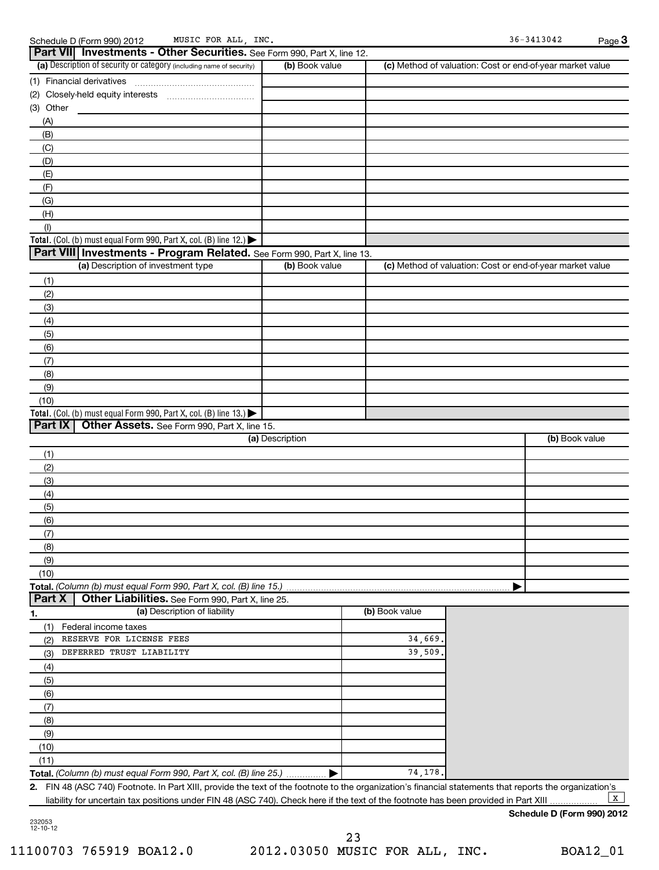| MUSIC<br>Schedule D (Form 990) 2012 |
|-------------------------------------|
|-------------------------------------|

|                  | MUSIC FOR ALL, INC.<br>Schedule D (Form 990) 2012                                                                                                       |                 |                |                                                           | $36 - 3413042$ | Page 3 |
|------------------|---------------------------------------------------------------------------------------------------------------------------------------------------------|-----------------|----------------|-----------------------------------------------------------|----------------|--------|
|                  | Part VII Investments - Other Securities. See Form 990, Part X, line 12.                                                                                 |                 |                |                                                           |                |        |
|                  | (a) Description of security or category (including name of security)                                                                                    | (b) Book value  |                | (c) Method of valuation: Cost or end-of-year market value |                |        |
|                  | (1) Financial derivatives                                                                                                                               |                 |                |                                                           |                |        |
|                  |                                                                                                                                                         |                 |                |                                                           |                |        |
| (3) Other        |                                                                                                                                                         |                 |                |                                                           |                |        |
| (A)              |                                                                                                                                                         |                 |                |                                                           |                |        |
| (B)              |                                                                                                                                                         |                 |                |                                                           |                |        |
| (C)              |                                                                                                                                                         |                 |                |                                                           |                |        |
| (D)              |                                                                                                                                                         |                 |                |                                                           |                |        |
| (E)              |                                                                                                                                                         |                 |                |                                                           |                |        |
| (F)              |                                                                                                                                                         |                 |                |                                                           |                |        |
| (G)              |                                                                                                                                                         |                 |                |                                                           |                |        |
| (H)              |                                                                                                                                                         |                 |                |                                                           |                |        |
|                  |                                                                                                                                                         |                 |                |                                                           |                |        |
| (1)              | Total. (Col. (b) must equal Form 990, Part X, col. (B) line 12.)                                                                                        |                 |                |                                                           |                |        |
|                  | Part VIII Investments - Program Related. See Form 990, Part X, line 13.                                                                                 |                 |                |                                                           |                |        |
|                  | (a) Description of investment type                                                                                                                      |                 |                |                                                           |                |        |
|                  |                                                                                                                                                         | (b) Book value  |                | (c) Method of valuation: Cost or end-of-year market value |                |        |
| (1)              |                                                                                                                                                         |                 |                |                                                           |                |        |
| (2)              |                                                                                                                                                         |                 |                |                                                           |                |        |
| (3)              |                                                                                                                                                         |                 |                |                                                           |                |        |
| (4)              |                                                                                                                                                         |                 |                |                                                           |                |        |
| (5)              |                                                                                                                                                         |                 |                |                                                           |                |        |
| (6)              |                                                                                                                                                         |                 |                |                                                           |                |        |
| (7)              |                                                                                                                                                         |                 |                |                                                           |                |        |
| (8)              |                                                                                                                                                         |                 |                |                                                           |                |        |
| (9)              |                                                                                                                                                         |                 |                |                                                           |                |        |
| (10)             |                                                                                                                                                         |                 |                |                                                           |                |        |
|                  | Total. (Col. (b) must equal Form 990, Part X, col. (B) line 13.)                                                                                        |                 |                |                                                           |                |        |
| Part IX          | Other Assets. See Form 990, Part X, line 15.                                                                                                            |                 |                |                                                           |                |        |
|                  |                                                                                                                                                         | (a) Description |                |                                                           | (b) Book value |        |
| (1)              |                                                                                                                                                         |                 |                |                                                           |                |        |
| (2)              |                                                                                                                                                         |                 |                |                                                           |                |        |
| (3)              |                                                                                                                                                         |                 |                |                                                           |                |        |
| (4)              |                                                                                                                                                         |                 |                |                                                           |                |        |
| (5)              |                                                                                                                                                         |                 |                |                                                           |                |        |
| (6)              |                                                                                                                                                         |                 |                |                                                           |                |        |
| (7)              |                                                                                                                                                         |                 |                |                                                           |                |        |
| (8)              |                                                                                                                                                         |                 |                |                                                           |                |        |
| (9)              |                                                                                                                                                         |                 |                |                                                           |                |        |
| (10)             |                                                                                                                                                         |                 |                |                                                           |                |        |
|                  | Total. (Column (b) must equal Form 990, Part X, col. (B) line 15.)                                                                                      |                 |                |                                                           |                |        |
| Part X           | Other Liabilities. See Form 990, Part X, line 25.                                                                                                       |                 |                |                                                           |                |        |
| $\overline{1}$ . | (a) Description of liability                                                                                                                            |                 | (b) Book value |                                                           |                |        |
| (1)              | Federal income taxes                                                                                                                                    |                 |                |                                                           |                |        |
| (2)              | RESERVE FOR LICENSE FEES                                                                                                                                |                 | 34,669         |                                                           |                |        |
|                  | DEFERRED TRUST LIABILITY                                                                                                                                |                 | 39,509         |                                                           |                |        |
| (3)              |                                                                                                                                                         |                 |                |                                                           |                |        |
| (4)              |                                                                                                                                                         |                 |                |                                                           |                |        |
| (5)              |                                                                                                                                                         |                 |                |                                                           |                |        |
| (6)              |                                                                                                                                                         |                 |                |                                                           |                |        |
| (7)              |                                                                                                                                                         |                 |                |                                                           |                |        |
| (8)              |                                                                                                                                                         |                 |                |                                                           |                |        |
| (9)              |                                                                                                                                                         |                 |                |                                                           |                |        |
| (10)             |                                                                                                                                                         |                 |                |                                                           |                |        |
| (11)             |                                                                                                                                                         |                 |                |                                                           |                |        |
|                  | Total. (Column (b) must equal Form 990, Part X, col. (B) line 25.)                                                                                      |                 | 74,178.        |                                                           |                |        |
|                  | 2. FIN 48 (ASC 740) Footnote. In Part XIII, provide the text of the footnote to the organization's financial statements that reports the organization's |                 |                |                                                           |                |        |

liability for uncertain tax positions under FIN 48 (ASC 740). Check here if the text of the footnote has been provided in Part XIII  $\mathbf{X}$ 

## **Schedule D (Form 990) 2012**

232053 12-10-12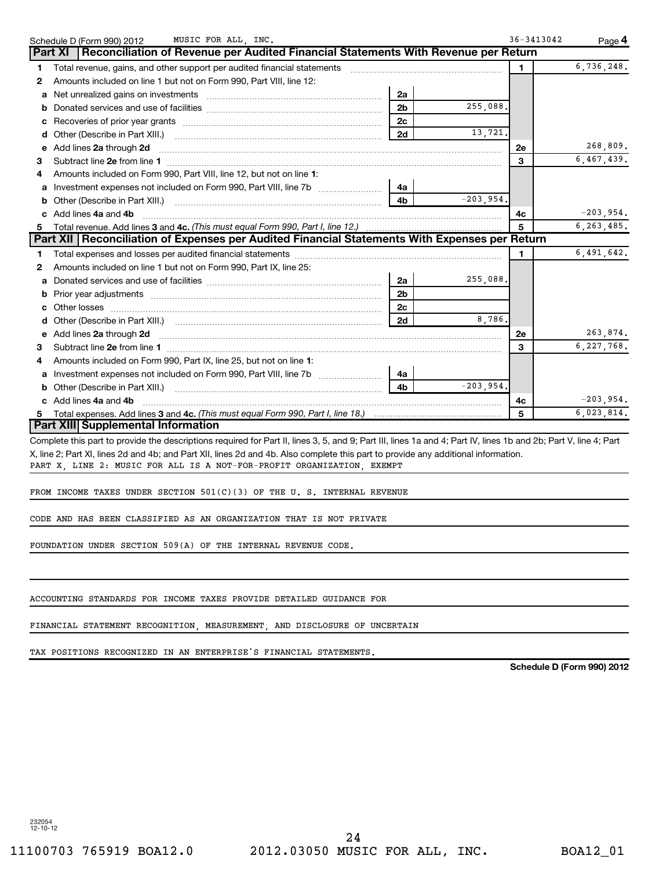|    | Schedule D (Form 990) 2012 MUSIC FOR ALL, INC.                                                                                                                                            | $36 - 3413042$ | Page 4       |
|----|-------------------------------------------------------------------------------------------------------------------------------------------------------------------------------------------|----------------|--------------|
|    | Reconciliation of Revenue per Audited Financial Statements With Revenue per Return<br><b>Part XI</b>                                                                                      |                |              |
| 1. | Total revenue, gains, and other support per audited financial statements<br>a se provincia de la construcción de la construcción de la construcción de la construcción de la construcción | $\mathbf{1}$   | 6,736,248.   |
| 2  | Amounts included on line 1 but not on Form 990, Part VIII, line 12:                                                                                                                       |                |              |
| a  | 2a                                                                                                                                                                                        |                |              |
| b  | 255,088.<br>2 <sub>b</sub>                                                                                                                                                                |                |              |
| c  | 2 <sub>c</sub><br>Recoveries of prior year grants [11, 120] [12, 130] Recoveries of prior year grants [14] [12, 130] [13] [14] [                                                          |                |              |
| d  | 2d                                                                                                                                                                                        | 13,721.        |              |
| e  | Add lines 2a through 2d                                                                                                                                                                   | 2е             | 268,809.     |
| з  |                                                                                                                                                                                           | 3              | 6,467,439.   |
|    | Amounts included on Form 990, Part VIII, line 12, but not on line 1:                                                                                                                      |                |              |
| a  | 4a                                                                                                                                                                                        |                |              |
|    | $-203,954.$<br>4 <sub>b</sub><br>Other (Describe in Part XIII.)                                                                                                                           |                |              |
| c  | Add lines 4a and 4b                                                                                                                                                                       | 4с             | $-203,954.$  |
| 5. |                                                                                                                                                                                           |                | 6, 263, 485. |
|    | Part XII   Reconciliation of Expenses per Audited Financial Statements With Expenses per Return                                                                                           |                |              |
| 1. |                                                                                                                                                                                           | $\mathbf{1}$   | 6,491,642.   |
| 2  | Amounts included on line 1 but not on Form 990, Part IX, line 25:                                                                                                                         |                |              |
| a  | 255,088.<br>2a                                                                                                                                                                            |                |              |
| b  | 2 <sub>b</sub><br>Prior year adjustments [1111] Prior year adjustments [111] Masseum Masseum Masseum Masseum Masseum Masseum Mass                                                         |                |              |
|    | 2c                                                                                                                                                                                        |                |              |
| d  | 2d                                                                                                                                                                                        | 8,786.         |              |
| e  |                                                                                                                                                                                           | 2е             | 263,874.     |
| з  |                                                                                                                                                                                           | 3              | 6,227,768.   |
| 4  | Amounts included on Form 990, Part IX, line 25, but not on line 1:                                                                                                                        |                |              |
|    | 4a                                                                                                                                                                                        |                |              |
|    | $-203,954.$<br>4 <sub>b</sub><br><b>b</b> Other (Describe in Part XIII.)                                                                                                                  |                |              |
| C. | Add lines 4a and 4b                                                                                                                                                                       | 4c             | $-203,954.$  |
| 5. |                                                                                                                                                                                           | 5              | 6,023,814.   |
|    | <b>Part XIII Supplemental Information</b>                                                                                                                                                 |                |              |
|    | Complete this part to provide the descriptions required for Part II, lines 3, 5, and 9; Part III, lines 1a and 4; Part IV, lines 1b and 2b; Part V, line 4; Part                          |                |              |

X, line 2; Part XI, lines 2d and 4b; and Part XII, lines 2d and 4b. Also complete this part to provide any additional information. PART X, LINE 2: MUSIC FOR ALL IS A NOT-FOR-PROFIT ORGANIZATION, EXEMPT

FROM INCOME TAXES UNDER SECTION 501(C)(3) OF THE U. S. INTERNAL REVENUE

CODE AND HAS BEEN CLASSIFIED AS AN ORGANIZATION THAT IS NOT PRIVATE

FOUNDATION UNDER SECTION 509(A) OF THE INTERNAL REVENUE CODE.

ACCOUNTING STANDARDS FOR INCOME TAXES PROVIDE DETAILED GUIDANCE FOR

FINANCIAL STATEMENT RECOGNITION, MEASUREMENT, AND DISCLOSURE OF UNCERTAIN

TAX POSITIONS RECOGNIZED IN AN ENTERPRISE'S FINANCIAL STATEMENTS.

**Schedule D (Form 990) 2012**

232054 12-10-12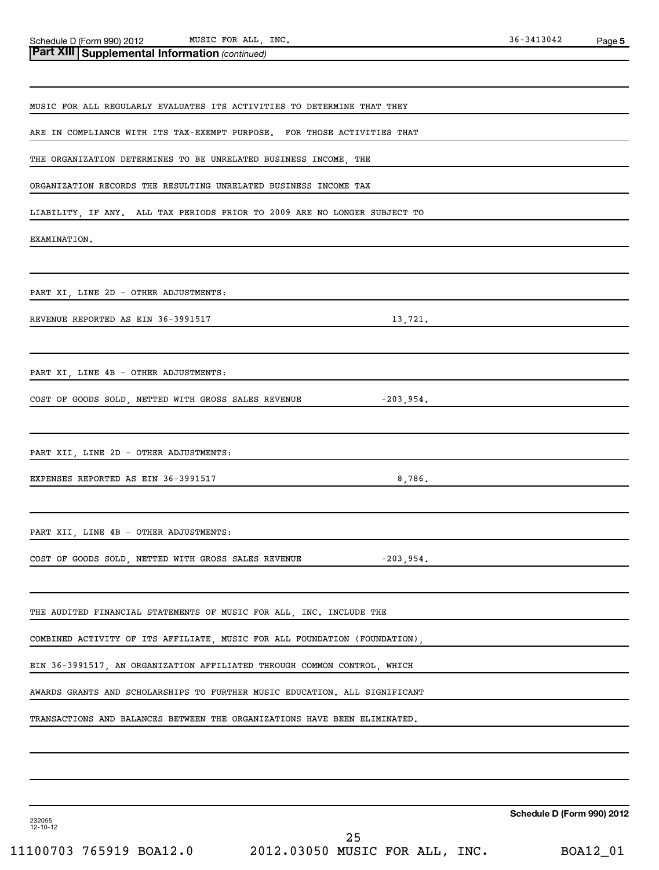MUSIC FOR ALL, INC. 36-3413042

| <b>Part XIII Supplemental Information (continued)</b>                                                       |  |  |  |  |  |  |  |
|-------------------------------------------------------------------------------------------------------------|--|--|--|--|--|--|--|
|                                                                                                             |  |  |  |  |  |  |  |
| MUSIC FOR ALL REGULARLY EVALUATES ITS ACTIVITIES TO DETERMINE THAT THEY                                     |  |  |  |  |  |  |  |
| ARE IN COMPLIANCE WITH ITS TAX-EXEMPT PURPOSE. FOR THOSE ACTIVITIES THAT                                    |  |  |  |  |  |  |  |
| THE ORGANIZATION DETERMINES TO BE UNRELATED BUSINESS INCOME, THE                                            |  |  |  |  |  |  |  |
| ORGANIZATION RECORDS THE RESULTING UNRELATED BUSINESS INCOME TAX                                            |  |  |  |  |  |  |  |
| LIABILITY, IF ANY. ALL TAX PERIODS PRIOR TO 2009 ARE NO LONGER SUBJECT TO                                   |  |  |  |  |  |  |  |
| EXAMINATION.                                                                                                |  |  |  |  |  |  |  |
| PART XI, LINE 2D - OTHER ADJUSTMENTS:                                                                       |  |  |  |  |  |  |  |
| REVENUE REPORTED AS EIN 36-3991517<br>13,721.                                                               |  |  |  |  |  |  |  |
| PART XI, LINE 4B - OTHER ADJUSTMENTS:<br>COST OF GOODS SOLD, NETTED WITH GROSS SALES REVENUE<br>$-203,954.$ |  |  |  |  |  |  |  |
| PART XII, LINE 2D - OTHER ADJUSTMENTS:                                                                      |  |  |  |  |  |  |  |
| 8,786.<br>EXPENSES REPORTED AS EIN 36-3991517                                                               |  |  |  |  |  |  |  |
| PART XII, LINE 4B - OTHER ADJUSTMENTS:                                                                      |  |  |  |  |  |  |  |
| COST OF GOODS SOLD, NETTED WITH GROSS SALES REVENUE $-203,954$ .                                            |  |  |  |  |  |  |  |
| THE AUDITED FINANCIAL STATEMENTS OF MUSIC FOR ALL, INC. INCLUDE THE                                         |  |  |  |  |  |  |  |
| COMBINED ACTIVITY OF ITS AFFILIATE, MUSIC FOR ALL FOUNDATION (FOUNDATION),                                  |  |  |  |  |  |  |  |
| EIN 36-3991517, AN ORGANIZATION AFFILIATED THROUGH COMMON CONTROL, WHICH                                    |  |  |  |  |  |  |  |
| AWARDS GRANTS AND SCHOLARSHIPS TO FURTHER MUSIC EDUCATION. ALL SIGNIFICANT                                  |  |  |  |  |  |  |  |
| TRANSACTIONS AND BALANCES BETWEEN THE ORGANIZATIONS HAVE BEEN ELIMINATED.                                   |  |  |  |  |  |  |  |
|                                                                                                             |  |  |  |  |  |  |  |
|                                                                                                             |  |  |  |  |  |  |  |

**Schedule D (Form 990) 2012**

232055 12-10-12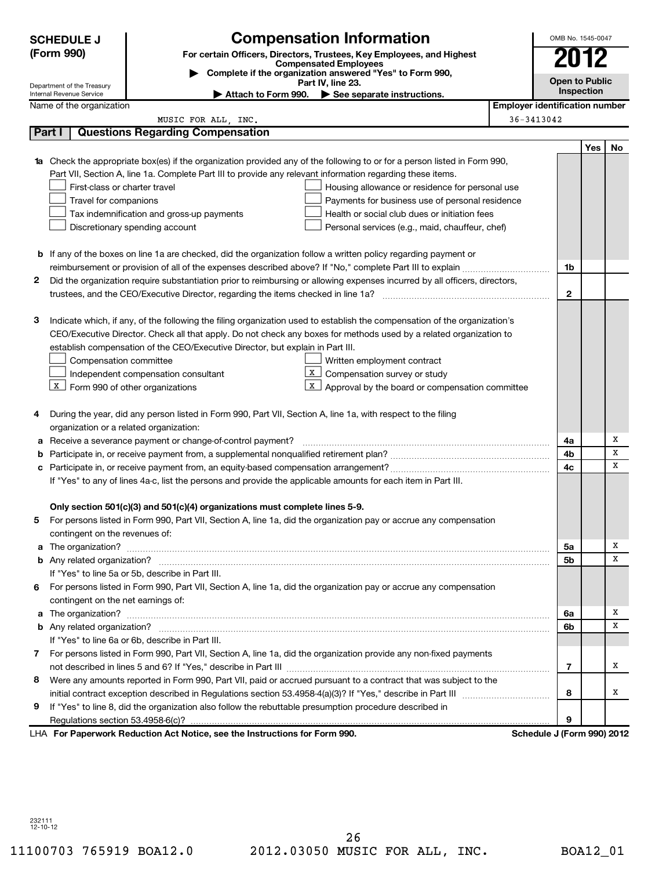|              | <b>SCHEDULE J</b>                                                                                                      |                                                                                                                                  | OMB No. 1545-0047                     |            |    |  |  |
|--------------|------------------------------------------------------------------------------------------------------------------------|----------------------------------------------------------------------------------------------------------------------------------|---------------------------------------|------------|----|--|--|
|              | <b>Compensation Information</b><br>(Form 990)<br>For certain Officers, Directors, Trustees, Key Employees, and Highest |                                                                                                                                  |                                       |            |    |  |  |
|              |                                                                                                                        | <b>Compensated Employees</b><br>Complete if the organization answered "Yes" to Form 990,                                         |                                       |            |    |  |  |
|              | Department of the Treasury                                                                                             | Part IV, line 23.                                                                                                                | <b>Open to Public</b>                 |            |    |  |  |
|              | Internal Revenue Service                                                                                               | Attach to Form 990. See separate instructions.                                                                                   |                                       | Inspection |    |  |  |
|              | Name of the organization                                                                                               |                                                                                                                                  | <b>Employer identification number</b> |            |    |  |  |
|              |                                                                                                                        | MUSIC FOR ALL, INC.                                                                                                              | 36-3413042                            |            |    |  |  |
| Part I       |                                                                                                                        | <b>Questions Regarding Compensation</b>                                                                                          |                                       |            |    |  |  |
|              |                                                                                                                        |                                                                                                                                  |                                       | Yes        | No |  |  |
|              |                                                                                                                        | <b>1a</b> Check the appropriate box(es) if the organization provided any of the following to or for a person listed in Form 990, |                                       |            |    |  |  |
|              |                                                                                                                        | Part VII, Section A, line 1a. Complete Part III to provide any relevant information regarding these items.                       |                                       |            |    |  |  |
|              | First-class or charter travel                                                                                          | Housing allowance or residence for personal use                                                                                  |                                       |            |    |  |  |
|              | Travel for companions                                                                                                  | Payments for business use of personal residence                                                                                  |                                       |            |    |  |  |
|              |                                                                                                                        | Health or social club dues or initiation fees<br>Tax indemnification and gross-up payments                                       |                                       |            |    |  |  |
|              |                                                                                                                        | Discretionary spending account<br>Personal services (e.g., maid, chauffeur, chef)                                                |                                       |            |    |  |  |
|              |                                                                                                                        |                                                                                                                                  |                                       |            |    |  |  |
|              |                                                                                                                        | <b>b</b> If any of the boxes on line 1a are checked, did the organization follow a written policy regarding payment or           |                                       |            |    |  |  |
|              |                                                                                                                        |                                                                                                                                  | 1b                                    |            |    |  |  |
| 2            |                                                                                                                        | Did the organization require substantiation prior to reimbursing or allowing expenses incurred by all officers, directors,       |                                       |            |    |  |  |
|              |                                                                                                                        |                                                                                                                                  | $\mathbf{2}$                          |            |    |  |  |
|              |                                                                                                                        | Indicate which, if any, of the following the filing organization used to establish the compensation of the organization's        |                                       |            |    |  |  |
| з            |                                                                                                                        | CEO/Executive Director. Check all that apply. Do not check any boxes for methods used by a related organization to               |                                       |            |    |  |  |
|              |                                                                                                                        |                                                                                                                                  |                                       |            |    |  |  |
|              |                                                                                                                        | establish compensation of the CEO/Executive Director, but explain in Part III.                                                   |                                       |            |    |  |  |
|              | Compensation committee                                                                                                 | Written employment contract<br>X                                                                                                 |                                       |            |    |  |  |
|              |                                                                                                                        | Compensation survey or study<br>Independent compensation consultant<br>X                                                         |                                       |            |    |  |  |
|              | $X$ Form 990 of other organizations                                                                                    | Approval by the board or compensation committee                                                                                  |                                       |            |    |  |  |
| 4            |                                                                                                                        | During the year, did any person listed in Form 990, Part VII, Section A, line 1a, with respect to the filing                     |                                       |            |    |  |  |
|              |                                                                                                                        | organization or a related organization:                                                                                          |                                       |            |    |  |  |
|              |                                                                                                                        | a Receive a severance payment or change-of-control payment?                                                                      | 4a                                    |            | Х  |  |  |
| b            |                                                                                                                        |                                                                                                                                  | 4b                                    |            | х  |  |  |
|              |                                                                                                                        |                                                                                                                                  | 4c                                    |            | X  |  |  |
|              |                                                                                                                        | If "Yes" to any of lines 4a-c, list the persons and provide the applicable amounts for each item in Part III.                    |                                       |            |    |  |  |
|              |                                                                                                                        |                                                                                                                                  |                                       |            |    |  |  |
|              |                                                                                                                        | Only section 501(c)(3) and 501(c)(4) organizations must complete lines 5-9.                                                      |                                       |            |    |  |  |
| 5            |                                                                                                                        | For persons listed in Form 990, Part VII, Section A, line 1a, did the organization pay or accrue any compensation                |                                       |            |    |  |  |
|              | contingent on the revenues of:                                                                                         |                                                                                                                                  |                                       |            |    |  |  |
|              |                                                                                                                        |                                                                                                                                  | 5a                                    |            | х  |  |  |
|              |                                                                                                                        |                                                                                                                                  | 5b                                    |            | х  |  |  |
|              |                                                                                                                        | If "Yes" to line 5a or 5b, describe in Part III.                                                                                 |                                       |            |    |  |  |
| 6            |                                                                                                                        | For persons listed in Form 990, Part VII, Section A, line 1a, did the organization pay or accrue any compensation                |                                       |            |    |  |  |
|              | contingent on the net earnings of:                                                                                     |                                                                                                                                  |                                       |            |    |  |  |
|              |                                                                                                                        |                                                                                                                                  | 6a                                    |            | x  |  |  |
|              |                                                                                                                        |                                                                                                                                  | 6b                                    |            | х  |  |  |
|              |                                                                                                                        | If "Yes" to line 6a or 6b, describe in Part III.                                                                                 |                                       |            |    |  |  |
| $\mathbf{7}$ |                                                                                                                        | For persons listed in Form 990, Part VII, Section A, line 1a, did the organization provide any non-fixed payments                |                                       |            |    |  |  |
|              |                                                                                                                        |                                                                                                                                  | 7                                     |            | х  |  |  |
| 8            |                                                                                                                        | Were any amounts reported in Form 990, Part VII, paid or accrued pursuant to a contract that was subject to the                  |                                       |            |    |  |  |
|              |                                                                                                                        |                                                                                                                                  | 8                                     |            | х  |  |  |
| 9            |                                                                                                                        | If "Yes" to line 8, did the organization also follow the rebuttable presumption procedure described in                           |                                       |            |    |  |  |
|              |                                                                                                                        |                                                                                                                                  | 9                                     |            |    |  |  |
|              |                                                                                                                        | LHA For Paperwork Reduction Act Notice, see the Instructions for Form 990.                                                       | Schedule J (Form 990) 2012            |            |    |  |  |

232111 12-10-12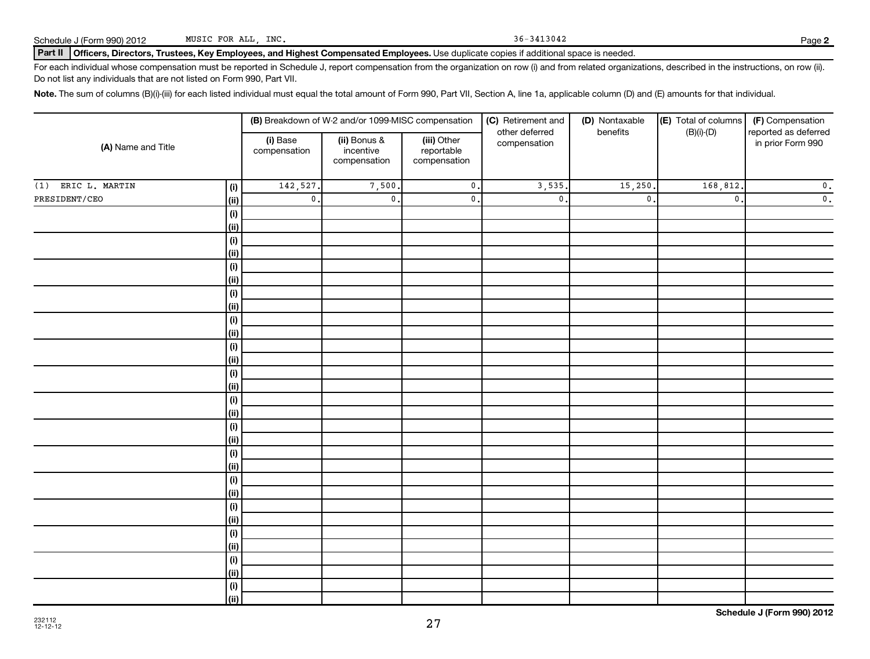Schedule J (Form 990) 2012

| MUSIC FOR ALL, INC. |  |  |
|---------------------|--|--|
|                     |  |  |

Part II | Officers, Directors, Trustees, Key Employees, and Highest Compensated Employees. Use duplicate copies if additional space is needed.

For each individual whose compensation must be reported in Schedule J, report compensation from the organization on row (i) and from related organizations, described in the instructions, on row (ii). Do not list any individuals that are not listed on Form 990, Part VII.

Note. The sum of columns (B)(i)-(iii) for each listed individual must equal the total amount of Form 990, Part VII, Section A, line 1a, applicable column (D) and (E) amounts for that individual.

| (A) Name and Title   |             |                          | (B) Breakdown of W-2 and/or 1099-MISC compensation |                                           | (C) Retirement and<br>other deferred | (D) Nontaxable | (E) Total of columns<br>$(B)(i)-(D)$<br>benefits |                                           |
|----------------------|-------------|--------------------------|----------------------------------------------------|-------------------------------------------|--------------------------------------|----------------|--------------------------------------------------|-------------------------------------------|
|                      |             | (i) Base<br>compensation | (ii) Bonus &<br>incentive<br>compensation          | (iii) Other<br>reportable<br>compensation | compensation                         |                |                                                  | reported as deferred<br>in prior Form 990 |
| $(1)$ ERIC L. MARTIN | (i)         | 142,527.                 | 7,500.                                             | $\overline{\mathbf{0}}$ .                 | 3,535                                | 15,250.        | 168,812.                                         | $\mathfrak o$ .                           |
| PRESIDENT/CEO        | (ii)        | $\mathfrak o$ .          | $\mathfrak o$ .                                    | $\mathfrak o$ .                           | $\mathbf{0}$                         | $\mathbf{0}$   | $\mathbf 0$ .                                    | $\overline{\mathbf{0}}$ .                 |
|                      | (i)         |                          |                                                    |                                           |                                      |                |                                                  |                                           |
|                      | (ii)        |                          |                                                    |                                           |                                      |                |                                                  |                                           |
|                      | (i)         |                          |                                                    |                                           |                                      |                |                                                  |                                           |
|                      | (ii)        |                          |                                                    |                                           |                                      |                |                                                  |                                           |
|                      | (i)         |                          |                                                    |                                           |                                      |                |                                                  |                                           |
|                      | (ii)        |                          |                                                    |                                           |                                      |                |                                                  |                                           |
|                      | (i)         |                          |                                                    |                                           |                                      |                |                                                  |                                           |
|                      | (ii)        |                          |                                                    |                                           |                                      |                |                                                  |                                           |
|                      | (i)         |                          |                                                    |                                           |                                      |                |                                                  |                                           |
|                      | (ii)        |                          |                                                    |                                           |                                      |                |                                                  |                                           |
|                      | (i)         |                          |                                                    |                                           |                                      |                |                                                  |                                           |
|                      | (ii)        |                          |                                                    |                                           |                                      |                |                                                  |                                           |
|                      | (i)         |                          |                                                    |                                           |                                      |                |                                                  |                                           |
|                      | (ii)        |                          |                                                    |                                           |                                      |                |                                                  |                                           |
|                      | (i)         |                          |                                                    |                                           |                                      |                |                                                  |                                           |
|                      | (ii)        |                          |                                                    |                                           |                                      |                |                                                  |                                           |
|                      | (i)         |                          |                                                    |                                           |                                      |                |                                                  |                                           |
|                      | (ii)        |                          |                                                    |                                           |                                      |                |                                                  |                                           |
|                      | $\vert$ (i) |                          |                                                    |                                           |                                      |                |                                                  |                                           |
|                      | (ii)        |                          |                                                    |                                           |                                      |                |                                                  |                                           |
|                      | (i)         |                          |                                                    |                                           |                                      |                |                                                  |                                           |
|                      | (ii)        |                          |                                                    |                                           |                                      |                |                                                  |                                           |
|                      | (i)         |                          |                                                    |                                           |                                      |                |                                                  |                                           |
|                      | (ii)        |                          |                                                    |                                           |                                      |                |                                                  |                                           |
|                      | (i)         |                          |                                                    |                                           |                                      |                |                                                  |                                           |
|                      | (ii)        |                          |                                                    |                                           |                                      |                |                                                  |                                           |
|                      | (i)         |                          |                                                    |                                           |                                      |                |                                                  |                                           |
|                      | (ii)        |                          |                                                    |                                           |                                      |                |                                                  |                                           |
|                      | (i)         |                          |                                                    |                                           |                                      |                |                                                  |                                           |
|                      | (ii)        |                          |                                                    |                                           |                                      |                |                                                  |                                           |

27

36-3413042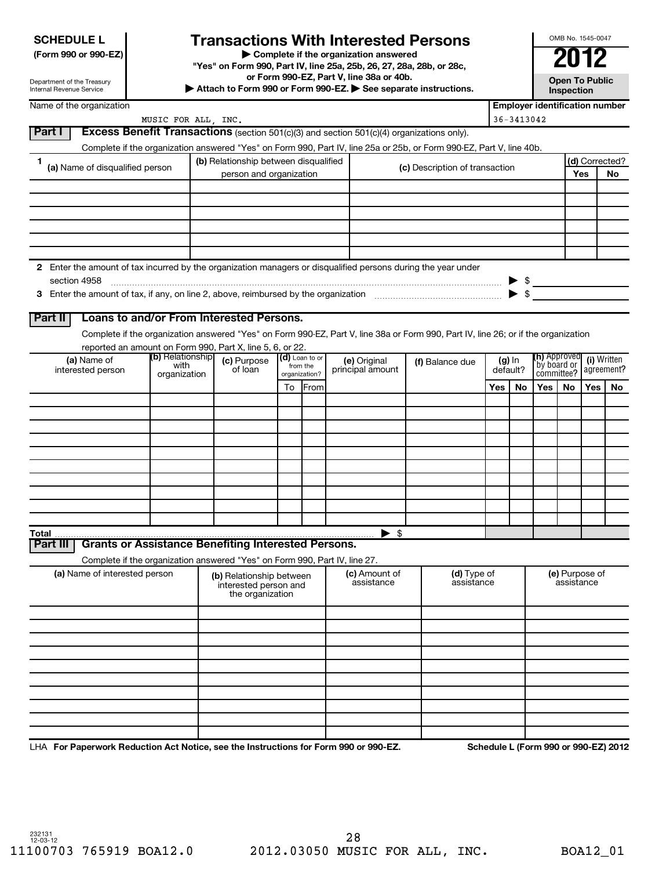# **SCHEDULE L**

# **Transactions With Interested Persons** <br> **2012**<br> **2012**

**(Form 990 or 990-EZ) | Complete if the organization answered**

**"Yes" on Form 990, Part IV, line 25a, 25b, 26, 27, 28a, 28b, or 28c,**

**or Form 990-EZ, Part V, line 38a or 40b.**

**| Attach to Form 990 or Form 990-EZ. | See separate instructions. Open To Public**

**Inspection**

OMB No. 1545-0047

Department of the Treasury Internal Revenue Service

|          | Name of the organization         |                     |                                                                            |    |                              |                                                                                                                                    |                                |     |                          | <b>Employer identification number</b> |                                           |                |                           |
|----------|----------------------------------|---------------------|----------------------------------------------------------------------------|----|------------------------------|------------------------------------------------------------------------------------------------------------------------------------|--------------------------------|-----|--------------------------|---------------------------------------|-------------------------------------------|----------------|---------------------------|
|          |                                  | MUSIC FOR ALL, INC. |                                                                            |    |                              |                                                                                                                                    |                                |     | $36 - 3413042$           |                                       |                                           |                |                           |
| Part I   |                                  |                     |                                                                            |    |                              | <b>Excess Benefit Transactions</b> (section 501(c)(3) and section 501(c)(4) organizations only).                                   |                                |     |                          |                                       |                                           |                |                           |
|          |                                  |                     |                                                                            |    |                              | Complete if the organization answered "Yes" on Form 990, Part IV, line 25a or 25b, or Form 990-EZ, Part V, line 40b.               |                                |     |                          |                                       |                                           |                |                           |
| 1        |                                  |                     | (b) Relationship between disqualified                                      |    |                              |                                                                                                                                    |                                |     |                          |                                       |                                           |                | (d) Corrected?            |
|          | (a) Name of disqualified person  |                     | person and organization                                                    |    |                              |                                                                                                                                    | (c) Description of transaction |     |                          |                                       | Yes                                       |                | No                        |
|          |                                  |                     |                                                                            |    |                              |                                                                                                                                    |                                |     |                          |                                       |                                           |                |                           |
|          |                                  |                     |                                                                            |    |                              |                                                                                                                                    |                                |     |                          |                                       |                                           |                |                           |
|          |                                  |                     |                                                                            |    |                              |                                                                                                                                    |                                |     |                          |                                       |                                           |                |                           |
|          |                                  |                     |                                                                            |    |                              |                                                                                                                                    |                                |     |                          |                                       |                                           |                |                           |
|          |                                  |                     |                                                                            |    |                              |                                                                                                                                    |                                |     |                          |                                       |                                           |                |                           |
|          |                                  |                     |                                                                            |    |                              |                                                                                                                                    |                                |     |                          |                                       |                                           |                |                           |
|          |                                  |                     |                                                                            |    |                              | 2 Enter the amount of tax incurred by the organization managers or disqualified persons during the year under                      |                                |     |                          |                                       |                                           |                |                           |
|          | section 4958                     |                     |                                                                            |    |                              |                                                                                                                                    |                                |     |                          |                                       |                                           |                |                           |
|          |                                  |                     |                                                                            |    |                              |                                                                                                                                    |                                |     | $\blacktriangleright$ \$ | $\blacktriangleright$ \$              |                                           |                |                           |
|          |                                  |                     |                                                                            |    |                              |                                                                                                                                    |                                |     |                          |                                       |                                           |                |                           |
| Part II  |                                  |                     | Loans to and/or From Interested Persons.                                   |    |                              |                                                                                                                                    |                                |     |                          |                                       |                                           |                |                           |
|          |                                  |                     |                                                                            |    |                              |                                                                                                                                    |                                |     |                          |                                       |                                           |                |                           |
|          |                                  |                     |                                                                            |    |                              | Complete if the organization answered "Yes" on Form 990-EZ, Part V, line 38a or Form 990, Part IV, line 26; or if the organization |                                |     |                          |                                       |                                           |                |                           |
|          |                                  | (b) Relationship    | reported an amount on Form 990, Part X, line 5, 6, or 22.                  |    |                              |                                                                                                                                    |                                |     |                          |                                       |                                           |                |                           |
|          | (a) Name of<br>interested person | with                | (c) Purpose<br>of loan                                                     |    | $(d)$ Loan to or<br>from the | (e) Original<br>principal amount                                                                                                   | (f) Balance due                |     | $(g)$ In<br>default?     |                                       | (h) Approved<br>by board or<br>committee? |                | (i) Written<br>agreement? |
|          |                                  | organization        |                                                                            |    | organization?                |                                                                                                                                    |                                |     |                          |                                       |                                           |                |                           |
|          |                                  |                     |                                                                            | To | From                         |                                                                                                                                    |                                | Yes | No                       | Yes                                   | No.                                       | Yes            | No                        |
|          |                                  |                     |                                                                            |    |                              |                                                                                                                                    |                                |     |                          |                                       |                                           |                |                           |
|          |                                  |                     |                                                                            |    |                              |                                                                                                                                    |                                |     |                          |                                       |                                           |                |                           |
|          |                                  |                     |                                                                            |    |                              |                                                                                                                                    |                                |     |                          |                                       |                                           |                |                           |
|          |                                  |                     |                                                                            |    |                              |                                                                                                                                    |                                |     |                          |                                       |                                           |                |                           |
|          |                                  |                     |                                                                            |    |                              |                                                                                                                                    |                                |     |                          |                                       |                                           |                |                           |
|          |                                  |                     |                                                                            |    |                              |                                                                                                                                    |                                |     |                          |                                       |                                           |                |                           |
|          |                                  |                     |                                                                            |    |                              |                                                                                                                                    |                                |     |                          |                                       |                                           |                |                           |
|          |                                  |                     |                                                                            |    |                              |                                                                                                                                    |                                |     |                          |                                       |                                           |                |                           |
|          |                                  |                     |                                                                            |    |                              |                                                                                                                                    |                                |     |                          |                                       |                                           |                |                           |
|          |                                  |                     |                                                                            |    |                              |                                                                                                                                    |                                |     |                          |                                       |                                           |                |                           |
| Total    |                                  |                     |                                                                            |    |                              | $\blacktriangleright$ \$                                                                                                           |                                |     |                          |                                       |                                           |                |                           |
| Part III |                                  |                     | <b>Grants or Assistance Benefiting Interested Persons.</b>                 |    |                              |                                                                                                                                    |                                |     |                          |                                       |                                           |                |                           |
|          |                                  |                     | Complete if the organization answered "Yes" on Form 990, Part IV, line 27. |    |                              |                                                                                                                                    |                                |     |                          |                                       |                                           |                |                           |
|          | (a) Name of interested person    |                     | (b) Relationship between                                                   |    |                              | (c) Amount of                                                                                                                      | (d) Type of                    |     |                          |                                       |                                           | (e) Purpose of |                           |
|          |                                  |                     | interested person and                                                      |    |                              | assistance                                                                                                                         | assistance                     |     |                          |                                       | assistance                                |                |                           |
|          |                                  |                     | the organization                                                           |    |                              |                                                                                                                                    |                                |     |                          |                                       |                                           |                |                           |
|          |                                  |                     |                                                                            |    |                              |                                                                                                                                    |                                |     |                          |                                       |                                           |                |                           |
|          |                                  |                     |                                                                            |    |                              |                                                                                                                                    |                                |     |                          |                                       |                                           |                |                           |
|          |                                  |                     |                                                                            |    |                              |                                                                                                                                    |                                |     |                          |                                       |                                           |                |                           |
|          |                                  |                     |                                                                            |    |                              |                                                                                                                                    |                                |     |                          |                                       |                                           |                |                           |
|          |                                  |                     |                                                                            |    |                              |                                                                                                                                    |                                |     |                          |                                       |                                           |                |                           |
|          |                                  |                     |                                                                            |    |                              |                                                                                                                                    |                                |     |                          |                                       |                                           |                |                           |
|          |                                  |                     |                                                                            |    |                              |                                                                                                                                    |                                |     |                          |                                       |                                           |                |                           |
|          |                                  |                     |                                                                            |    |                              |                                                                                                                                    |                                |     |                          |                                       |                                           |                |                           |
|          |                                  |                     |                                                                            |    |                              |                                                                                                                                    |                                |     |                          |                                       |                                           |                |                           |
|          |                                  |                     |                                                                            |    |                              |                                                                                                                                    |                                |     |                          |                                       |                                           |                |                           |
|          |                                  |                     |                                                                            |    |                              |                                                                                                                                    |                                |     |                          |                                       |                                           |                |                           |

LHA For Paperwork Reduction Act Notice, see the Instructions for Form 990 or 990-EZ. Schedule L (Form 990 or 990-EZ) 2012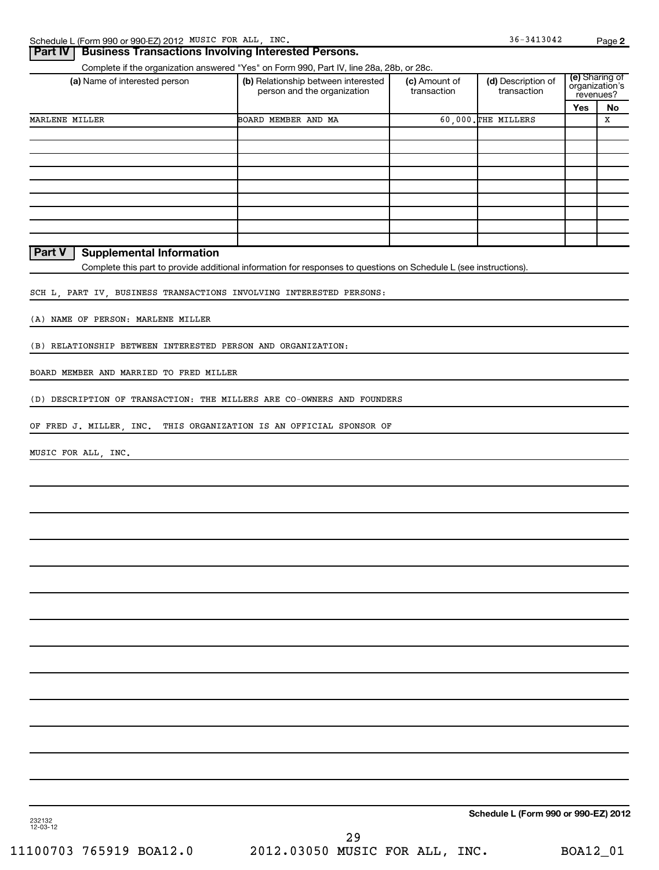| <b>Business Transactions Involving Interested Persons.</b><br>Part IV  |                                                                                                                   |                              |                                      |                             | $-90 -$        |
|------------------------------------------------------------------------|-------------------------------------------------------------------------------------------------------------------|------------------------------|--------------------------------------|-----------------------------|----------------|
|                                                                        | Complete if the organization answered "Yes" on Form 990, Part IV, line 28a, 28b, or 28c.                          |                              |                                      |                             |                |
| (a) Name of interested person                                          | (b) Relationship between interested<br>person and the organization                                                | (c) Amount of<br>transaction | (d) Description of<br>transaction    | organization's<br>revenues? | (e) Sharing of |
|                                                                        |                                                                                                                   |                              |                                      | Yes                         | No             |
| MARLENE MILLER                                                         | BOARD MEMBER AND MA                                                                                               |                              | 60,000. THE MILLERS                  |                             | X              |
|                                                                        |                                                                                                                   |                              |                                      |                             |                |
|                                                                        |                                                                                                                   |                              |                                      |                             |                |
|                                                                        |                                                                                                                   |                              |                                      |                             |                |
|                                                                        |                                                                                                                   |                              |                                      |                             |                |
|                                                                        |                                                                                                                   |                              |                                      |                             |                |
|                                                                        |                                                                                                                   |                              |                                      |                             |                |
|                                                                        |                                                                                                                   |                              |                                      |                             |                |
| <b>Part V</b><br><b>Supplemental Information</b>                       |                                                                                                                   |                              |                                      |                             |                |
|                                                                        | Complete this part to provide additional information for responses to questions on Schedule L (see instructions). |                              |                                      |                             |                |
|                                                                        |                                                                                                                   |                              |                                      |                             |                |
| SCH L, PART IV, BUSINESS TRANSACTIONS INVOLVING INTERESTED PERSONS:    |                                                                                                                   |                              |                                      |                             |                |
| (A) NAME OF PERSON: MARLENE MILLER                                     |                                                                                                                   |                              |                                      |                             |                |
|                                                                        |                                                                                                                   |                              |                                      |                             |                |
| (B) RELATIONSHIP BETWEEN INTERESTED PERSON AND ORGANIZATION:           |                                                                                                                   |                              |                                      |                             |                |
| BOARD MEMBER AND MARRIED TO FRED MILLER                                |                                                                                                                   |                              |                                      |                             |                |
|                                                                        |                                                                                                                   |                              |                                      |                             |                |
| (D) DESCRIPTION OF TRANSACTION: THE MILLERS ARE CO-OWNERS AND FOUNDERS |                                                                                                                   |                              |                                      |                             |                |
| OF FRED J. MILLER, INC.                                                | THIS ORGANIZATION IS AN OFFICIAL SPONSOR OF                                                                       |                              |                                      |                             |                |
| MUSIC FOR ALL, INC.                                                    |                                                                                                                   |                              |                                      |                             |                |
|                                                                        |                                                                                                                   |                              |                                      |                             |                |
|                                                                        |                                                                                                                   |                              |                                      |                             |                |
|                                                                        |                                                                                                                   |                              |                                      |                             |                |
|                                                                        |                                                                                                                   |                              |                                      |                             |                |
|                                                                        |                                                                                                                   |                              |                                      |                             |                |
|                                                                        |                                                                                                                   |                              |                                      |                             |                |
|                                                                        |                                                                                                                   |                              |                                      |                             |                |
|                                                                        |                                                                                                                   |                              |                                      |                             |                |
|                                                                        |                                                                                                                   |                              |                                      |                             |                |
|                                                                        |                                                                                                                   |                              |                                      |                             |                |
|                                                                        |                                                                                                                   |                              |                                      |                             |                |
|                                                                        |                                                                                                                   |                              |                                      |                             |                |
|                                                                        |                                                                                                                   |                              |                                      |                             |                |
|                                                                        |                                                                                                                   |                              |                                      |                             |                |
|                                                                        |                                                                                                                   |                              |                                      |                             |                |
|                                                                        |                                                                                                                   |                              |                                      |                             |                |
|                                                                        |                                                                                                                   |                              | Schedule L (Form 990 or 990-EZ) 2012 |                             |                |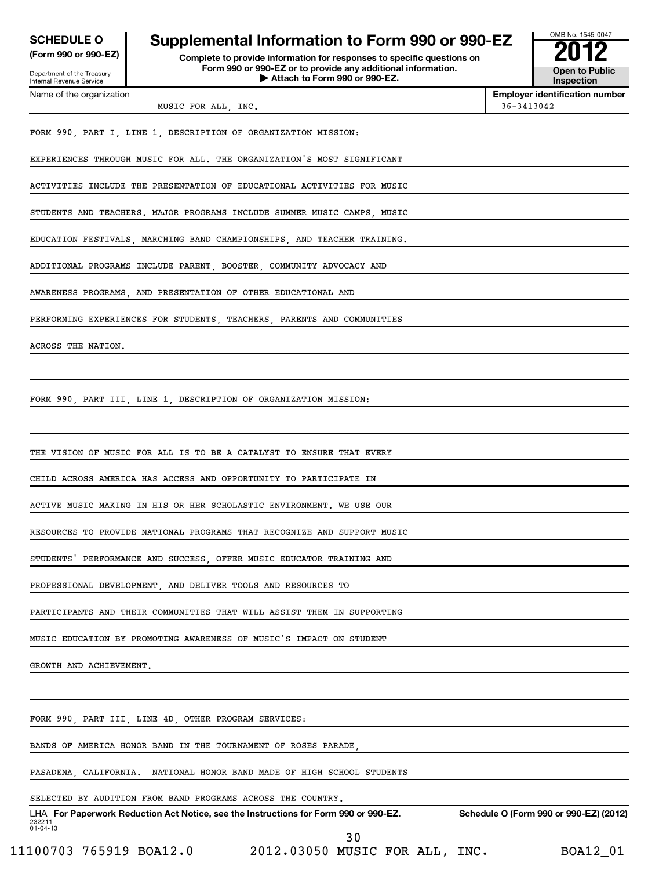| <b>SCHEDULE O</b>                                      | Supplemental Information to Form 990 or 990-EZ                                                |
|--------------------------------------------------------|-----------------------------------------------------------------------------------------------|
| (Form 990 or 990-EZ)                                   | Complete to provide information for responses to specific questions on                        |
| Department of the Treasury<br>Internal Revenue Service | Form 990 or 990-EZ or to provide any additional information.<br>Attach to Form 990 or 990-EZ. |



Name of the organization

### **Ide any additional information. | Attach to Form 990 or 990-EZ. Open to Public**

MUSIC FOR ALL, INC.  $36-3413042$ 

**Employer identification number**

FORM 990, PART I, LINE 1, DESCRIPTION OF ORGANIZATION MISSION:

EXPERIENCES THROUGH MUSIC FOR ALL. THE ORGANIZATION'S MOST SIGNIFICANT

ACTIVITIES INCLUDE THE PRESENTATION OF EDUCATIONAL ACTIVITIES FOR MUSIC

STUDENTS AND TEACHERS. MAJOR PROGRAMS INCLUDE SUMMER MUSIC CAMPS, MUSIC

EDUCATION FESTIVALS, MARCHING BAND CHAMPIONSHIPS, AND TEACHER TRAINING.

ADDITIONAL PROGRAMS INCLUDE PARENT, BOOSTER, COMMUNITY ADVOCACY AND

AWARENESS PROGRAMS, AND PRESENTATION OF OTHER EDUCATIONAL AND

PERFORMING EXPERIENCES FOR STUDENTS, TEACHERS, PARENTS AND COMMUNITIES

ACROSS THE NATION.

FORM 990, PART III, LINE 1, DESCRIPTION OF ORGANIZATION MISSION:

THE VISION OF MUSIC FOR ALL IS TO BE A CATALYST TO ENSURE THAT EVERY

CHILD ACROSS AMERICA HAS ACCESS AND OPPORTUNITY TO PARTICIPATE IN

ACTIVE MUSIC MAKING IN HIS OR HER SCHOLASTIC ENVIRONMENT. WE USE OUR

RESOURCES TO PROVIDE NATIONAL PROGRAMS THAT RECOGNIZE AND SUPPORT MUSIC

STUDENTS' PERFORMANCE AND SUCCESS, OFFER MUSIC EDUCATOR TRAINING AND

PROFESSIONAL DEVELOPMENT, AND DELIVER TOOLS AND RESOURCES TO

PARTICIPANTS AND THEIR COMMUNITIES THAT WILL ASSIST THEM IN SUPPORTING

MUSIC EDUCATION BY PROMOTING AWARENESS OF MUSIC'S IMPACT ON STUDENT

GROWTH AND ACHIEVEMENT.

FORM 990, PART III, LINE 4D, OTHER PROGRAM SERVICES:

BANDS OF AMERICA HONOR BAND IN THE TOURNAMENT OF ROSES PARADE,

PASADENA, CALIFORNIA. NATIONAL HONOR BAND MADE OF HIGH SCHOOL STUDENTS

SELECTED BY AUDITION FROM BAND PROGRAMS ACROSS THE COUNTRY.

232211 01-04-13 LHA For Paperwork Reduction Act Notice, see the Instructions for Form 990 or 990-EZ. Schedule O (Form 990 or 990-EZ) (2012) 30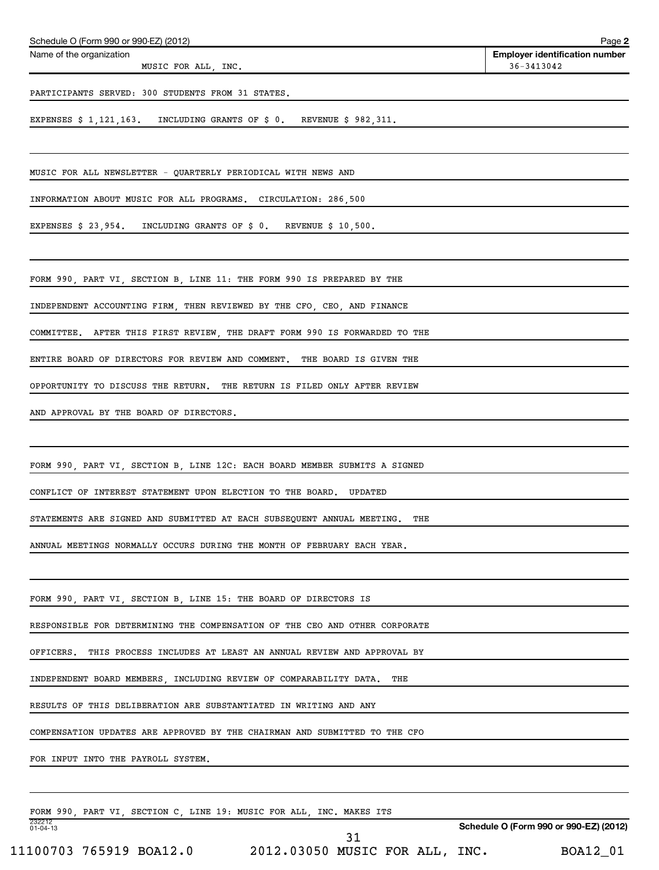| Schedule O (Form 990 or 990-EZ) (2012)                                                                                                           |                                                                 |     | Page 2                                              |
|--------------------------------------------------------------------------------------------------------------------------------------------------|-----------------------------------------------------------------|-----|-----------------------------------------------------|
| Name of the organization<br>MUSIC FOR ALL, INC.                                                                                                  |                                                                 |     | <b>Employer identification number</b><br>36-3413042 |
| PARTICIPANTS SERVED: 300 STUDENTS FROM 31 STATES.                                                                                                |                                                                 |     |                                                     |
| EXPENSES \$ 1,121,163. INCLUDING GRANTS OF \$ 0. REVENUE \$ 982,311.                                                                             |                                                                 |     |                                                     |
| MUSIC FOR ALL NEWSLETTER - QUARTERLY PERIODICAL WITH NEWS AND                                                                                    |                                                                 |     |                                                     |
| INFORMATION ABOUT MUSIC FOR ALL PROGRAMS. CIRCULATION: 286,500                                                                                   |                                                                 |     |                                                     |
| EXPENSES \$ 23,954. INCLUDING GRANTS OF \$ 0. REVENUE \$ 10,500.                                                                                 |                                                                 |     |                                                     |
| FORM 990, PART VI, SECTION B, LINE 11: THE FORM 990 IS PREPARED BY THE                                                                           |                                                                 |     |                                                     |
| INDEPENDENT ACCOUNTING FIRM, THEN REVIEWED BY THE CFO, CEO, AND FINANCE                                                                          |                                                                 |     |                                                     |
| COMMITTEE. AFTER THIS FIRST REVIEW, THE DRAFT FORM 990 IS FORWARDED TO THE                                                                       |                                                                 |     |                                                     |
| ENTIRE BOARD OF DIRECTORS FOR REVIEW AND COMMENT. THE BOARD IS GIVEN THE                                                                         |                                                                 |     |                                                     |
| OPPORTUNITY TO DISCUSS THE RETURN. THE RETURN IS FILED ONLY AFTER REVIEW                                                                         |                                                                 |     |                                                     |
| AND APPROVAL BY THE BOARD OF DIRECTORS.                                                                                                          |                                                                 |     |                                                     |
| FORM 990, PART VI, SECTION B, LINE 12C: EACH BOARD MEMBER SUBMITS A SIGNED<br>CONFLICT OF INTEREST STATEMENT UPON ELECTION TO THE BOARD. UPDATED |                                                                 |     |                                                     |
| STATEMENTS ARE SIGNED AND SUBMITTED AT EACH SUBSEQUENT ANNUAL MEETING.                                                                           |                                                                 | THE |                                                     |
| ANNUAL MEETINGS NORMALLY OCCURS DURING THE MONTH OF FEBRUARY EACH YEAR.                                                                          |                                                                 |     |                                                     |
| FORM 990, PART VI, SECTION B, LINE 15: THE BOARD OF DIRECTORS IS                                                                                 |                                                                 |     |                                                     |
| RESPONSIBLE FOR DETERMINING THE COMPENSATION OF THE CEO AND OTHER CORPORATE                                                                      |                                                                 |     |                                                     |
| OFFICERS.                                                                                                                                        | THIS PROCESS INCLUDES AT LEAST AN ANNUAL REVIEW AND APPROVAL BY |     |                                                     |
| INDEPENDENT BOARD MEMBERS, INCLUDING REVIEW OF COMPARABILITY DATA.                                                                               |                                                                 | THE |                                                     |
| RESULTS OF THIS DELIBERATION ARE SUBSTANTIATED IN WRITING AND ANY                                                                                |                                                                 |     |                                                     |
| COMPENSATION UPDATES ARE APPROVED BY THE CHAIRMAN AND SUBMITTED TO THE CFO                                                                       |                                                                 |     |                                                     |
| FOR INPUT INTO THE PAYROLL SYSTEM.                                                                                                               |                                                                 |     |                                                     |
| FORM 990, PART VI, SECTION C, LINE 19: MUSIC FOR ALL, INC. MAKES ITS                                                                             |                                                                 |     |                                                     |
| 232212<br>01-04-13                                                                                                                               | 31                                                              |     | Schedule O (Form 990 or 990-EZ) (2012)              |
| 11100703 765919 BOA12.0                                                                                                                          | 2012.03050 MUSIC FOR ALL, INC.                                  |     | BOA12_01                                            |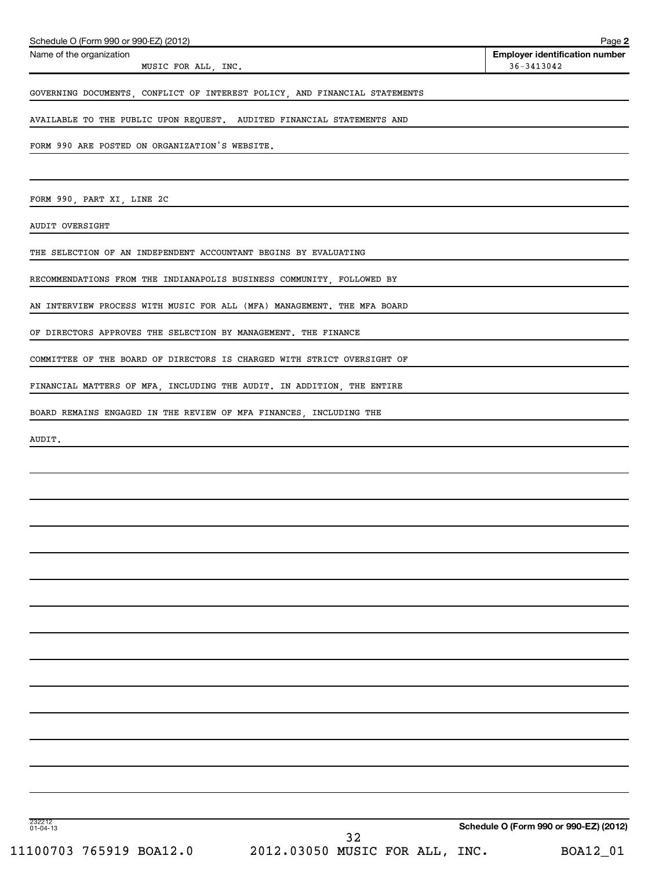| Schedule O (Form 990 or 990-EZ) (2012)                                     | Page 2                                              |
|----------------------------------------------------------------------------|-----------------------------------------------------|
| Name of the organization<br>MUSIC FOR ALL, INC.                            | <b>Employer identification number</b><br>36-3413042 |
| GOVERNING DOCUMENTS, CONFLICT OF INTEREST POLICY, AND FINANCIAL STATEMENTS |                                                     |
| AVAILABLE TO THE PUBLIC UPON REQUEST. AUDITED FINANCIAL STATEMENTS AND     |                                                     |
| FORM 990 ARE POSTED ON ORGANIZATION'S WEBSITE.                             |                                                     |
|                                                                            |                                                     |
| FORM 990, PART XI, LINE 2C                                                 |                                                     |
| <b>AUDIT OVERSIGHT</b>                                                     |                                                     |
| THE SELECTION OF AN INDEPENDENT ACCOUNTANT BEGINS BY EVALUATING            |                                                     |
| RECOMMENDATIONS FROM THE INDIANAPOLIS BUSINESS COMMUNITY, FOLLOWED BY      |                                                     |
| AN INTERVIEW PROCESS WITH MUSIC FOR ALL (MFA) MANAGEMENT. THE MFA BOARD    |                                                     |
| OF DIRECTORS APPROVES THE SELECTION BY MANAGEMENT. THE FINANCE             |                                                     |
| COMMITTEE OF THE BOARD OF DIRECTORS IS CHARGED WITH STRICT OVERSIGHT OF    |                                                     |
| FINANCIAL MATTERS OF MFA, INCLUDING THE AUDIT. IN ADDITION, THE ENTIRE     |                                                     |
| BOARD REMAINS ENGAGED IN THE REVIEW OF MFA FINANCES, INCLUDING THE         |                                                     |
| AUDIT.                                                                     |                                                     |
|                                                                            |                                                     |
|                                                                            |                                                     |
|                                                                            |                                                     |
|                                                                            |                                                     |
|                                                                            |                                                     |
|                                                                            |                                                     |
|                                                                            |                                                     |
|                                                                            |                                                     |
|                                                                            |                                                     |
|                                                                            |                                                     |
|                                                                            |                                                     |
|                                                                            |                                                     |
|                                                                            |                                                     |
|                                                                            |                                                     |
| 232212<br>01-04-13                                                         | Schedule O (Form 990 or 990-EZ) (2012)              |
| 32<br>11100703 765919 BOA12.0<br>2012.03050 MUSIC FOR ALL, INC.            | BOA12_01                                            |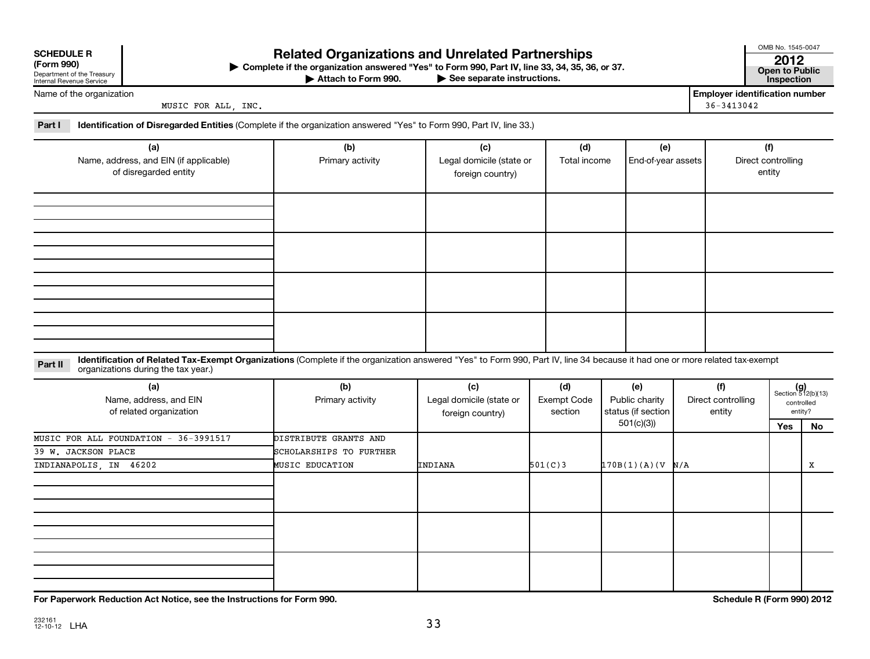| <b>SCHEDULE R</b> |  |  |
|-------------------|--|--|

# Department of the Treasury Internal Revenue Service

# **Related Organizations and Unrelated Partnerships 2012**

**(Form 990) Complete if the organization answered "Yes" to Form 990, Part IV, line 33, 34, 35, 36, or 37. Open to Public** |

**Attache instructions. Attachmism of the See separate instructions. Inspection** Attach to Form 990.

OMB No. 1545-0047

|  | ---                   |
|--|-----------------------|
|  | <b>Open to Public</b> |
|  |                       |

Name of the organization

MUSIC FOR ALL, INC. 36-3413042

**Employer identification number**

**Part I Identification of Disregarded Entities**  (Complete if the organization answered "Yes" to Form 990, Part IV, line 33.)

| (a)<br>Name, address, and EIN (if applicable)<br>of disregarded entity | (b)<br>Primary activity | (c)<br>Legal domicile (state or<br>foreign country) | (d)<br>Total income | (e)<br>End-of-year assets | (f)<br>Direct controlling<br>entity |
|------------------------------------------------------------------------|-------------------------|-----------------------------------------------------|---------------------|---------------------------|-------------------------------------|
|                                                                        |                         |                                                     |                     |                           |                                     |
|                                                                        |                         |                                                     |                     |                           |                                     |
|                                                                        |                         |                                                     |                     |                           |                                     |
|                                                                        |                         |                                                     |                     |                           |                                     |

Part II ldentification of Related Tax-Exempt Organizations (Complete if the organization answered "Yes" to Form 990, Part IV, line 34 because it had one or more related tax-exempt<br>example: croanizations during the tax veas organizations during the tax year.)

| (a)<br>Name, address, and EIN<br>of related organization | (b)<br>Primary activity | (c)<br>Legal domicile (state or<br>foreign country) | (d)<br>Exempt Code<br>section | (e)<br>Public charity<br>status (if section | (f)<br>Direct controlling<br>entity |     | $(g)$<br>Section 512(b)(13)<br>controlled<br>entity? |
|----------------------------------------------------------|-------------------------|-----------------------------------------------------|-------------------------------|---------------------------------------------|-------------------------------------|-----|------------------------------------------------------|
|                                                          |                         |                                                     |                               | 501(c)(3))                                  |                                     | Yes | No                                                   |
| MUSIC FOR ALL FOUNDATION - 36-3991517                    | DISTRIBUTE GRANTS AND   |                                                     |                               |                                             |                                     |     |                                                      |
| 39 W. JACKSON PLACE                                      | SCHOLARSHIPS TO FURTHER |                                                     |                               |                                             |                                     |     |                                                      |
| INDIANAPOLIS, IN 46202                                   | <b>MUSIC EDUCATION</b>  | INDIANA                                             | 501(C)3                       | 170B(1)(A)(V)N/A                            |                                     |     | X                                                    |
|                                                          |                         |                                                     |                               |                                             |                                     |     |                                                      |
|                                                          |                         |                                                     |                               |                                             |                                     |     |                                                      |
|                                                          |                         |                                                     |                               |                                             |                                     |     |                                                      |

**For Paperwork Reduction Act Notice, see the Instructions for Form 990. Schedule R (Form 990) 2012**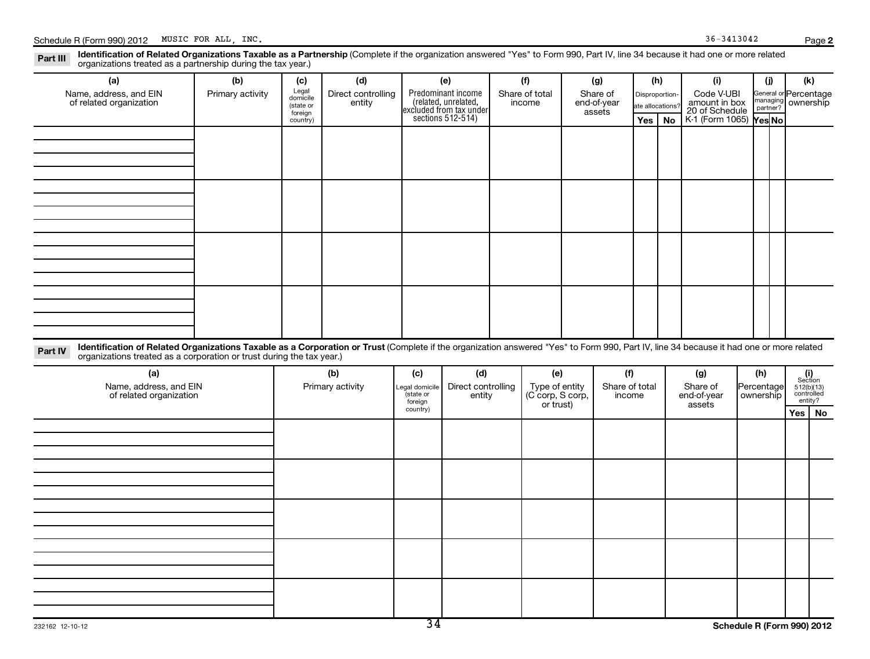**2**

Part III Identification of Related Organizations Taxable as a Partnership (Complete if the organization answered "Yes" to Form 990, Part IV, line 34 because it had one or more related<br>Read to reconizations tracted as a par organizations treated as a partnership during the tax year.)

| (a)<br>Name, address, and EIN<br>of related organization                                                                                                                                                                                                                    | (b)<br>Primary activity | (c)<br>Legal<br>domicile<br>(state or<br>foreign<br>country) | (d)<br>Direct controlling<br>entity |                                   | (e)<br>Predominant income<br>(related, unrelated,<br>excluded from tax under<br>sections $512-514$ ) |  | (f)<br>Share of total<br>income           | (g)<br>Share of<br>end-of-year<br>assets |                                 |  |    |                                |  |                                |                                                                                                                          |  |  | (h)<br>Disproportion-<br>ate allocations?<br>Yes |  | (i)<br>Code V-UBI<br>amount in box<br>20 of Schedule<br>K-1 (Form 1065) Yes No | (i)<br>managing<br>partner? |  | (k)<br>General or Percentage<br>ownership |  |
|-----------------------------------------------------------------------------------------------------------------------------------------------------------------------------------------------------------------------------------------------------------------------------|-------------------------|--------------------------------------------------------------|-------------------------------------|-----------------------------------|------------------------------------------------------------------------------------------------------|--|-------------------------------------------|------------------------------------------|---------------------------------|--|----|--------------------------------|--|--------------------------------|--------------------------------------------------------------------------------------------------------------------------|--|--|--------------------------------------------------|--|--------------------------------------------------------------------------------|-----------------------------|--|-------------------------------------------|--|
|                                                                                                                                                                                                                                                                             |                         |                                                              |                                     |                                   |                                                                                                      |  |                                           |                                          |                                 |  | No |                                |  |                                |                                                                                                                          |  |  |                                                  |  |                                                                                |                             |  |                                           |  |
|                                                                                                                                                                                                                                                                             |                         |                                                              |                                     |                                   |                                                                                                      |  |                                           |                                          |                                 |  |    |                                |  |                                |                                                                                                                          |  |  |                                                  |  |                                                                                |                             |  |                                           |  |
|                                                                                                                                                                                                                                                                             |                         |                                                              |                                     |                                   |                                                                                                      |  |                                           |                                          |                                 |  |    |                                |  |                                |                                                                                                                          |  |  |                                                  |  |                                                                                |                             |  |                                           |  |
|                                                                                                                                                                                                                                                                             |                         |                                                              |                                     |                                   |                                                                                                      |  |                                           |                                          |                                 |  |    |                                |  |                                |                                                                                                                          |  |  |                                                  |  |                                                                                |                             |  |                                           |  |
| Identification of Related Organizations Taxable as a Corporation or Trust (Complete if the organization answered "Yes" to Form 990, Part IV, line 34 because it had one or more related<br>Part IV<br>organizations treated as a corporation or trust during the tax year.) |                         |                                                              |                                     |                                   |                                                                                                      |  |                                           |                                          |                                 |  |    |                                |  |                                |                                                                                                                          |  |  |                                                  |  |                                                                                |                             |  |                                           |  |
| (a)<br>Name, address, and EIN<br>of related organization                                                                                                                                                                                                                    |                         | (b)<br>Primary activity                                      |                                     | (c)<br>Legal domicile<br>state or | (d)<br>Direct controlling<br>entity<br>foreign                                                       |  | (e)<br>Type of entity<br>(C corp, S corp, |                                          | (f)<br>Share of total<br>income |  |    | (g)<br>Share of<br>end-of-year |  | (h)<br>Percentage<br>ownership | $\begin{array}{c} \textbf{(i)}\\ \text{Section}\\ 512 \text{(b)} \text{(13)}\\ \text{controlled} \end{array}$<br>entity? |  |  |                                                  |  |                                                                                |                             |  |                                           |  |
|                                                                                                                                                                                                                                                                             |                         |                                                              |                                     | country)                          |                                                                                                      |  | or trust)                                 |                                          |                                 |  |    | assets                         |  |                                | $Yes \mid No$                                                                                                            |  |  |                                                  |  |                                                                                |                             |  |                                           |  |
|                                                                                                                                                                                                                                                                             |                         |                                                              |                                     |                                   |                                                                                                      |  |                                           |                                          |                                 |  |    |                                |  |                                |                                                                                                                          |  |  |                                                  |  |                                                                                |                             |  |                                           |  |
|                                                                                                                                                                                                                                                                             |                         |                                                              |                                     |                                   |                                                                                                      |  |                                           |                                          |                                 |  |    |                                |  |                                |                                                                                                                          |  |  |                                                  |  |                                                                                |                             |  |                                           |  |
|                                                                                                                                                                                                                                                                             |                         |                                                              |                                     |                                   |                                                                                                      |  |                                           |                                          |                                 |  |    |                                |  |                                |                                                                                                                          |  |  |                                                  |  |                                                                                |                             |  |                                           |  |
|                                                                                                                                                                                                                                                                             |                         |                                                              |                                     |                                   |                                                                                                      |  |                                           |                                          |                                 |  |    |                                |  |                                |                                                                                                                          |  |  |                                                  |  |                                                                                |                             |  |                                           |  |
|                                                                                                                                                                                                                                                                             |                         |                                                              |                                     |                                   |                                                                                                      |  |                                           |                                          |                                 |  |    |                                |  |                                |                                                                                                                          |  |  |                                                  |  |                                                                                |                             |  |                                           |  |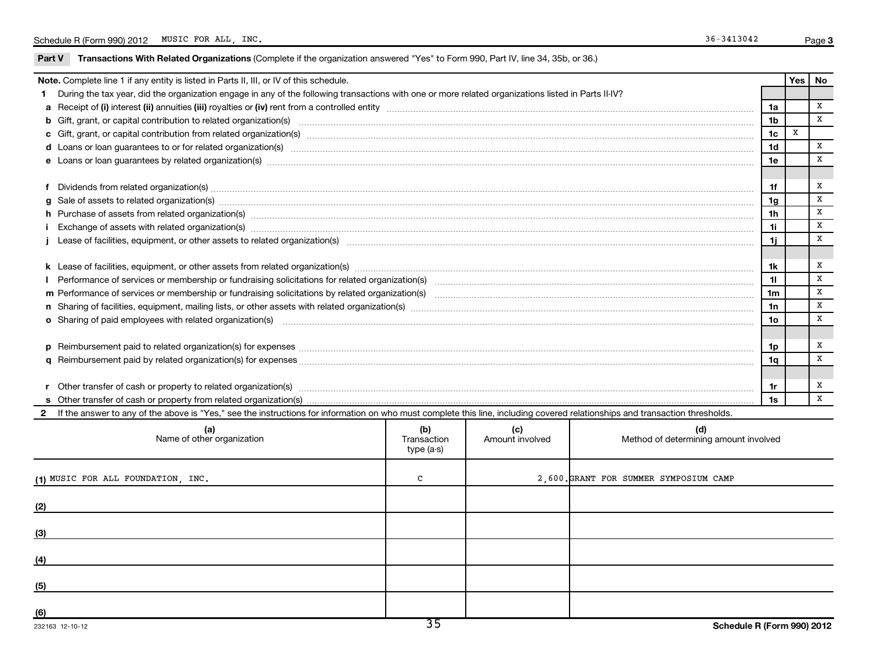### Part V Transactions With Related Organizations (Complete if the organization answered "Yes" to Form 990, Part IV, line 34, 35b, or 36.)

|              | <b>Note.</b> Complete line 1 if any entity is listed in Parts II, III, or IV of this schedule.                                                                                                                                 |                                   |                        |                                              |                | Yes | No           |
|--------------|--------------------------------------------------------------------------------------------------------------------------------------------------------------------------------------------------------------------------------|-----------------------------------|------------------------|----------------------------------------------|----------------|-----|--------------|
| 1.           | During the tax year, did the organization engage in any of the following transactions with one or more related organizations listed in Parts II-IV?                                                                            |                                   |                        |                                              |                |     |              |
|              |                                                                                                                                                                                                                                |                                   |                        |                                              | 1a             |     | X            |
|              | b Gift, grant, or capital contribution to related organization(s) manufactured content to content and contribution to related organization(s) manufactured content and content of the content of the content of the content of |                                   |                        |                                              | 1 <sub>b</sub> |     | X            |
|              |                                                                                                                                                                                                                                |                                   |                        |                                              | 1 <sub>c</sub> | X   |              |
|              |                                                                                                                                                                                                                                |                                   |                        |                                              | 1d             |     | х            |
|              | e Loans or loan guarantees by related organization(s) www.assemance.com/www.assemance.com/www.assemance.com/www.assemance.com/www.assemance.com/www.assemance/com/www.assemance/com/www.assemance/com/www.assemance/com/www.as |                                   |                        |                                              | 1e             |     | x            |
|              |                                                                                                                                                                                                                                |                                   |                        |                                              |                |     |              |
|              |                                                                                                                                                                                                                                |                                   |                        |                                              | 1f             |     | x            |
|              |                                                                                                                                                                                                                                |                                   |                        |                                              | 1 <sub>g</sub> |     | X            |
|              |                                                                                                                                                                                                                                |                                   |                        |                                              | 1 <sub>h</sub> |     | X            |
|              | Exchange of assets with related organization(s) www.web.com/www.web.com/www.web.com/www.web/www.web/www.web/ww                                                                                                                 |                                   |                        |                                              | 1i.            |     | $\, {\bf X}$ |
|              |                                                                                                                                                                                                                                |                                   |                        |                                              | 1i.            |     | x            |
|              |                                                                                                                                                                                                                                |                                   |                        |                                              |                |     |              |
|              |                                                                                                                                                                                                                                |                                   |                        |                                              | 1k             |     | X            |
|              |                                                                                                                                                                                                                                |                                   |                        |                                              | 11             |     | X            |
|              |                                                                                                                                                                                                                                |                                   |                        |                                              | 1 <sub>m</sub> |     | X            |
|              |                                                                                                                                                                                                                                |                                   |                        |                                              | 1n             |     | X            |
|              | o Sharing of paid employees with related organization(s) manufaction(s) and contain a substitution of the state or state or state or state or state or state or state or state or state or state or state or state or state or |                                   |                        |                                              | 1о             |     | X            |
|              |                                                                                                                                                                                                                                |                                   |                        |                                              |                |     |              |
|              |                                                                                                                                                                                                                                |                                   |                        |                                              | 1p             |     | x            |
|              |                                                                                                                                                                                                                                |                                   |                        |                                              | 1q             |     | X            |
|              |                                                                                                                                                                                                                                |                                   |                        |                                              |                |     |              |
|              |                                                                                                                                                                                                                                |                                   |                        |                                              | 1r             |     | Х            |
|              |                                                                                                                                                                                                                                |                                   |                        |                                              | 1s             |     | x            |
| $\mathbf{2}$ | If the answer to any of the above is "Yes," see the instructions for information on who must complete this line, including covered relationships and transaction thresholds.                                                   |                                   |                        |                                              |                |     |              |
|              | (a)<br>Name of other organization                                                                                                                                                                                              | (b)<br>Transaction<br>$type(a-s)$ | (c)<br>Amount involved | (d)<br>Method of determining amount involved |                |     |              |
|              | (1) MUSIC FOR ALL FOUNDATION, INC.                                                                                                                                                                                             | C                                 |                        | 2,600. GRANT FOR SUMMER SYMPOSIUM CAMP       |                |     |              |
|              |                                                                                                                                                                                                                                |                                   |                        |                                              |                |     |              |
| (3)          |                                                                                                                                                                                                                                |                                   |                        |                                              |                |     |              |
|              |                                                                                                                                                                                                                                |                                   |                        |                                              |                |     |              |
| (5)          |                                                                                                                                                                                                                                |                                   |                        |                                              |                |     |              |
|              |                                                                                                                                                                                                                                |                                   |                        |                                              |                |     |              |

**(6)**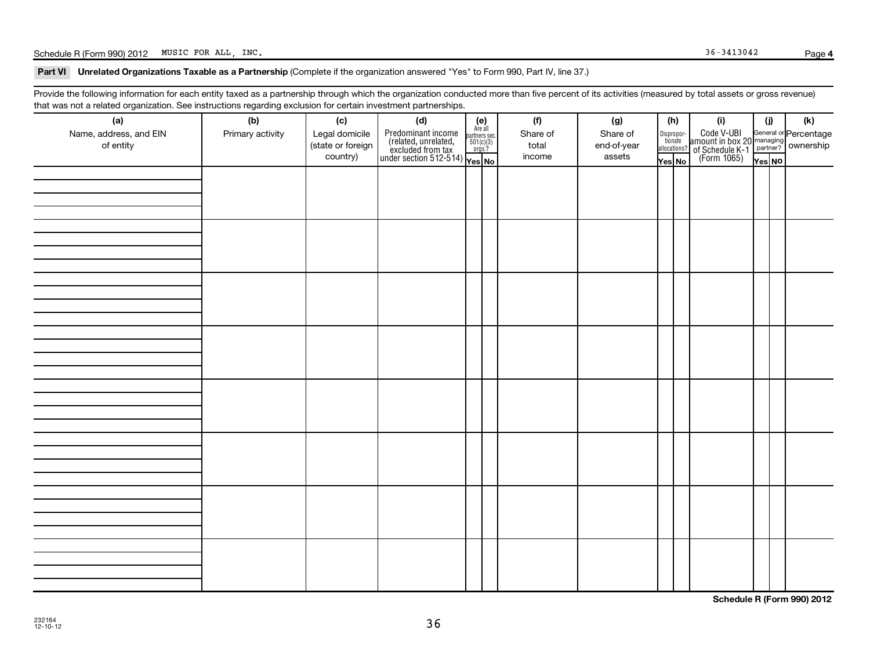# Schedule R (Form 990) 2012 MUSIC FOR ALL, INC. Page Page 36-3413042

#### Part VI Unrelated Organizations Taxable as a Partnership (Complete if the organization answered "Yes" to Form 990, Part IV, line 37.)

Provide the following information for each entity taxed as a partnership through which the organization conducted more than five percent of its activities (measured by total assets or gross revenue) that was not a related organization. See instructions regarding exclusion for certain investment partnerships.

| (a)<br>Name, address, and EIN<br>of entity | ັ<br>ັ<br>(b)<br>Primary activity | (c)<br>Legal domicile<br>(state or foreign<br>country) | . .<br>(d)<br>$\begin{array}{ l l } \hline \text{Predfominant income} & \text{Area all} \\ \hline \text{(related, unrelated,} & \text{501(c)(3)}\\ \text{excluded from tax} & \text{501(c)(3)}\\ \text{under section 512-514)} & \text{Yes. No} \\\hline \end{array}$ | $(e)$<br>Are all | (f)<br>Share of<br>total<br>income | (g)<br>Share of<br>end-of-year<br>assets | (h)<br>Dispropor-<br>tionate<br>allocations?<br>Yes No | (i)<br>Code V-UBI<br>amount in box 20 managing<br>of Schedule K-1 partner?<br>(Form 1065)<br>$\overline{Y}$ ves No | (i)    | (k) |
|--------------------------------------------|-----------------------------------|--------------------------------------------------------|-----------------------------------------------------------------------------------------------------------------------------------------------------------------------------------------------------------------------------------------------------------------------|------------------|------------------------------------|------------------------------------------|--------------------------------------------------------|--------------------------------------------------------------------------------------------------------------------|--------|-----|
|                                            |                                   |                                                        |                                                                                                                                                                                                                                                                       |                  |                                    |                                          |                                                        |                                                                                                                    | Yes NO |     |
|                                            |                                   |                                                        |                                                                                                                                                                                                                                                                       |                  |                                    |                                          |                                                        |                                                                                                                    |        |     |
|                                            |                                   |                                                        |                                                                                                                                                                                                                                                                       |                  |                                    |                                          |                                                        |                                                                                                                    |        |     |
|                                            |                                   |                                                        |                                                                                                                                                                                                                                                                       |                  |                                    |                                          |                                                        |                                                                                                                    |        |     |
|                                            |                                   |                                                        |                                                                                                                                                                                                                                                                       |                  |                                    |                                          |                                                        |                                                                                                                    |        |     |
|                                            |                                   |                                                        |                                                                                                                                                                                                                                                                       |                  |                                    |                                          |                                                        |                                                                                                                    |        |     |
|                                            |                                   |                                                        |                                                                                                                                                                                                                                                                       |                  |                                    |                                          |                                                        |                                                                                                                    |        |     |
|                                            |                                   |                                                        |                                                                                                                                                                                                                                                                       |                  |                                    |                                          |                                                        |                                                                                                                    |        |     |
|                                            |                                   |                                                        |                                                                                                                                                                                                                                                                       |                  |                                    |                                          |                                                        |                                                                                                                    |        |     |

**Schedule R (Form 990) 2012**